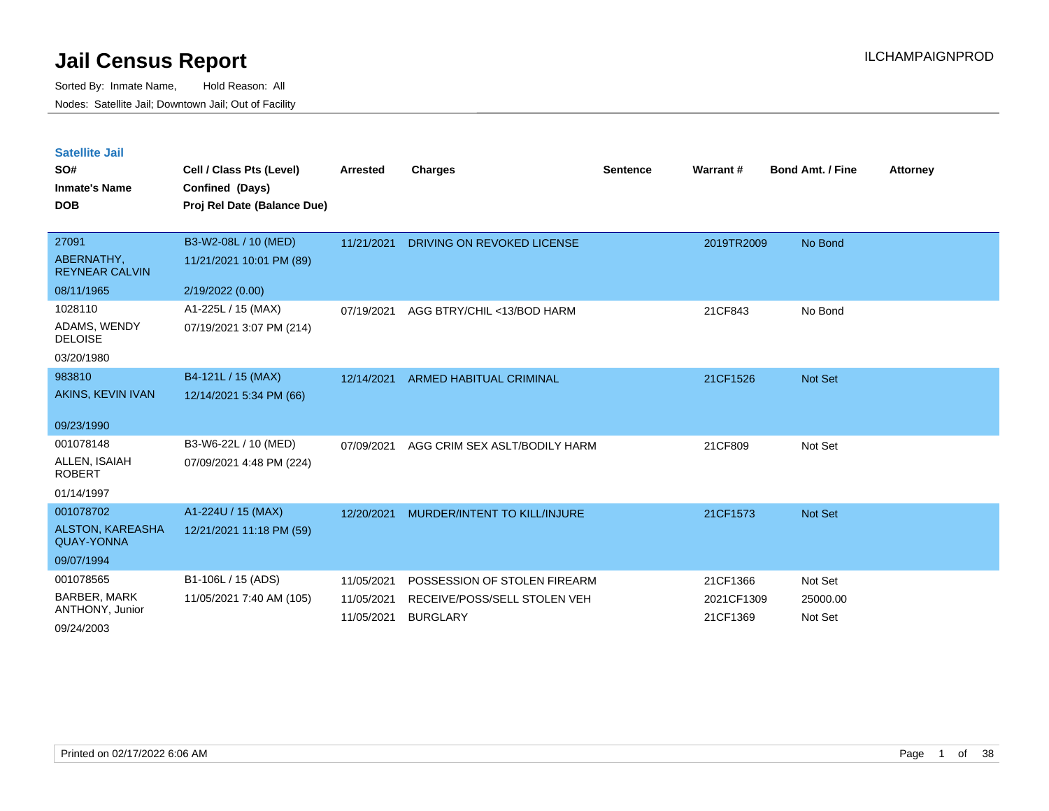| <b>Satellite Jail</b> |  |
|-----------------------|--|
|                       |  |

| SO#<br><b>Inmate's Name</b><br><b>DOB</b> | Cell / Class Pts (Level)<br>Confined (Days)<br>Proj Rel Date (Balance Due) | Arrested                 | <b>Charges</b>                                  | <b>Sentence</b> | Warrant #              | <b>Bond Amt. / Fine</b> | <b>Attorney</b> |
|-------------------------------------------|----------------------------------------------------------------------------|--------------------------|-------------------------------------------------|-----------------|------------------------|-------------------------|-----------------|
| 27091                                     | B3-W2-08L / 10 (MED)                                                       | 11/21/2021               | DRIVING ON REVOKED LICENSE                      |                 | 2019TR2009             | No Bond                 |                 |
| ABERNATHY,<br><b>REYNEAR CALVIN</b>       | 11/21/2021 10:01 PM (89)                                                   |                          |                                                 |                 |                        |                         |                 |
| 08/11/1965                                | 2/19/2022 (0.00)                                                           |                          |                                                 |                 |                        |                         |                 |
| 1028110                                   | A1-225L / 15 (MAX)                                                         | 07/19/2021               | AGG BTRY/CHIL <13/BOD HARM                      |                 | 21CF843                | No Bond                 |                 |
| ADAMS, WENDY<br><b>DELOISE</b>            | 07/19/2021 3:07 PM (214)                                                   |                          |                                                 |                 |                        |                         |                 |
| 03/20/1980                                |                                                                            |                          |                                                 |                 |                        |                         |                 |
| 983810                                    | B4-121L / 15 (MAX)                                                         | 12/14/2021               | <b>ARMED HABITUAL CRIMINAL</b>                  |                 | 21CF1526               | Not Set                 |                 |
| AKINS, KEVIN IVAN                         | 12/14/2021 5:34 PM (66)                                                    |                          |                                                 |                 |                        |                         |                 |
| 09/23/1990                                |                                                                            |                          |                                                 |                 |                        |                         |                 |
| 001078148                                 | B3-W6-22L / 10 (MED)                                                       | 07/09/2021               | AGG CRIM SEX ASLT/BODILY HARM                   |                 | 21CF809                | Not Set                 |                 |
| ALLEN, ISAIAH<br><b>ROBERT</b>            | 07/09/2021 4:48 PM (224)                                                   |                          |                                                 |                 |                        |                         |                 |
| 01/14/1997                                |                                                                            |                          |                                                 |                 |                        |                         |                 |
| 001078702                                 | A1-224U / 15 (MAX)                                                         | 12/20/2021               | <b>MURDER/INTENT TO KILL/INJURE</b>             |                 | 21CF1573               | Not Set                 |                 |
| ALSTON, KAREASHA<br><b>QUAY-YONNA</b>     | 12/21/2021 11:18 PM (59)                                                   |                          |                                                 |                 |                        |                         |                 |
| 09/07/1994                                |                                                                            |                          |                                                 |                 |                        |                         |                 |
| 001078565                                 | B1-106L / 15 (ADS)                                                         | 11/05/2021               | POSSESSION OF STOLEN FIREARM                    |                 | 21CF1366               | Not Set                 |                 |
| <b>BARBER, MARK</b><br>ANTHONY, Junior    | 11/05/2021 7:40 AM (105)                                                   | 11/05/2021<br>11/05/2021 | RECEIVE/POSS/SELL STOLEN VEH<br><b>BURGLARY</b> |                 | 2021CF1309<br>21CF1369 | 25000.00<br>Not Set     |                 |
| 09/24/2003                                |                                                                            |                          |                                                 |                 |                        |                         |                 |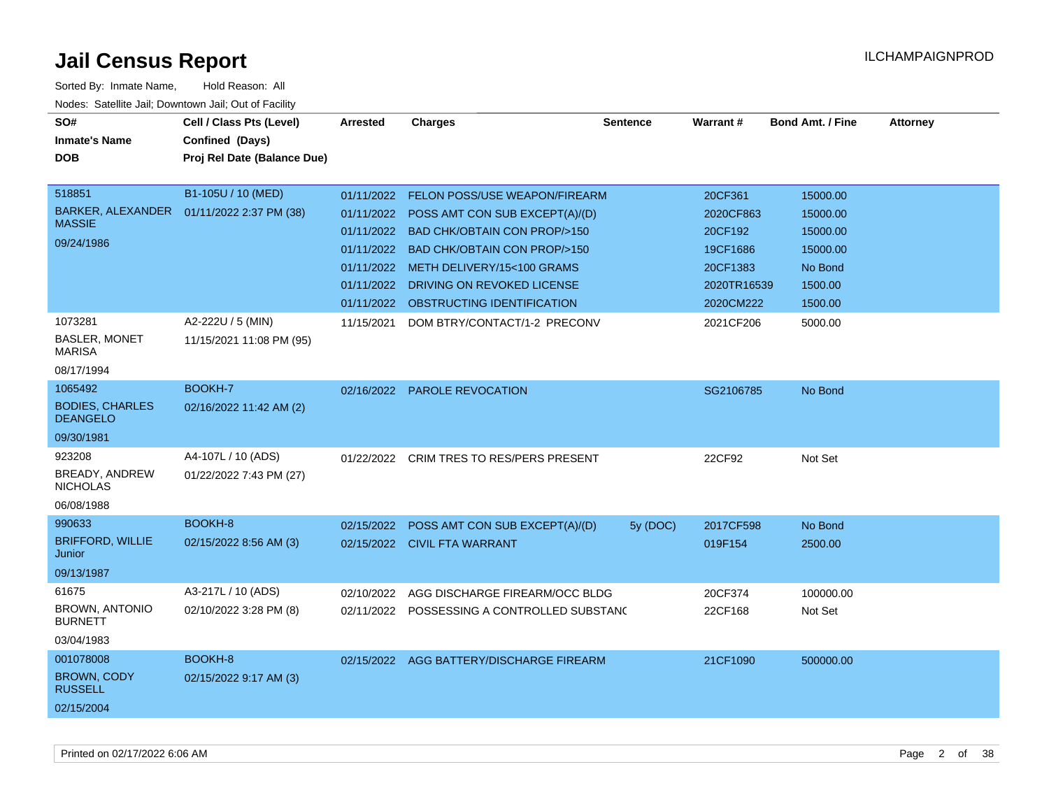| SO#<br><b>Inmate's Name</b><br><b>DOB</b>                          | Cell / Class Pts (Level)<br>Confined (Days)<br>Proj Rel Date (Balance Due) | <b>Arrested</b>                        | <b>Charges</b>                                                                                                                                                                                                                                                                  | <b>Sentence</b> | Warrant#                                                                            | <b>Bond Amt. / Fine</b>                                                       | <b>Attorney</b> |
|--------------------------------------------------------------------|----------------------------------------------------------------------------|----------------------------------------|---------------------------------------------------------------------------------------------------------------------------------------------------------------------------------------------------------------------------------------------------------------------------------|-----------------|-------------------------------------------------------------------------------------|-------------------------------------------------------------------------------|-----------------|
| 518851<br><b>BARKER, ALEXANDER</b><br><b>MASSIE</b><br>09/24/1986  | B1-105U / 10 (MED)<br>01/11/2022 2:37 PM (38)                              | 01/11/2022<br>01/11/2022<br>01/11/2022 | FELON POSS/USE WEAPON/FIREARM<br>01/11/2022 POSS AMT CON SUB EXCEPT(A)/(D)<br>01/11/2022 BAD CHK/OBTAIN CON PROP/>150<br><b>BAD CHK/OBTAIN CON PROP/&gt;150</b><br>01/11/2022 METH DELIVERY/15<100 GRAMS<br>DRIVING ON REVOKED LICENSE<br>01/11/2022 OBSTRUCTING IDENTIFICATION |                 | 20CF361<br>2020CF863<br>20CF192<br>19CF1686<br>20CF1383<br>2020TR16539<br>2020CM222 | 15000.00<br>15000.00<br>15000.00<br>15000.00<br>No Bond<br>1500.00<br>1500.00 |                 |
| 1073281<br><b>BASLER, MONET</b><br><b>MARISA</b><br>08/17/1994     | A2-222U / 5 (MIN)<br>11/15/2021 11:08 PM (95)                              | 11/15/2021                             | DOM BTRY/CONTACT/1-2 PRECONV                                                                                                                                                                                                                                                    |                 | 2021CF206                                                                           | 5000.00                                                                       |                 |
| 1065492<br><b>BODIES, CHARLES</b><br><b>DEANGELO</b><br>09/30/1981 | BOOKH-7<br>02/16/2022 11:42 AM (2)                                         | 02/16/2022                             | PAROLE REVOCATION                                                                                                                                                                                                                                                               |                 | SG2106785                                                                           | No Bond                                                                       |                 |
| 923208<br>BREADY, ANDREW<br><b>NICHOLAS</b><br>06/08/1988          | A4-107L / 10 (ADS)<br>01/22/2022 7:43 PM (27)                              | 01/22/2022                             | <b>CRIM TRES TO RES/PERS PRESENT</b>                                                                                                                                                                                                                                            |                 | 22CF92                                                                              | Not Set                                                                       |                 |
| 990633<br><b>BRIFFORD, WILLIE</b><br>Junior<br>09/13/1987          | BOOKH-8<br>02/15/2022 8:56 AM (3)                                          | 02/15/2022                             | POSS AMT CON SUB EXCEPT(A)/(D)<br>02/15/2022 CIVIL FTA WARRANT                                                                                                                                                                                                                  | 5y (DOC)        | 2017CF598<br>019F154                                                                | No Bond<br>2500.00                                                            |                 |
| 61675<br><b>BROWN, ANTONIO</b><br><b>BURNETT</b><br>03/04/1983     | A3-217L / 10 (ADS)<br>02/10/2022 3:28 PM (8)                               |                                        | 02/10/2022 AGG DISCHARGE FIREARM/OCC BLDG<br>02/11/2022 POSSESSING A CONTROLLED SUBSTANG                                                                                                                                                                                        |                 | 20CF374<br>22CF168                                                                  | 100000.00<br>Not Set                                                          |                 |
| 001078008<br><b>BROWN, CODY</b><br><b>RUSSELL</b><br>02/15/2004    | BOOKH-8<br>02/15/2022 9:17 AM (3)                                          |                                        | 02/15/2022 AGG BATTERY/DISCHARGE FIREARM                                                                                                                                                                                                                                        |                 | 21CF1090                                                                            | 500000.00                                                                     |                 |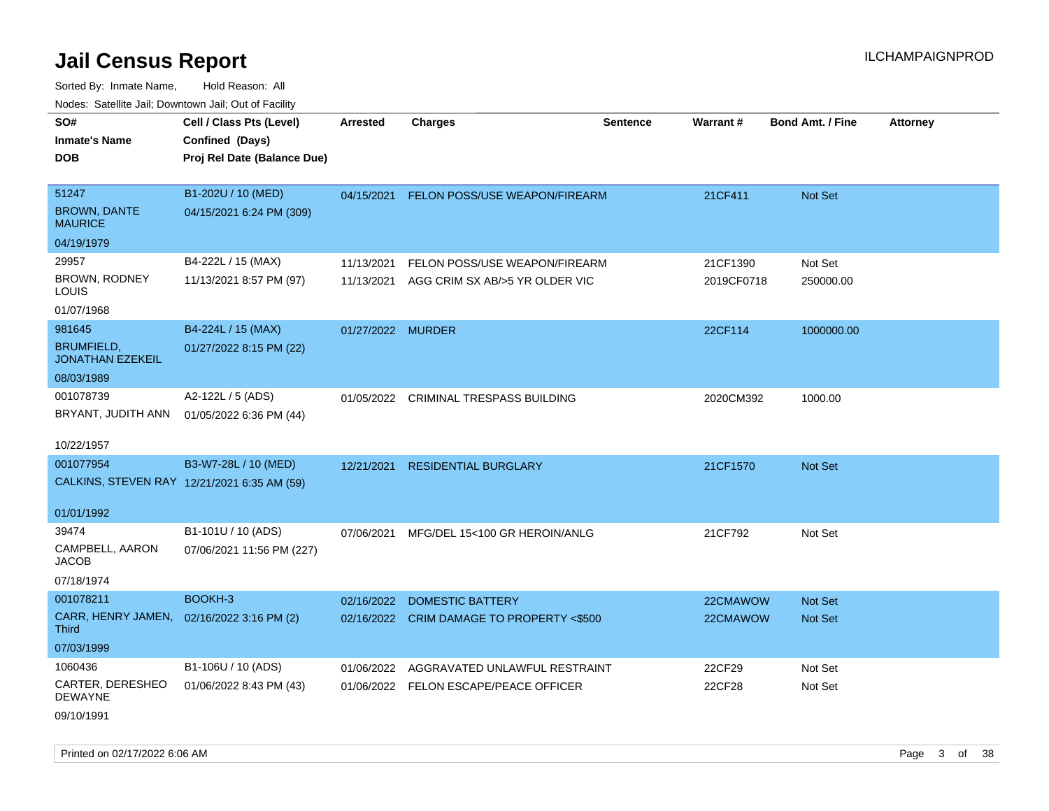Sorted By: Inmate Name, Hold Reason: All Nodes: Satellite Jail; Downtown Jail; Out of Facility

| roacs. Catellite Jall, Downtown Jall, Out of Facility     |                                             |                   |                                           |                 |            |                         |                 |
|-----------------------------------------------------------|---------------------------------------------|-------------------|-------------------------------------------|-----------------|------------|-------------------------|-----------------|
| SO#                                                       | Cell / Class Pts (Level)                    | Arrested          | <b>Charges</b>                            | <b>Sentence</b> | Warrant#   | <b>Bond Amt. / Fine</b> | <b>Attorney</b> |
| <b>Inmate's Name</b>                                      | Confined (Days)                             |                   |                                           |                 |            |                         |                 |
| <b>DOB</b>                                                | Proj Rel Date (Balance Due)                 |                   |                                           |                 |            |                         |                 |
|                                                           |                                             |                   |                                           |                 |            |                         |                 |
| 51247                                                     | B1-202U / 10 (MED)                          | 04/15/2021        | FELON POSS/USE WEAPON/FIREARM             |                 | 21CF411    | Not Set                 |                 |
| <b>BROWN, DANTE</b><br><b>MAURICE</b>                     | 04/15/2021 6:24 PM (309)                    |                   |                                           |                 |            |                         |                 |
| 04/19/1979                                                |                                             |                   |                                           |                 |            |                         |                 |
| 29957                                                     | B4-222L / 15 (MAX)                          | 11/13/2021        | FELON POSS/USE WEAPON/FIREARM             |                 | 21CF1390   | Not Set                 |                 |
| BROWN, RODNEY<br>LOUIS                                    | 11/13/2021 8:57 PM (97)                     |                   | 11/13/2021 AGG CRIM SX AB/>5 YR OLDER VIC |                 | 2019CF0718 | 250000.00               |                 |
| 01/07/1968                                                |                                             |                   |                                           |                 |            |                         |                 |
| 981645                                                    | B4-224L / 15 (MAX)                          | 01/27/2022 MURDER |                                           |                 | 22CF114    | 1000000.00              |                 |
| <b>BRUMFIELD,</b><br><b>JONATHAN EZEKEIL</b>              | 01/27/2022 8:15 PM (22)                     |                   |                                           |                 |            |                         |                 |
| 08/03/1989                                                |                                             |                   |                                           |                 |            |                         |                 |
| 001078739                                                 | A2-122L / 5 (ADS)                           |                   | 01/05/2022 CRIMINAL TRESPASS BUILDING     |                 | 2020CM392  | 1000.00                 |                 |
| BRYANT, JUDITH ANN                                        | 01/05/2022 6:36 PM (44)                     |                   |                                           |                 |            |                         |                 |
|                                                           |                                             |                   |                                           |                 |            |                         |                 |
| 10/22/1957                                                |                                             |                   |                                           |                 |            |                         |                 |
| 001077954                                                 | B3-W7-28L / 10 (MED)                        | 12/21/2021        | <b>RESIDENTIAL BURGLARY</b>               |                 | 21CF1570   | Not Set                 |                 |
|                                                           | CALKINS, STEVEN RAY 12/21/2021 6:35 AM (59) |                   |                                           |                 |            |                         |                 |
|                                                           |                                             |                   |                                           |                 |            |                         |                 |
| 01/01/1992                                                |                                             |                   |                                           |                 |            |                         |                 |
| 39474                                                     | B1-101U / 10 (ADS)                          | 07/06/2021        | MFG/DEL 15<100 GR HEROIN/ANLG             |                 | 21CF792    | Not Set                 |                 |
| CAMPBELL, AARON<br><b>JACOB</b>                           | 07/06/2021 11:56 PM (227)                   |                   |                                           |                 |            |                         |                 |
| 07/18/1974                                                |                                             |                   |                                           |                 |            |                         |                 |
| 001078211                                                 | BOOKH-3                                     | 02/16/2022        | <b>DOMESTIC BATTERY</b>                   |                 | 22CMAWOW   | Not Set                 |                 |
| CARR, HENRY JAMEN, 02/16/2022 3:16 PM (2)<br><b>Third</b> |                                             |                   | 02/16/2022 CRIM DAMAGE TO PROPERTY <\$500 |                 | 22CMAWOW   | Not Set                 |                 |
| 07/03/1999                                                |                                             |                   |                                           |                 |            |                         |                 |
| 1060436                                                   | B1-106U / 10 (ADS)                          |                   | 01/06/2022 AGGRAVATED UNLAWFUL RESTRAINT  |                 | 22CF29     | Not Set                 |                 |
| CARTER, DERESHEO<br><b>DEWAYNE</b>                        | 01/06/2022 8:43 PM (43)                     |                   | 01/06/2022 FELON ESCAPE/PEACE OFFICER     |                 | 22CF28     | Not Set                 |                 |
| 09/10/1991                                                |                                             |                   |                                           |                 |            |                         |                 |

Printed on 02/17/2022 6:06 AM Page 3 of 38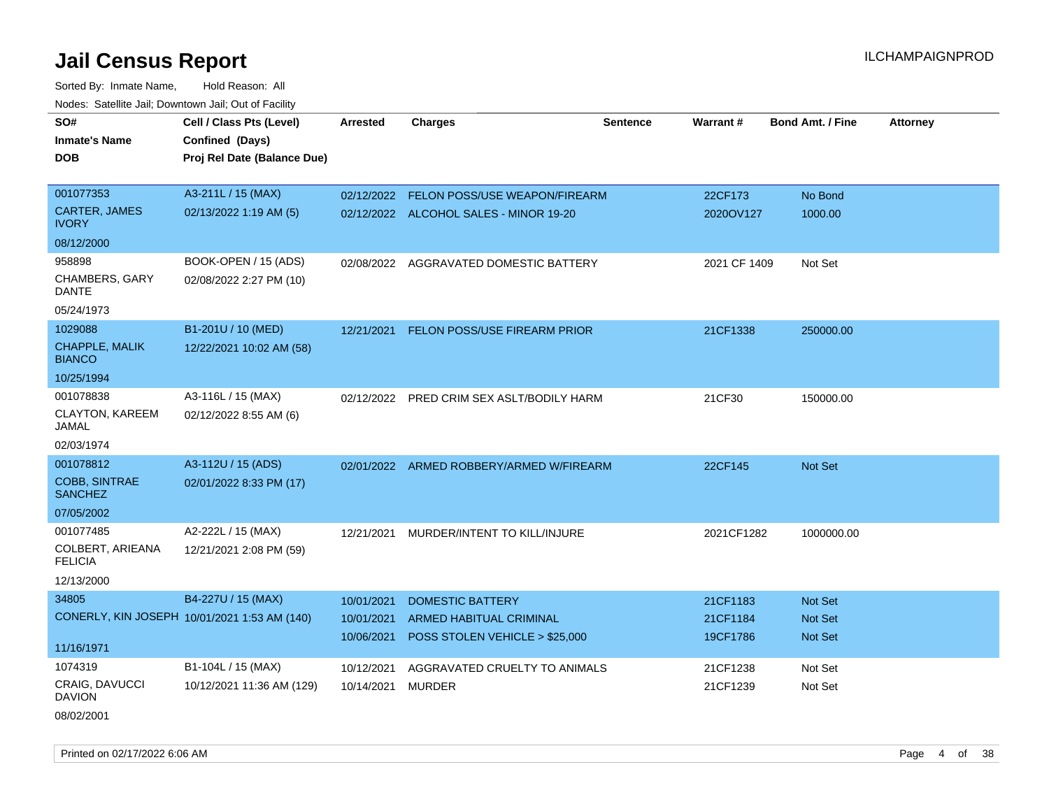Sorted By: Inmate Name, Hold Reason: All Nodes: Satellite Jail; Downtown Jail; Out of Facility

| roaco. Catolino cali, Domntonn cali, Out of Facility |                                              |                 |                                           |                 |              |                         |                 |
|------------------------------------------------------|----------------------------------------------|-----------------|-------------------------------------------|-----------------|--------------|-------------------------|-----------------|
| SO#                                                  | Cell / Class Pts (Level)                     | <b>Arrested</b> | <b>Charges</b>                            | <b>Sentence</b> | Warrant#     | <b>Bond Amt. / Fine</b> | <b>Attorney</b> |
| <b>Inmate's Name</b>                                 | Confined (Days)                              |                 |                                           |                 |              |                         |                 |
| <b>DOB</b>                                           | Proj Rel Date (Balance Due)                  |                 |                                           |                 |              |                         |                 |
|                                                      |                                              |                 |                                           |                 |              |                         |                 |
| 001077353                                            | A3-211L / 15 (MAX)                           |                 | 02/12/2022 FELON POSS/USE WEAPON/FIREARM  |                 | 22CF173      | No Bond                 |                 |
| CARTER, JAMES<br><b>IVORY</b>                        | 02/13/2022 1:19 AM (5)                       |                 | 02/12/2022 ALCOHOL SALES - MINOR 19-20    |                 | 2020OV127    | 1000.00                 |                 |
| 08/12/2000                                           |                                              |                 |                                           |                 |              |                         |                 |
| 958898                                               | BOOK-OPEN / 15 (ADS)                         |                 | 02/08/2022 AGGRAVATED DOMESTIC BATTERY    |                 | 2021 CF 1409 | Not Set                 |                 |
| <b>CHAMBERS, GARY</b><br>DANTE                       | 02/08/2022 2:27 PM (10)                      |                 |                                           |                 |              |                         |                 |
| 05/24/1973                                           |                                              |                 |                                           |                 |              |                         |                 |
| 1029088                                              | B1-201U / 10 (MED)                           | 12/21/2021      | <b>FELON POSS/USE FIREARM PRIOR</b>       |                 | 21CF1338     | 250000.00               |                 |
| <b>CHAPPLE, MALIK</b><br><b>BIANCO</b>               | 12/22/2021 10:02 AM (58)                     |                 |                                           |                 |              |                         |                 |
| 10/25/1994                                           |                                              |                 |                                           |                 |              |                         |                 |
| 001078838                                            | A3-116L / 15 (MAX)                           |                 | 02/12/2022 PRED CRIM SEX ASLT/BODILY HARM |                 | 21CF30       | 150000.00               |                 |
| <b>CLAYTON, KAREEM</b><br>JAMAL                      | 02/12/2022 8:55 AM (6)                       |                 |                                           |                 |              |                         |                 |
| 02/03/1974                                           |                                              |                 |                                           |                 |              |                         |                 |
| 001078812                                            | A3-112U / 15 (ADS)                           |                 | 02/01/2022 ARMED ROBBERY/ARMED W/FIREARM  |                 | 22CF145      | Not Set                 |                 |
| <b>COBB, SINTRAE</b><br><b>SANCHEZ</b>               | 02/01/2022 8:33 PM (17)                      |                 |                                           |                 |              |                         |                 |
| 07/05/2002                                           |                                              |                 |                                           |                 |              |                         |                 |
| 001077485                                            | A2-222L / 15 (MAX)                           | 12/21/2021      | MURDER/INTENT TO KILL/INJURE              |                 | 2021CF1282   | 1000000.00              |                 |
| COLBERT, ARIEANA<br><b>FELICIA</b>                   | 12/21/2021 2:08 PM (59)                      |                 |                                           |                 |              |                         |                 |
| 12/13/2000                                           |                                              |                 |                                           |                 |              |                         |                 |
| 34805                                                | B4-227U / 15 (MAX)                           | 10/01/2021      | <b>DOMESTIC BATTERY</b>                   |                 | 21CF1183     | Not Set                 |                 |
|                                                      | CONERLY, KIN JOSEPH 10/01/2021 1:53 AM (140) | 10/01/2021      | ARMED HABITUAL CRIMINAL                   |                 | 21CF1184     | Not Set                 |                 |
| 11/16/1971                                           |                                              | 10/06/2021      | POSS STOLEN VEHICLE > \$25,000            |                 | 19CF1786     | <b>Not Set</b>          |                 |
| 1074319                                              | B1-104L / 15 (MAX)                           | 10/12/2021      | AGGRAVATED CRUELTY TO ANIMALS             |                 | 21CF1238     | Not Set                 |                 |
| CRAIG, DAVUCCI<br><b>DAVION</b>                      | 10/12/2021 11:36 AM (129)                    | 10/14/2021      | <b>MURDER</b>                             |                 | 21CF1239     | Not Set                 |                 |
| 08/02/2001                                           |                                              |                 |                                           |                 |              |                         |                 |

Printed on 02/17/2022 6:06 AM Page 4 of 38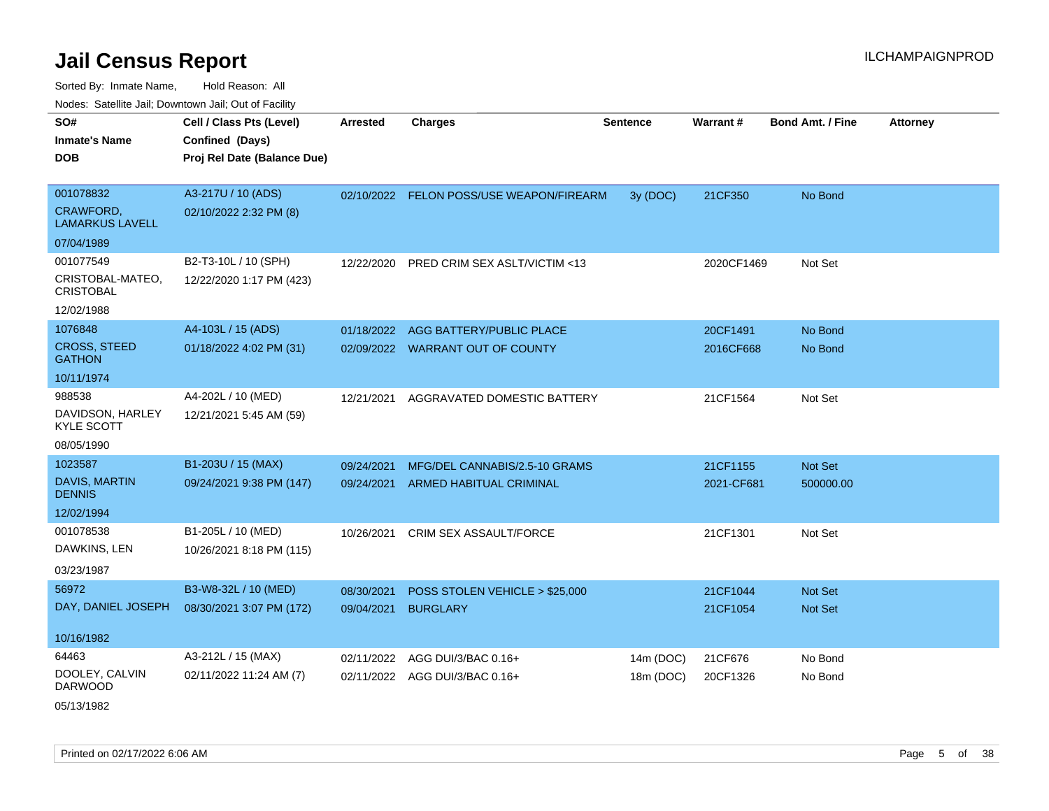Sorted By: Inmate Name, Hold Reason: All Nodes: Satellite Jail; Downtown Jail; Out of Facility

| Noucs. Catchite sail, Downtown sail, Out of Facility |                             |                 |                                          |                 |            |                         |          |
|------------------------------------------------------|-----------------------------|-----------------|------------------------------------------|-----------------|------------|-------------------------|----------|
| SO#                                                  | Cell / Class Pts (Level)    | <b>Arrested</b> | <b>Charges</b>                           | <b>Sentence</b> | Warrant#   | <b>Bond Amt. / Fine</b> | Attorney |
| <b>Inmate's Name</b>                                 | Confined (Days)             |                 |                                          |                 |            |                         |          |
| <b>DOB</b>                                           | Proj Rel Date (Balance Due) |                 |                                          |                 |            |                         |          |
|                                                      |                             |                 |                                          |                 |            |                         |          |
| 001078832                                            | A3-217U / 10 (ADS)          |                 | 02/10/2022 FELON POSS/USE WEAPON/FIREARM | 3y (DOC)        | 21CF350    | No Bond                 |          |
| CRAWFORD,<br><b>LAMARKUS LAVELL</b>                  | 02/10/2022 2:32 PM (8)      |                 |                                          |                 |            |                         |          |
| 07/04/1989                                           |                             |                 |                                          |                 |            |                         |          |
| 001077549                                            | B2-T3-10L / 10 (SPH)        | 12/22/2020      | PRED CRIM SEX ASLT/VICTIM <13            |                 | 2020CF1469 | Not Set                 |          |
| CRISTOBAL-MATEO,<br><b>CRISTOBAL</b>                 | 12/22/2020 1:17 PM (423)    |                 |                                          |                 |            |                         |          |
| 12/02/1988                                           |                             |                 |                                          |                 |            |                         |          |
| 1076848                                              | A4-103L / 15 (ADS)          | 01/18/2022      | AGG BATTERY/PUBLIC PLACE                 |                 | 20CF1491   | No Bond                 |          |
| <b>CROSS, STEED</b><br><b>GATHON</b>                 | 01/18/2022 4:02 PM (31)     |                 | 02/09/2022 WARRANT OUT OF COUNTY         |                 | 2016CF668  | No Bond                 |          |
| 10/11/1974                                           |                             |                 |                                          |                 |            |                         |          |
| 988538                                               | A4-202L / 10 (MED)          | 12/21/2021      | AGGRAVATED DOMESTIC BATTERY              |                 | 21CF1564   | Not Set                 |          |
| DAVIDSON, HARLEY<br><b>KYLE SCOTT</b>                | 12/21/2021 5:45 AM (59)     |                 |                                          |                 |            |                         |          |
| 08/05/1990                                           |                             |                 |                                          |                 |            |                         |          |
| 1023587                                              | B1-203U / 15 (MAX)          | 09/24/2021      | MFG/DEL CANNABIS/2.5-10 GRAMS            |                 | 21CF1155   | Not Set                 |          |
| DAVIS, MARTIN<br><b>DENNIS</b>                       | 09/24/2021 9:38 PM (147)    | 09/24/2021      | <b>ARMED HABITUAL CRIMINAL</b>           |                 | 2021-CF681 | 500000.00               |          |
| 12/02/1994                                           |                             |                 |                                          |                 |            |                         |          |
| 001078538                                            | B1-205L / 10 (MED)          | 10/26/2021      | <b>CRIM SEX ASSAULT/FORCE</b>            |                 | 21CF1301   | Not Set                 |          |
| DAWKINS, LEN                                         | 10/26/2021 8:18 PM (115)    |                 |                                          |                 |            |                         |          |
| 03/23/1987                                           |                             |                 |                                          |                 |            |                         |          |
| 56972                                                | B3-W8-32L / 10 (MED)        | 08/30/2021      | POSS STOLEN VEHICLE > \$25,000           |                 | 21CF1044   | <b>Not Set</b>          |          |
| DAY, DANIEL JOSEPH                                   | 08/30/2021 3:07 PM (172)    | 09/04/2021      | <b>BURGLARY</b>                          |                 | 21CF1054   | Not Set                 |          |
|                                                      |                             |                 |                                          |                 |            |                         |          |
| 10/16/1982                                           |                             |                 |                                          |                 |            |                         |          |
| 64463                                                | A3-212L / 15 (MAX)          | 02/11/2022      | AGG DUI/3/BAC 0.16+                      | 14m (DOC)       | 21CF676    | No Bond                 |          |
| DOOLEY, CALVIN<br>DARWOOD                            | 02/11/2022 11:24 AM (7)     | 02/11/2022      | AGG DUI/3/BAC 0.16+                      | 18m (DOC)       | 20CF1326   | No Bond                 |          |

05/13/1982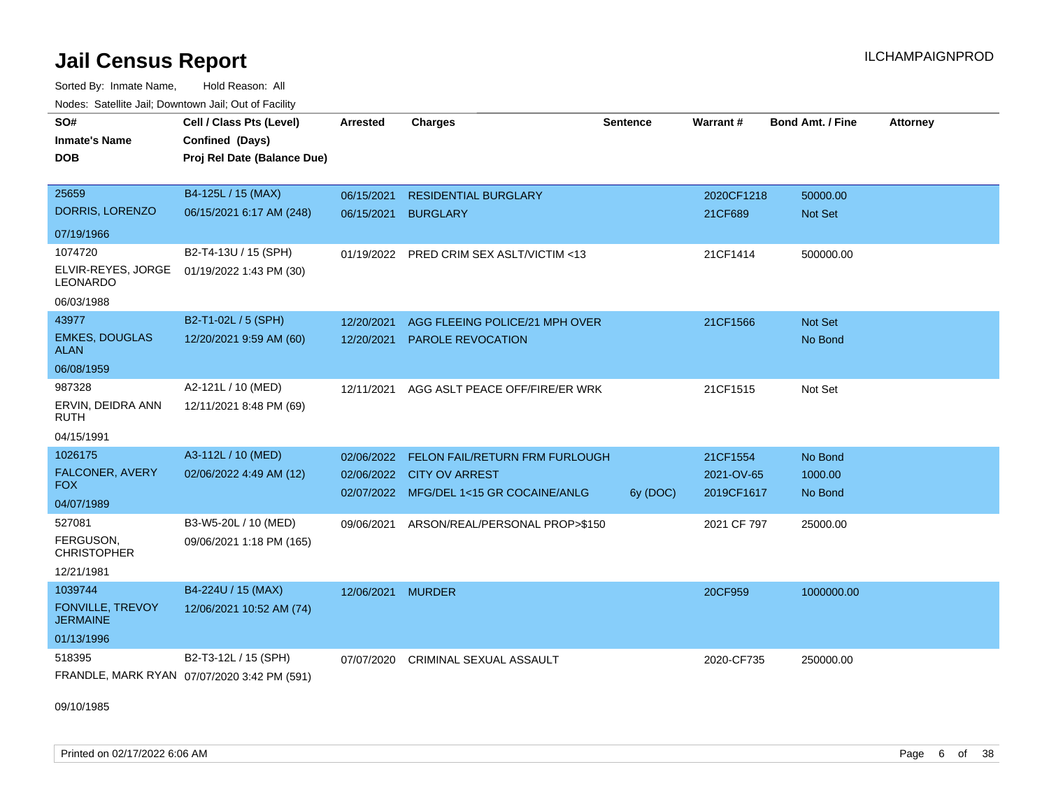Sorted By: Inmate Name, Hold Reason: All Nodes: Satellite Jail; Downtown Jail; Out of Facility

| SO#<br><b>Inmate's Name</b><br><b>DOB</b>  | Cell / Class Pts (Level)<br>Confined (Days)<br>Proj Rel Date (Balance Due) | <b>Arrested</b> | <b>Charges</b>                            | <b>Sentence</b> | Warrant#    | <b>Bond Amt. / Fine</b> | <b>Attorney</b> |
|--------------------------------------------|----------------------------------------------------------------------------|-----------------|-------------------------------------------|-----------------|-------------|-------------------------|-----------------|
| 25659                                      | B4-125L / 15 (MAX)                                                         | 06/15/2021      | <b>RESIDENTIAL BURGLARY</b>               |                 | 2020CF1218  | 50000.00                |                 |
| DORRIS, LORENZO                            | 06/15/2021 6:17 AM (248)                                                   | 06/15/2021      | <b>BURGLARY</b>                           |                 | 21CF689     | Not Set                 |                 |
| 07/19/1966                                 |                                                                            |                 |                                           |                 |             |                         |                 |
| 1074720                                    | B2-T4-13U / 15 (SPH)                                                       | 01/19/2022      | PRED CRIM SEX ASLT/VICTIM <13             |                 | 21CF1414    | 500000.00               |                 |
| ELVIR-REYES, JORGE<br><b>LEONARDO</b>      | 01/19/2022 1:43 PM (30)                                                    |                 |                                           |                 |             |                         |                 |
| 06/03/1988                                 |                                                                            |                 |                                           |                 |             |                         |                 |
| 43977                                      | B2-T1-02L / 5 (SPH)                                                        | 12/20/2021      | AGG FLEEING POLICE/21 MPH OVER            |                 | 21CF1566    | Not Set                 |                 |
| <b>EMKES, DOUGLAS</b><br><b>ALAN</b>       | 12/20/2021 9:59 AM (60)                                                    | 12/20/2021      | PAROLE REVOCATION                         |                 |             | No Bond                 |                 |
| 06/08/1959                                 |                                                                            |                 |                                           |                 |             |                         |                 |
| 987328                                     | A2-121L / 10 (MED)                                                         | 12/11/2021      | AGG ASLT PEACE OFF/FIRE/ER WRK            |                 | 21CF1515    | Not Set                 |                 |
| ERVIN, DEIDRA ANN<br><b>RUTH</b>           | 12/11/2021 8:48 PM (69)                                                    |                 |                                           |                 |             |                         |                 |
| 04/15/1991                                 |                                                                            |                 |                                           |                 |             |                         |                 |
| 1026175                                    | A3-112L / 10 (MED)                                                         | 02/06/2022      | FELON FAIL/RETURN FRM FURLOUGH            |                 | 21CF1554    | No Bond                 |                 |
| FALCONER, AVERY<br><b>FOX</b>              | 02/06/2022 4:49 AM (12)                                                    |                 | 02/06/2022 CITY OV ARREST                 |                 | 2021-OV-65  | 1000.00                 |                 |
| 04/07/1989                                 |                                                                            |                 | 02/07/2022 MFG/DEL 1<15 GR COCAINE/ANLG   | 6y (DOC)        | 2019CF1617  | No Bond                 |                 |
| 527081                                     | B3-W5-20L / 10 (MED)                                                       |                 | 09/06/2021 ARSON/REAL/PERSONAL PROP>\$150 |                 | 2021 CF 797 | 25000.00                |                 |
| FERGUSON,<br><b>CHRISTOPHER</b>            | 09/06/2021 1:18 PM (165)                                                   |                 |                                           |                 |             |                         |                 |
| 12/21/1981                                 |                                                                            |                 |                                           |                 |             |                         |                 |
| 1039744                                    | B4-224U / 15 (MAX)                                                         | 12/06/2021      | <b>MURDER</b>                             |                 | 20CF959     | 1000000.00              |                 |
| <b>FONVILLE, TREVOY</b><br><b>JERMAINE</b> | 12/06/2021 10:52 AM (74)                                                   |                 |                                           |                 |             |                         |                 |
| 01/13/1996                                 |                                                                            |                 |                                           |                 |             |                         |                 |
| 518395                                     | B2-T3-12L / 15 (SPH)                                                       | 07/07/2020      | CRIMINAL SEXUAL ASSAULT                   |                 | 2020-CF735  | 250000.00               |                 |
|                                            | FRANDLE, MARK RYAN 07/07/2020 3:42 PM (591)                                |                 |                                           |                 |             |                         |                 |

09/10/1985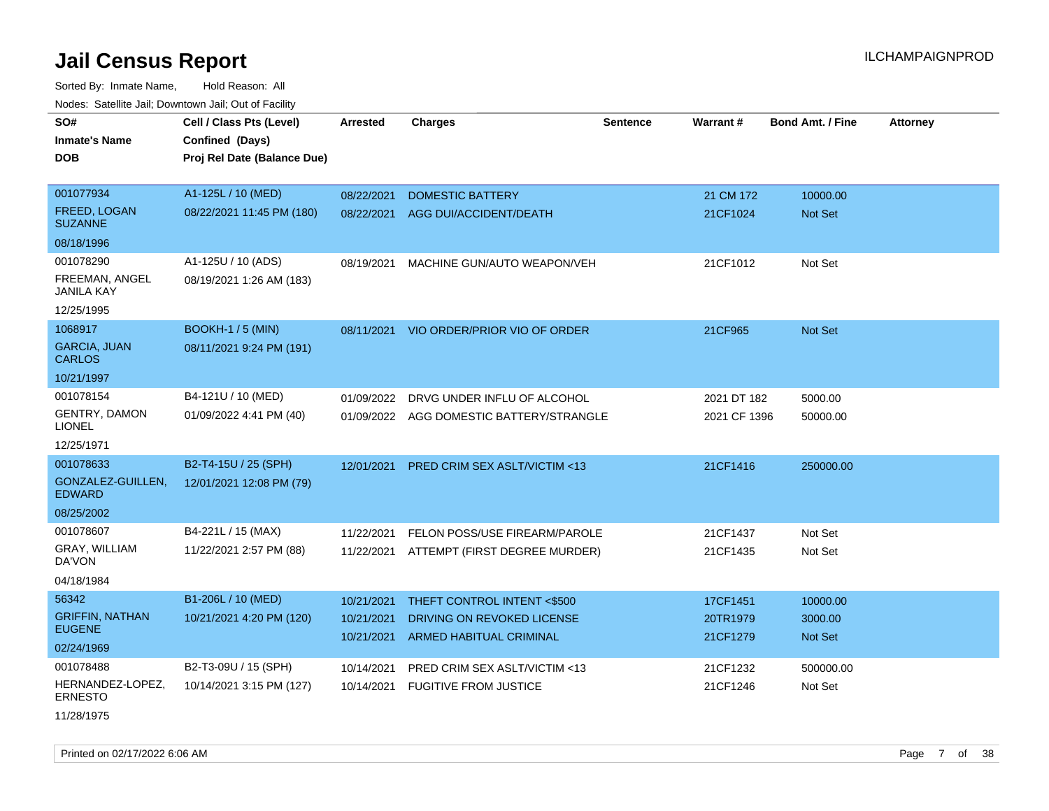Sorted By: Inmate Name, Hold Reason: All Nodes: Satellite Jail; Downtown Jail; Out of Facility

| SO#                                   | Cell / Class Pts (Level)    | <b>Arrested</b> | <b>Charges</b>                           | <b>Sentence</b> | <b>Warrant#</b> | <b>Bond Amt. / Fine</b> | <b>Attorney</b> |
|---------------------------------------|-----------------------------|-----------------|------------------------------------------|-----------------|-----------------|-------------------------|-----------------|
| <b>Inmate's Name</b>                  | Confined (Days)             |                 |                                          |                 |                 |                         |                 |
| <b>DOB</b>                            | Proj Rel Date (Balance Due) |                 |                                          |                 |                 |                         |                 |
|                                       |                             |                 |                                          |                 |                 |                         |                 |
| 001077934                             | A1-125L / 10 (MED)          | 08/22/2021      | <b>DOMESTIC BATTERY</b>                  |                 | 21 CM 172       | 10000.00                |                 |
| <b>FREED, LOGAN</b><br><b>SUZANNE</b> | 08/22/2021 11:45 PM (180)   | 08/22/2021      | AGG DUI/ACCIDENT/DEATH                   |                 | 21CF1024        | <b>Not Set</b>          |                 |
| 08/18/1996                            |                             |                 |                                          |                 |                 |                         |                 |
| 001078290                             | A1-125U / 10 (ADS)          | 08/19/2021      | MACHINE GUN/AUTO WEAPON/VEH              |                 | 21CF1012        | Not Set                 |                 |
| FREEMAN, ANGEL<br>JANILA KAY          | 08/19/2021 1:26 AM (183)    |                 |                                          |                 |                 |                         |                 |
| 12/25/1995                            |                             |                 |                                          |                 |                 |                         |                 |
| 1068917                               | <b>BOOKH-1 / 5 (MIN)</b>    | 08/11/2021      | VIO ORDER/PRIOR VIO OF ORDER             |                 | 21CF965         | Not Set                 |                 |
| <b>GARCIA, JUAN</b><br><b>CARLOS</b>  | 08/11/2021 9:24 PM (191)    |                 |                                          |                 |                 |                         |                 |
| 10/21/1997                            |                             |                 |                                          |                 |                 |                         |                 |
| 001078154                             | B4-121U / 10 (MED)          | 01/09/2022      | DRVG UNDER INFLU OF ALCOHOL              |                 | 2021 DT 182     | 5000.00                 |                 |
| <b>GENTRY, DAMON</b><br>LIONEL        | 01/09/2022 4:41 PM (40)     |                 | 01/09/2022 AGG DOMESTIC BATTERY/STRANGLE |                 | 2021 CF 1396    | 50000.00                |                 |
| 12/25/1971                            |                             |                 |                                          |                 |                 |                         |                 |
| 001078633                             | B2-T4-15U / 25 (SPH)        | 12/01/2021      | PRED CRIM SEX ASLT/VICTIM <13            |                 | 21CF1416        | 250000.00               |                 |
| GONZALEZ-GUILLEN,<br><b>EDWARD</b>    | 12/01/2021 12:08 PM (79)    |                 |                                          |                 |                 |                         |                 |
| 08/25/2002                            |                             |                 |                                          |                 |                 |                         |                 |
| 001078607                             | B4-221L / 15 (MAX)          | 11/22/2021      | FELON POSS/USE FIREARM/PAROLE            |                 | 21CF1437        | Not Set                 |                 |
| GRAY, WILLIAM<br>DA'VON               | 11/22/2021 2:57 PM (88)     | 11/22/2021      | ATTEMPT (FIRST DEGREE MURDER)            |                 | 21CF1435        | Not Set                 |                 |
| 04/18/1984                            |                             |                 |                                          |                 |                 |                         |                 |
| 56342                                 | B1-206L / 10 (MED)          | 10/21/2021      | THEFT CONTROL INTENT <\$500              |                 | 17CF1451        | 10000.00                |                 |
| <b>GRIFFIN, NATHAN</b>                | 10/21/2021 4:20 PM (120)    | 10/21/2021      | DRIVING ON REVOKED LICENSE               |                 | 20TR1979        | 3000.00                 |                 |
| <b>EUGENE</b>                         |                             | 10/21/2021      | <b>ARMED HABITUAL CRIMINAL</b>           |                 | 21CF1279        | <b>Not Set</b>          |                 |
| 02/24/1969                            |                             |                 |                                          |                 |                 |                         |                 |
| 001078488                             | B2-T3-09U / 15 (SPH)        | 10/14/2021      | PRED CRIM SEX ASLT/VICTIM <13            |                 | 21CF1232        | 500000.00               |                 |
| HERNANDEZ-LOPEZ,<br>ERNESTO           | 10/14/2021 3:15 PM (127)    | 10/14/2021      | <b>FUGITIVE FROM JUSTICE</b>             |                 | 21CF1246        | Not Set                 |                 |

11/28/1975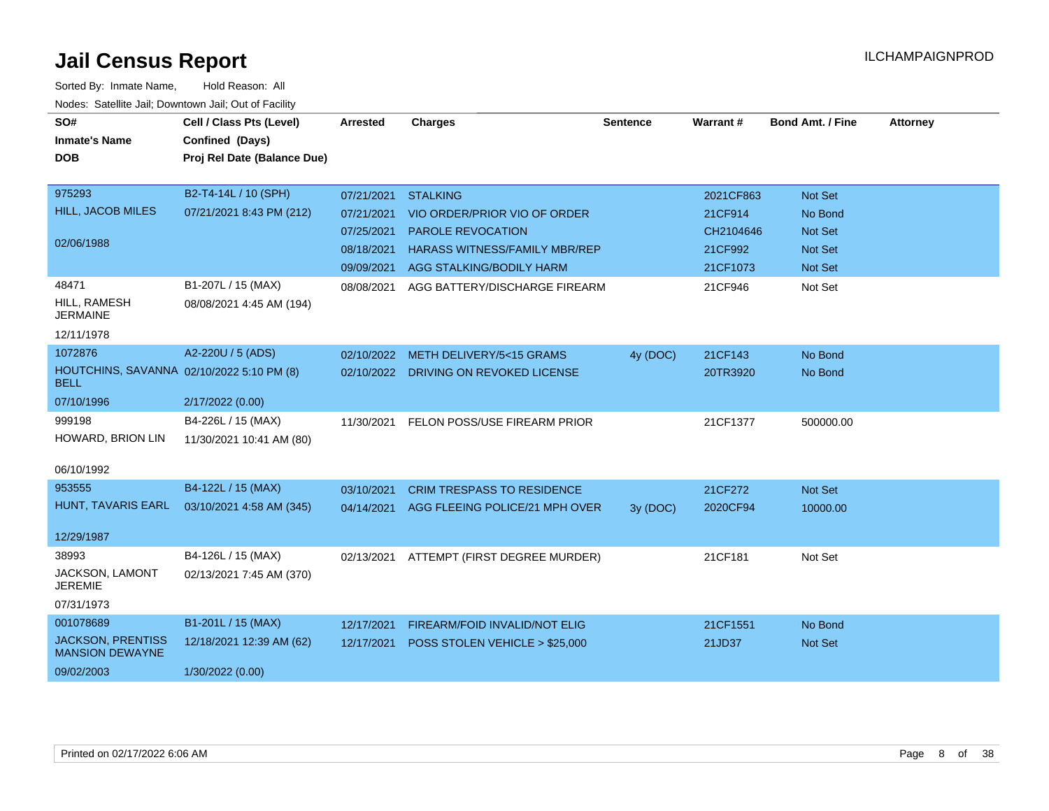| SO#<br><b>Inmate's Name</b><br><b>DOB</b>                | Cell / Class Pts (Level)<br>Confined (Days)<br>Proj Rel Date (Balance Due) | Arrested   | <b>Charges</b>                        | <b>Sentence</b> | Warrant#  | <b>Bond Amt. / Fine</b> | <b>Attorney</b> |
|----------------------------------------------------------|----------------------------------------------------------------------------|------------|---------------------------------------|-----------------|-----------|-------------------------|-----------------|
| 975293                                                   | B2-T4-14L / 10 (SPH)                                                       | 07/21/2021 | <b>STALKING</b>                       |                 | 2021CF863 | Not Set                 |                 |
| <b>HILL, JACOB MILES</b>                                 | 07/21/2021 8:43 PM (212)                                                   | 07/21/2021 | VIO ORDER/PRIOR VIO OF ORDER          |                 | 21CF914   | No Bond                 |                 |
|                                                          |                                                                            | 07/25/2021 | PAROLE REVOCATION                     |                 | CH2104646 | Not Set                 |                 |
| 02/06/1988                                               |                                                                            | 08/18/2021 | <b>HARASS WITNESS/FAMILY MBR/REP</b>  |                 | 21CF992   | <b>Not Set</b>          |                 |
|                                                          |                                                                            |            | 09/09/2021 AGG STALKING/BODILY HARM   |                 | 21CF1073  | <b>Not Set</b>          |                 |
| 48471<br>HILL, RAMESH                                    | B1-207L / 15 (MAX)                                                         | 08/08/2021 | AGG BATTERY/DISCHARGE FIREARM         |                 | 21CF946   | Not Set                 |                 |
| <b>JERMAINE</b>                                          | 08/08/2021 4:45 AM (194)                                                   |            |                                       |                 |           |                         |                 |
| 12/11/1978                                               |                                                                            |            |                                       |                 |           |                         |                 |
| 1072876                                                  | A2-220U / 5 (ADS)                                                          | 02/10/2022 | METH DELIVERY/5<15 GRAMS              | 4y (DOC)        | 21CF143   | No Bond                 |                 |
| HOUTCHINS, SAVANNA 02/10/2022 5:10 PM (8)<br><b>BELL</b> |                                                                            |            | 02/10/2022 DRIVING ON REVOKED LICENSE |                 | 20TR3920  | No Bond                 |                 |
| 07/10/1996                                               | 2/17/2022 (0.00)                                                           |            |                                       |                 |           |                         |                 |
| 999198                                                   | B4-226L / 15 (MAX)                                                         | 11/30/2021 | FELON POSS/USE FIREARM PRIOR          |                 | 21CF1377  | 500000.00               |                 |
| HOWARD, BRION LIN                                        | 11/30/2021 10:41 AM (80)                                                   |            |                                       |                 |           |                         |                 |
| 06/10/1992                                               |                                                                            |            |                                       |                 |           |                         |                 |
| 953555                                                   | B4-122L / 15 (MAX)                                                         | 03/10/2021 | <b>CRIM TRESPASS TO RESIDENCE</b>     |                 | 21CF272   | Not Set                 |                 |
| HUNT, TAVARIS EARL                                       | 03/10/2021 4:58 AM (345)                                                   | 04/14/2021 | AGG FLEEING POLICE/21 MPH OVER        | 3y (DOC)        | 2020CF94  | 10000.00                |                 |
| 12/29/1987                                               |                                                                            |            |                                       |                 |           |                         |                 |
| 38993                                                    | B4-126L / 15 (MAX)                                                         | 02/13/2021 | ATTEMPT (FIRST DEGREE MURDER)         |                 | 21CF181   | Not Set                 |                 |
| JACKSON, LAMONT<br><b>JEREMIE</b>                        | 02/13/2021 7:45 AM (370)                                                   |            |                                       |                 |           |                         |                 |
| 07/31/1973                                               |                                                                            |            |                                       |                 |           |                         |                 |
| 001078689                                                | B1-201L / 15 (MAX)                                                         | 12/17/2021 | FIREARM/FOID INVALID/NOT ELIG         |                 | 21CF1551  | No Bond                 |                 |
| <b>JACKSON, PRENTISS</b><br><b>MANSION DEWAYNE</b>       | 12/18/2021 12:39 AM (62)                                                   | 12/17/2021 | POSS STOLEN VEHICLE > \$25,000        |                 | 21JD37    | Not Set                 |                 |
| 09/02/2003                                               | 1/30/2022 (0.00)                                                           |            |                                       |                 |           |                         |                 |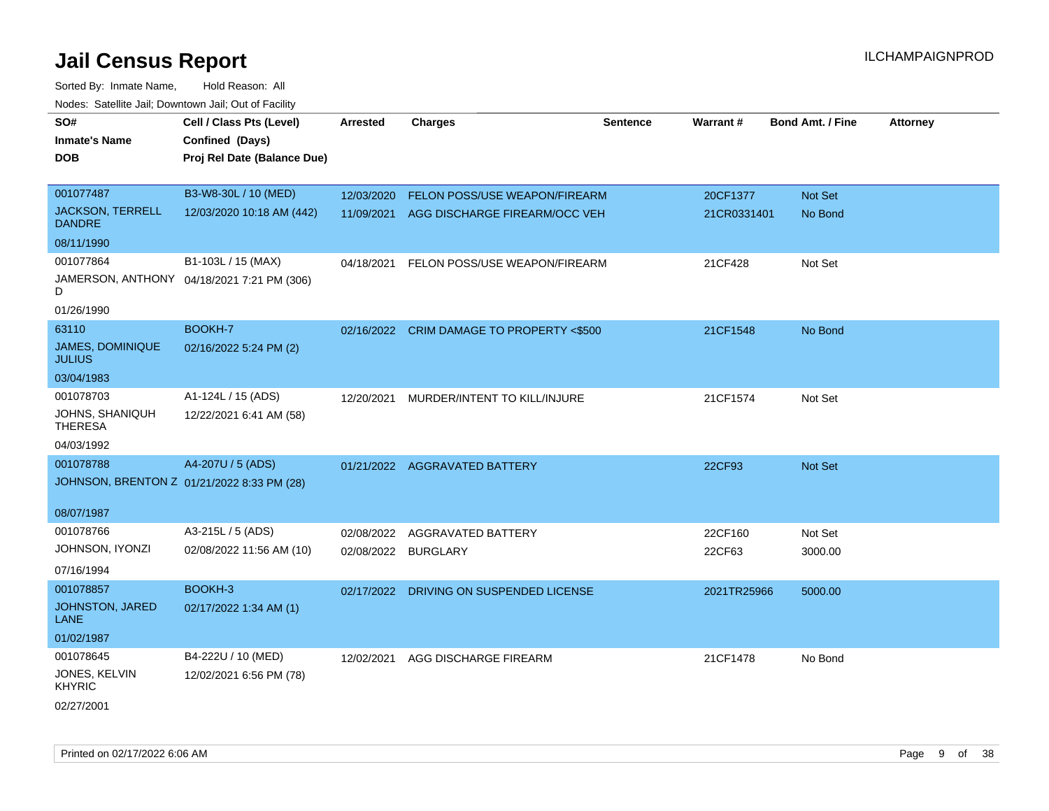| roaco. Catolino dall, Downtown dall, Out of Fability |                                            |                     |                                           |                 |                 |                         |                 |
|------------------------------------------------------|--------------------------------------------|---------------------|-------------------------------------------|-----------------|-----------------|-------------------------|-----------------|
| SO#                                                  | Cell / Class Pts (Level)                   | <b>Arrested</b>     | <b>Charges</b>                            | <b>Sentence</b> | <b>Warrant#</b> | <b>Bond Amt. / Fine</b> | <b>Attorney</b> |
| <b>Inmate's Name</b>                                 | Confined (Days)                            |                     |                                           |                 |                 |                         |                 |
| <b>DOB</b>                                           | Proj Rel Date (Balance Due)                |                     |                                           |                 |                 |                         |                 |
|                                                      |                                            |                     |                                           |                 |                 |                         |                 |
| 001077487                                            | B3-W8-30L / 10 (MED)                       | 12/03/2020          | FELON POSS/USE WEAPON/FIREARM             |                 | 20CF1377        | Not Set                 |                 |
| <b>JACKSON, TERRELL</b><br><b>DANDRE</b>             | 12/03/2020 10:18 AM (442)                  | 11/09/2021          | AGG DISCHARGE FIREARM/OCC VEH             |                 | 21CR0331401     | No Bond                 |                 |
| 08/11/1990                                           |                                            |                     |                                           |                 |                 |                         |                 |
| 001077864                                            | B1-103L / 15 (MAX)                         | 04/18/2021          | FELON POSS/USE WEAPON/FIREARM             |                 | 21CF428         | Not Set                 |                 |
| D                                                    | JAMERSON, ANTHONY 04/18/2021 7:21 PM (306) |                     |                                           |                 |                 |                         |                 |
| 01/26/1990                                           |                                            |                     |                                           |                 |                 |                         |                 |
| 63110                                                | BOOKH-7                                    |                     | 02/16/2022 CRIM DAMAGE TO PROPERTY <\$500 |                 | 21CF1548        | No Bond                 |                 |
| <b>JAMES, DOMINIQUE</b><br><b>JULIUS</b>             | 02/16/2022 5:24 PM (2)                     |                     |                                           |                 |                 |                         |                 |
| 03/04/1983                                           |                                            |                     |                                           |                 |                 |                         |                 |
| 001078703                                            | A1-124L / 15 (ADS)                         | 12/20/2021          | MURDER/INTENT TO KILL/INJURE              |                 | 21CF1574        | Not Set                 |                 |
| <b>JOHNS, SHANIQUH</b><br><b>THERESA</b>             | 12/22/2021 6:41 AM (58)                    |                     |                                           |                 |                 |                         |                 |
| 04/03/1992                                           |                                            |                     |                                           |                 |                 |                         |                 |
| 001078788                                            | A4-207U / 5 (ADS)                          | 01/21/2022          | AGGRAVATED BATTERY                        |                 | 22CF93          | <b>Not Set</b>          |                 |
|                                                      | JOHNSON, BRENTON Z 01/21/2022 8:33 PM (28) |                     |                                           |                 |                 |                         |                 |
| 08/07/1987                                           |                                            |                     |                                           |                 |                 |                         |                 |
| 001078766                                            | A3-215L / 5 (ADS)                          | 02/08/2022          | AGGRAVATED BATTERY                        |                 | 22CF160         | Not Set                 |                 |
| JOHNSON, IYONZI                                      | 02/08/2022 11:56 AM (10)                   | 02/08/2022 BURGLARY |                                           |                 | 22CF63          | 3000.00                 |                 |
| 07/16/1994                                           |                                            |                     |                                           |                 |                 |                         |                 |
| 001078857                                            | BOOKH-3                                    |                     | 02/17/2022 DRIVING ON SUSPENDED LICENSE   |                 | 2021TR25966     | 5000.00                 |                 |
| JOHNSTON, JARED<br>LANE                              | 02/17/2022 1:34 AM (1)                     |                     |                                           |                 |                 |                         |                 |
| 01/02/1987                                           |                                            |                     |                                           |                 |                 |                         |                 |
| 001078645                                            | B4-222U / 10 (MED)                         | 12/02/2021          | AGG DISCHARGE FIREARM                     |                 | 21CF1478        | No Bond                 |                 |
| JONES, KELVIN<br><b>KHYRIC</b>                       | 12/02/2021 6:56 PM (78)                    |                     |                                           |                 |                 |                         |                 |
| 02/27/2001                                           |                                            |                     |                                           |                 |                 |                         |                 |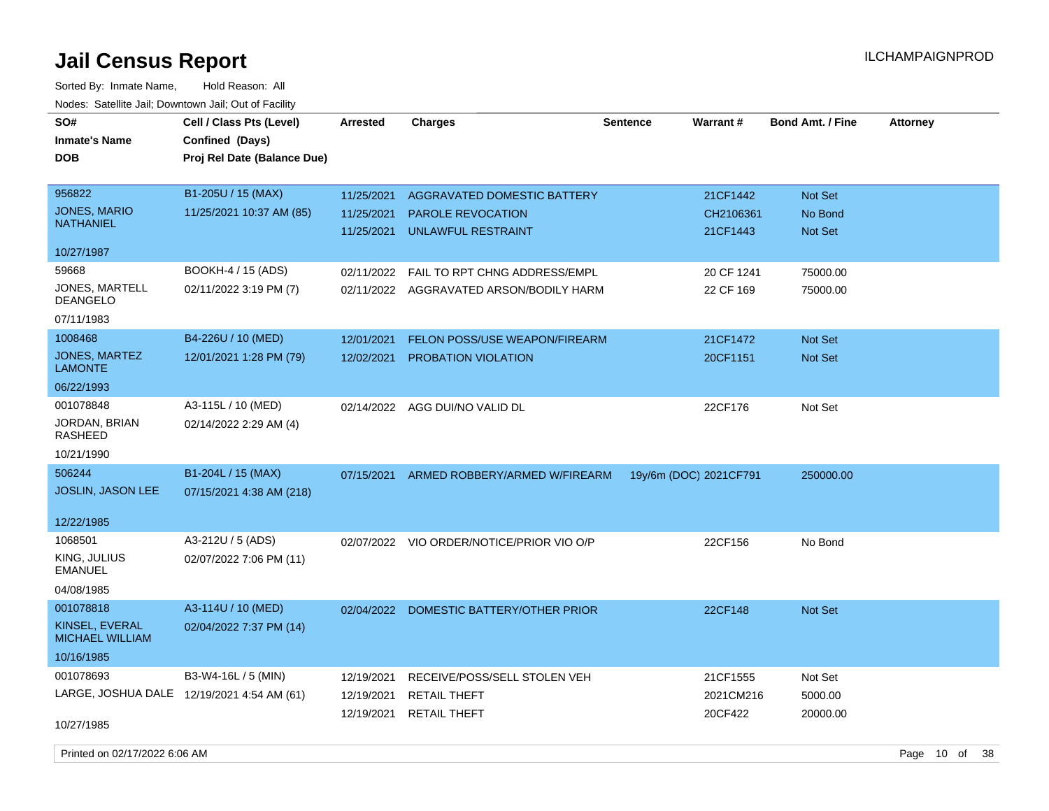| SO#<br><b>Inmate's Name</b><br><b>DOB</b> | Cell / Class Pts (Level)<br>Confined (Days)<br>Proj Rel Date (Balance Due) | <b>Arrested</b> | <b>Charges</b>                            | <b>Sentence</b> | <b>Warrant#</b>        | <b>Bond Amt. / Fine</b> | <b>Attorney</b> |
|-------------------------------------------|----------------------------------------------------------------------------|-----------------|-------------------------------------------|-----------------|------------------------|-------------------------|-----------------|
| 956822                                    | B1-205U / 15 (MAX)                                                         | 11/25/2021      | AGGRAVATED DOMESTIC BATTERY               |                 | 21CF1442               | Not Set                 |                 |
| JONES, MARIO<br><b>NATHANIEL</b>          | 11/25/2021 10:37 AM (85)                                                   | 11/25/2021      | PAROLE REVOCATION                         |                 | CH2106361              | No Bond                 |                 |
|                                           |                                                                            | 11/25/2021      | <b>UNLAWFUL RESTRAINT</b>                 |                 | 21CF1443               | Not Set                 |                 |
| 10/27/1987                                |                                                                            |                 |                                           |                 |                        |                         |                 |
| 59668                                     | BOOKH-4 / 15 (ADS)                                                         | 02/11/2022      | FAIL TO RPT CHNG ADDRESS/EMPL             |                 | 20 CF 1241             | 75000.00                |                 |
| JONES, MARTELL<br><b>DEANGELO</b>         | 02/11/2022 3:19 PM (7)                                                     |                 | 02/11/2022 AGGRAVATED ARSON/BODILY HARM   |                 | 22 CF 169              | 75000.00                |                 |
| 07/11/1983                                |                                                                            |                 |                                           |                 |                        |                         |                 |
| 1008468                                   | B4-226U / 10 (MED)                                                         | 12/01/2021      | FELON POSS/USE WEAPON/FIREARM             |                 | 21CF1472               | Not Set                 |                 |
| JONES, MARTEZ<br><b>LAMONTE</b>           | 12/01/2021 1:28 PM (79)                                                    | 12/02/2021      | PROBATION VIOLATION                       |                 | 20CF1151               | Not Set                 |                 |
| 06/22/1993                                |                                                                            |                 |                                           |                 |                        |                         |                 |
| 001078848                                 | A3-115L / 10 (MED)                                                         | 02/14/2022      | AGG DUI/NO VALID DL                       |                 | 22CF176                | Not Set                 |                 |
| JORDAN, BRIAN<br><b>RASHEED</b>           | 02/14/2022 2:29 AM (4)                                                     |                 |                                           |                 |                        |                         |                 |
| 10/21/1990                                |                                                                            |                 |                                           |                 |                        |                         |                 |
| 506244                                    | B1-204L / 15 (MAX)                                                         | 07/15/2021      | ARMED ROBBERY/ARMED W/FIREARM             |                 | 19y/6m (DOC) 2021CF791 | 250000.00               |                 |
| <b>JOSLIN, JASON LEE</b>                  | 07/15/2021 4:38 AM (218)                                                   |                 |                                           |                 |                        |                         |                 |
| 12/22/1985                                |                                                                            |                 |                                           |                 |                        |                         |                 |
| 1068501                                   | A3-212U / 5 (ADS)                                                          |                 | 02/07/2022 VIO ORDER/NOTICE/PRIOR VIO O/P |                 | 22CF156                | No Bond                 |                 |
| KING, JULIUS<br><b>EMANUEL</b>            | 02/07/2022 7:06 PM (11)                                                    |                 |                                           |                 |                        |                         |                 |
| 04/08/1985                                |                                                                            |                 |                                           |                 |                        |                         |                 |
| 001078818                                 | A3-114U / 10 (MED)                                                         | 02/04/2022      | DOMESTIC BATTERY/OTHER PRIOR              |                 | 22CF148                | Not Set                 |                 |
| KINSEL, EVERAL<br><b>MICHAEL WILLIAM</b>  | 02/04/2022 7:37 PM (14)                                                    |                 |                                           |                 |                        |                         |                 |
| 10/16/1985                                |                                                                            |                 |                                           |                 |                        |                         |                 |
| 001078693                                 | B3-W4-16L / 5 (MIN)                                                        | 12/19/2021      | RECEIVE/POSS/SELL STOLEN VEH              |                 | 21CF1555               | Not Set                 |                 |
|                                           | LARGE, JOSHUA DALE 12/19/2021 4:54 AM (61)                                 | 12/19/2021      | <b>RETAIL THEFT</b>                       |                 | 2021CM216              | 5000.00                 |                 |
| 10/27/1985                                |                                                                            | 12/19/2021      | <b>RETAIL THEFT</b>                       |                 | 20CF422                | 20000.00                |                 |
| Printed on 02/17/2022 6:06 AM             |                                                                            |                 |                                           |                 |                        |                         | Page 10 of 38   |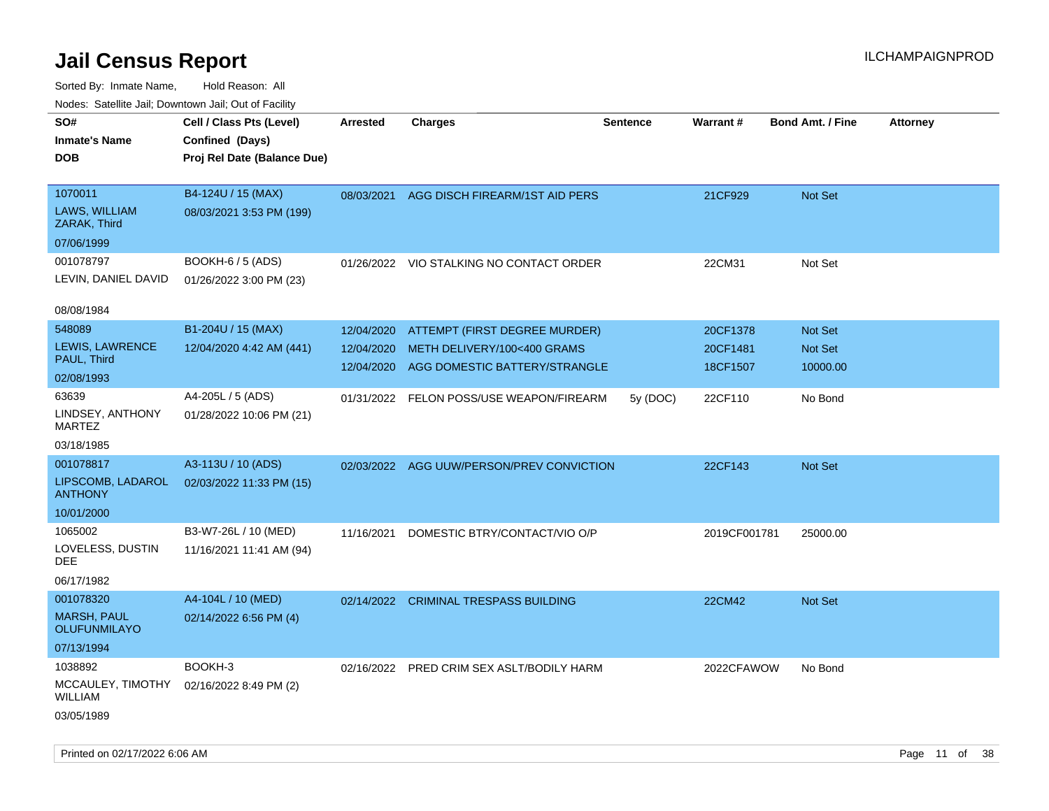Sorted By: Inmate Name, Hold Reason: All Nodes: Satellite Jail; Downtown Jail; Out of Facility

| roaco. Catolino dall, Downtown dall, Out of Fability                 |                                                                            |                                        |                                                                                               |                 |                                  |                                       |                 |
|----------------------------------------------------------------------|----------------------------------------------------------------------------|----------------------------------------|-----------------------------------------------------------------------------------------------|-----------------|----------------------------------|---------------------------------------|-----------------|
| SO#<br><b>Inmate's Name</b><br><b>DOB</b>                            | Cell / Class Pts (Level)<br>Confined (Days)<br>Proj Rel Date (Balance Due) | <b>Arrested</b>                        | <b>Charges</b>                                                                                | <b>Sentence</b> | <b>Warrant#</b>                  | <b>Bond Amt. / Fine</b>               | <b>Attorney</b> |
| 1070011<br>LAWS, WILLIAM<br>ZARAK, Third<br>07/06/1999               | B4-124U / 15 (MAX)<br>08/03/2021 3:53 PM (199)                             | 08/03/2021                             | AGG DISCH FIREARM/1ST AID PERS                                                                |                 | 21CF929                          | Not Set                               |                 |
| 001078797<br>LEVIN, DANIEL DAVID                                     | <b>BOOKH-6 / 5 (ADS)</b><br>01/26/2022 3:00 PM (23)                        | 01/26/2022                             | VIO STALKING NO CONTACT ORDER                                                                 |                 | 22CM31                           | Not Set                               |                 |
| 08/08/1984<br>548089<br>LEWIS, LAWRENCE<br>PAUL, Third<br>02/08/1993 | B1-204U / 15 (MAX)<br>12/04/2020 4:42 AM (441)                             | 12/04/2020<br>12/04/2020<br>12/04/2020 | ATTEMPT (FIRST DEGREE MURDER)<br>METH DELIVERY/100<400 GRAMS<br>AGG DOMESTIC BATTERY/STRANGLE |                 | 20CF1378<br>20CF1481<br>18CF1507 | <b>Not Set</b><br>Not Set<br>10000.00 |                 |
| 63639<br>LINDSEY, ANTHONY<br>MARTEZ<br>03/18/1985                    | A4-205L / 5 (ADS)<br>01/28/2022 10:06 PM (21)                              | 01/31/2022                             | FELON POSS/USE WEAPON/FIREARM                                                                 | 5y (DOC)        | 22CF110                          | No Bond                               |                 |
| 001078817<br>LIPSCOMB, LADAROL<br><b>ANTHONY</b><br>10/01/2000       | A3-113U / 10 (ADS)<br>02/03/2022 11:33 PM (15)                             | 02/03/2022                             | AGG UUW/PERSON/PREV CONVICTION                                                                |                 | 22CF143                          | Not Set                               |                 |
| 1065002<br>LOVELESS, DUSTIN<br>DEE<br>06/17/1982                     | B3-W7-26L / 10 (MED)<br>11/16/2021 11:41 AM (94)                           | 11/16/2021                             | DOMESTIC BTRY/CONTACT/VIO O/P                                                                 |                 | 2019CF001781                     | 25000.00                              |                 |
| 001078320<br><b>MARSH, PAUL</b><br><b>OLUFUNMILAYO</b><br>07/13/1994 | A4-104L / 10 (MED)<br>02/14/2022 6:56 PM (4)                               |                                        | 02/14/2022 CRIMINAL TRESPASS BUILDING                                                         |                 | 22CM42                           | <b>Not Set</b>                        |                 |
| 1038892<br>MCCAULEY, TIMOTHY<br>WILLIAM<br>03/05/1989                | BOOKH-3<br>02/16/2022 8:49 PM (2)                                          | 02/16/2022                             | PRED CRIM SEX ASLT/BODILY HARM                                                                |                 | 2022CFAWOW                       | No Bond                               |                 |

Printed on 02/17/2022 6:06 AM **Page 11** of 38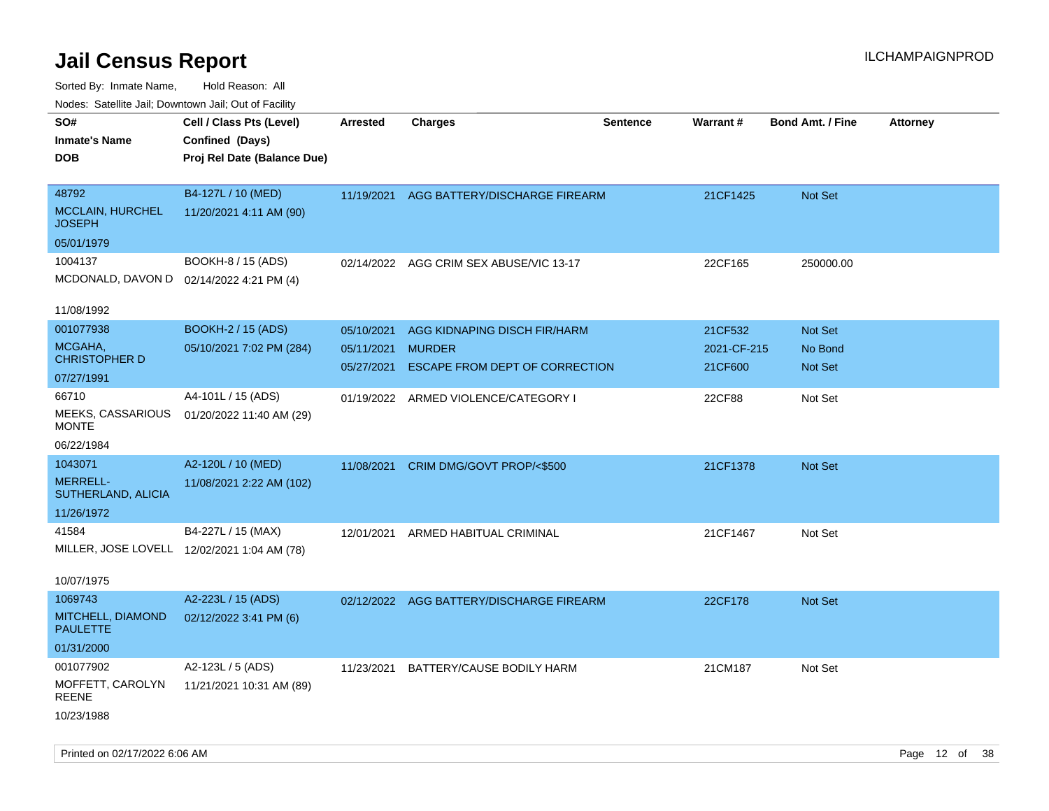| ivouss. Satellite Jali, Downtown Jali, Out of Facility |                                             |                 |                                          |                 |             |                         |                 |
|--------------------------------------------------------|---------------------------------------------|-----------------|------------------------------------------|-----------------|-------------|-------------------------|-----------------|
| SO#                                                    | Cell / Class Pts (Level)                    | <b>Arrested</b> | Charges                                  | <b>Sentence</b> | Warrant#    | <b>Bond Amt. / Fine</b> | <b>Attorney</b> |
| Inmate's Name                                          | Confined (Days)                             |                 |                                          |                 |             |                         |                 |
| DOB                                                    | Proj Rel Date (Balance Due)                 |                 |                                          |                 |             |                         |                 |
|                                                        |                                             |                 |                                          |                 |             |                         |                 |
| 48792                                                  | B4-127L / 10 (MED)                          |                 | 11/19/2021 AGG BATTERY/DISCHARGE FIREARM |                 | 21CF1425    | <b>Not Set</b>          |                 |
| <b>MCCLAIN, HURCHEL</b><br>JOSEPH                      | 11/20/2021 4:11 AM (90)                     |                 |                                          |                 |             |                         |                 |
| 05/01/1979                                             |                                             |                 |                                          |                 |             |                         |                 |
| 1004137                                                | <b>BOOKH-8 / 15 (ADS)</b>                   |                 | 02/14/2022 AGG CRIM SEX ABUSE/VIC 13-17  |                 | 22CF165     | 250000.00               |                 |
| MCDONALD, DAVON D 02/14/2022 4:21 PM (4)               |                                             |                 |                                          |                 |             |                         |                 |
|                                                        |                                             |                 |                                          |                 |             |                         |                 |
| 11/08/1992                                             |                                             |                 |                                          |                 |             |                         |                 |
| 001077938                                              | <b>BOOKH-2 / 15 (ADS)</b>                   | 05/10/2021      | AGG KIDNAPING DISCH FIR/HARM             |                 | 21CF532     | <b>Not Set</b>          |                 |
| MCGAHA,                                                | 05/10/2021 7:02 PM (284)                    | 05/11/2021      | <b>MURDER</b>                            |                 | 2021-CF-215 | No Bond                 |                 |
| <b>CHRISTOPHER D</b>                                   |                                             | 05/27/2021      | ESCAPE FROM DEPT OF CORRECTION           |                 | 21CF600     | Not Set                 |                 |
| 07/27/1991                                             |                                             |                 |                                          |                 |             |                         |                 |
| 66710                                                  | A4-101L / 15 (ADS)                          |                 | 01/19/2022 ARMED VIOLENCE/CATEGORY I     |                 | 22CF88      | Not Set                 |                 |
| MEEKS, CASSARIOUS<br><b>MONTE</b>                      | 01/20/2022 11:40 AM (29)                    |                 |                                          |                 |             |                         |                 |
| 06/22/1984                                             |                                             |                 |                                          |                 |             |                         |                 |
| 1043071                                                | A2-120L / 10 (MED)                          |                 |                                          |                 |             |                         |                 |
| <b>MERRELL-</b>                                        |                                             | 11/08/2021      | CRIM DMG/GOVT PROP/<\$500                |                 | 21CF1378    | Not Set                 |                 |
| SUTHERLAND, ALICIA                                     | 11/08/2021 2:22 AM (102)                    |                 |                                          |                 |             |                         |                 |
| 11/26/1972                                             |                                             |                 |                                          |                 |             |                         |                 |
| 41584                                                  | B4-227L / 15 (MAX)                          | 12/01/2021      | ARMED HABITUAL CRIMINAL                  |                 | 21CF1467    | Not Set                 |                 |
|                                                        | MILLER, JOSE LOVELL 12/02/2021 1:04 AM (78) |                 |                                          |                 |             |                         |                 |
|                                                        |                                             |                 |                                          |                 |             |                         |                 |
| 10/07/1975                                             |                                             |                 |                                          |                 |             |                         |                 |
| 1069743                                                | A2-223L / 15 (ADS)                          |                 | 02/12/2022 AGG BATTERY/DISCHARGE FIREARM |                 | 22CF178     | <b>Not Set</b>          |                 |
| MITCHELL, DIAMOND                                      | 02/12/2022 3:41 PM (6)                      |                 |                                          |                 |             |                         |                 |
| <b>PAULETTE</b>                                        |                                             |                 |                                          |                 |             |                         |                 |
| 01/31/2000                                             |                                             |                 |                                          |                 |             |                         |                 |
| 001077902                                              | A2-123L / 5 (ADS)                           | 11/23/2021      | BATTERY/CAUSE BODILY HARM                |                 | 21CM187     | Not Set                 |                 |
| MOFFETT, CAROLYN                                       | 11/21/2021 10:31 AM (89)                    |                 |                                          |                 |             |                         |                 |
| REENE                                                  |                                             |                 |                                          |                 |             |                         |                 |
| 10/23/1988                                             |                                             |                 |                                          |                 |             |                         |                 |
|                                                        |                                             |                 |                                          |                 |             |                         |                 |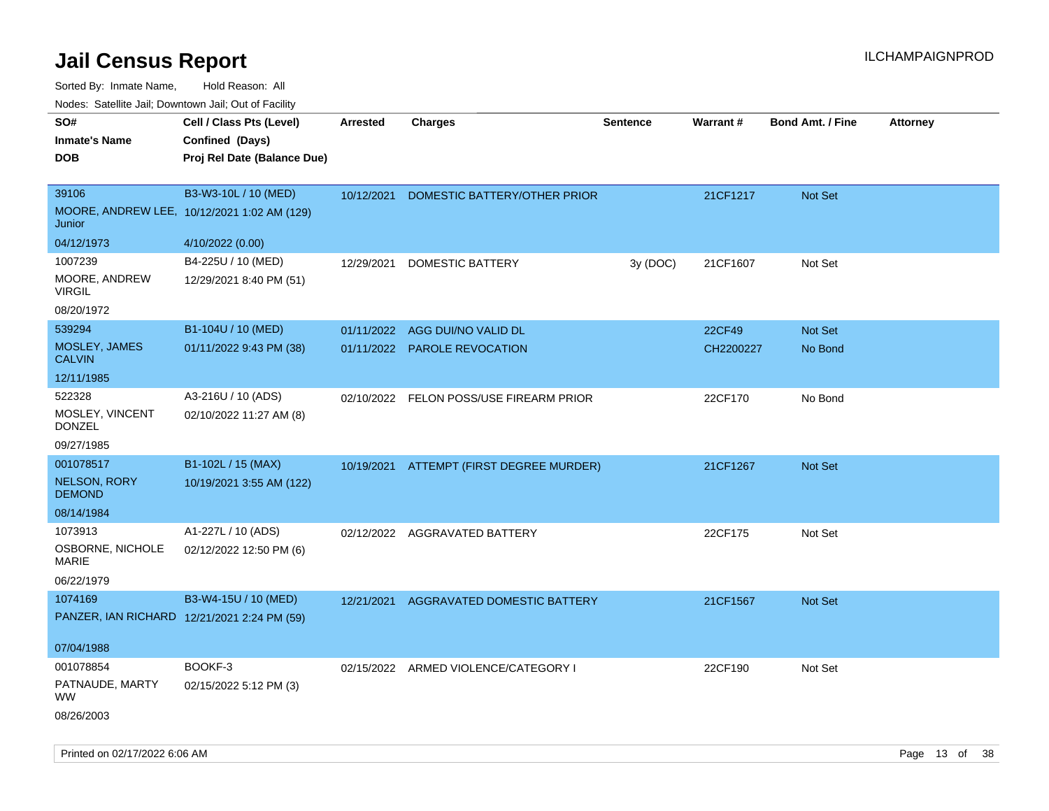Sorted By: Inmate Name, Hold Reason: All Nodes: Satellite Jail; Downtown Jail; Out of Facility

| ivouss. Satellite Jali, Downtown Jali, Out of Facility |                                             |            |                                          |                 |           |                         |                 |
|--------------------------------------------------------|---------------------------------------------|------------|------------------------------------------|-----------------|-----------|-------------------------|-----------------|
| SO#                                                    | Cell / Class Pts (Level)                    | Arrested   | <b>Charges</b>                           | <b>Sentence</b> | Warrant#  | <b>Bond Amt. / Fine</b> | <b>Attorney</b> |
| <b>Inmate's Name</b>                                   | Confined (Days)                             |            |                                          |                 |           |                         |                 |
| <b>DOB</b>                                             | Proj Rel Date (Balance Due)                 |            |                                          |                 |           |                         |                 |
|                                                        |                                             |            |                                          |                 |           |                         |                 |
| 39106                                                  | B3-W3-10L / 10 (MED)                        | 10/12/2021 | DOMESTIC BATTERY/OTHER PRIOR             |                 | 21CF1217  | <b>Not Set</b>          |                 |
| Junior                                                 | MOORE, ANDREW LEE, 10/12/2021 1:02 AM (129) |            |                                          |                 |           |                         |                 |
| 04/12/1973                                             | 4/10/2022 (0.00)                            |            |                                          |                 |           |                         |                 |
| 1007239                                                | B4-225U / 10 (MED)                          | 12/29/2021 | DOMESTIC BATTERY                         | 3y (DOC)        | 21CF1607  | Not Set                 |                 |
| MOORE, ANDREW<br><b>VIRGIL</b>                         | 12/29/2021 8:40 PM (51)                     |            |                                          |                 |           |                         |                 |
| 08/20/1972                                             |                                             |            |                                          |                 |           |                         |                 |
| 539294                                                 | B1-104U / 10 (MED)                          |            | 01/11/2022 AGG DUI/NO VALID DL           |                 | 22CF49    | Not Set                 |                 |
| MOSLEY, JAMES<br><b>CALVIN</b>                         | 01/11/2022 9:43 PM (38)                     |            | 01/11/2022 PAROLE REVOCATION             |                 | CH2200227 | No Bond                 |                 |
| 12/11/1985                                             |                                             |            |                                          |                 |           |                         |                 |
| 522328                                                 | A3-216U / 10 (ADS)                          |            | 02/10/2022 FELON POSS/USE FIREARM PRIOR  |                 | 22CF170   | No Bond                 |                 |
| MOSLEY, VINCENT<br><b>DONZEL</b>                       | 02/10/2022 11:27 AM (8)                     |            |                                          |                 |           |                         |                 |
| 09/27/1985                                             |                                             |            |                                          |                 |           |                         |                 |
| 001078517                                              | B1-102L / 15 (MAX)                          |            | 10/19/2021 ATTEMPT (FIRST DEGREE MURDER) |                 | 21CF1267  | <b>Not Set</b>          |                 |
| <b>NELSON, RORY</b><br><b>DEMOND</b>                   | 10/19/2021 3:55 AM (122)                    |            |                                          |                 |           |                         |                 |
| 08/14/1984                                             |                                             |            |                                          |                 |           |                         |                 |
| 1073913                                                | A1-227L / 10 (ADS)                          |            | 02/12/2022 AGGRAVATED BATTERY            |                 | 22CF175   | Not Set                 |                 |
| OSBORNE, NICHOLE<br><b>MARIE</b>                       | 02/12/2022 12:50 PM (6)                     |            |                                          |                 |           |                         |                 |
| 06/22/1979                                             |                                             |            |                                          |                 |           |                         |                 |
| 1074169                                                | B3-W4-15U / 10 (MED)                        | 12/21/2021 | AGGRAVATED DOMESTIC BATTERY              |                 | 21CF1567  | <b>Not Set</b>          |                 |
| PANZER, IAN RICHARD 12/21/2021 2:24 PM (59)            |                                             |            |                                          |                 |           |                         |                 |
| 07/04/1988                                             |                                             |            |                                          |                 |           |                         |                 |
| 001078854                                              | BOOKF-3                                     |            | 02/15/2022 ARMED VIOLENCE/CATEGORY I     |                 | 22CF190   | Not Set                 |                 |
| PATNAUDE, MARTY<br>WW.                                 | 02/15/2022 5:12 PM (3)                      |            |                                          |                 |           |                         |                 |
| 08/26/2003                                             |                                             |            |                                          |                 |           |                         |                 |

Printed on 02/17/2022 6:06 AM Page 13 of 38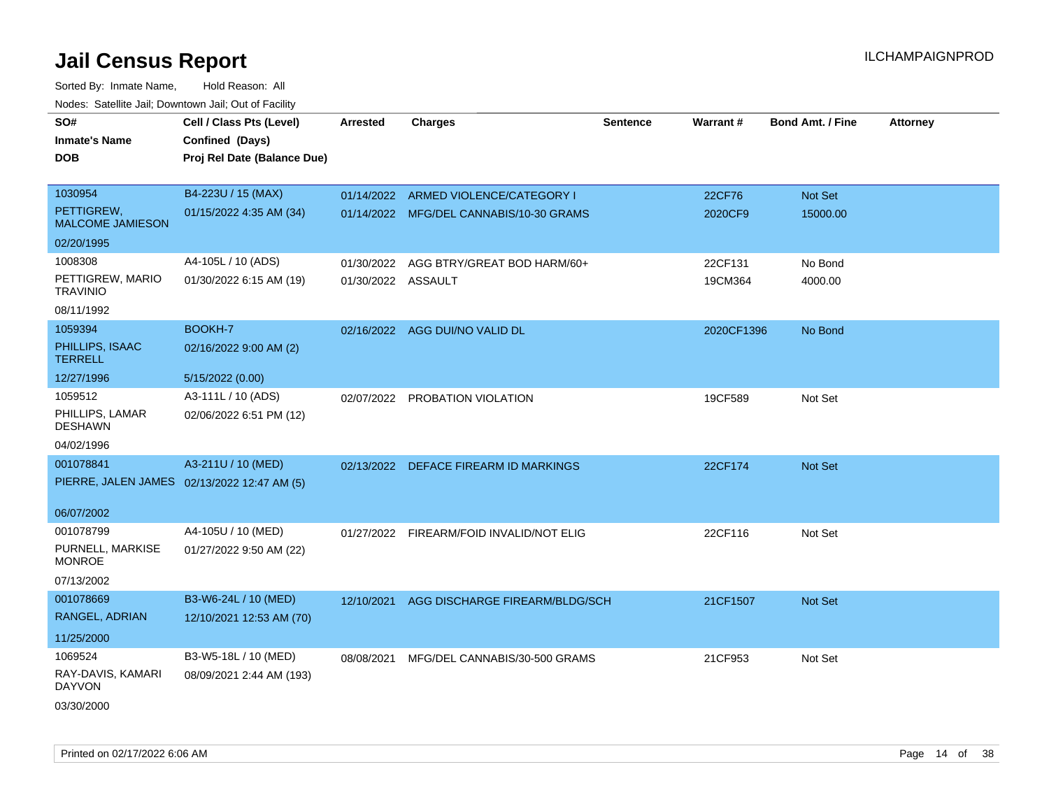| SO#                                   | Cell / Class Pts (Level)                    | <b>Arrested</b>    | <b>Charges</b>                           | <b>Sentence</b> | Warrant#   | <b>Bond Amt. / Fine</b> | <b>Attorney</b> |
|---------------------------------------|---------------------------------------------|--------------------|------------------------------------------|-----------------|------------|-------------------------|-----------------|
| <b>Inmate's Name</b>                  | Confined (Days)                             |                    |                                          |                 |            |                         |                 |
| <b>DOB</b>                            | Proj Rel Date (Balance Due)                 |                    |                                          |                 |            |                         |                 |
|                                       |                                             |                    |                                          |                 |            |                         |                 |
| 1030954                               | B4-223U / 15 (MAX)                          |                    | 01/14/2022 ARMED VIOLENCE/CATEGORY I     |                 | 22CF76     | Not Set                 |                 |
| PETTIGREW,<br><b>MALCOME JAMIESON</b> | 01/15/2022 4:35 AM (34)                     |                    | 01/14/2022 MFG/DEL CANNABIS/10-30 GRAMS  |                 | 2020CF9    | 15000.00                |                 |
| 02/20/1995                            |                                             |                    |                                          |                 |            |                         |                 |
| 1008308                               | A4-105L / 10 (ADS)                          | 01/30/2022         | AGG BTRY/GREAT BOD HARM/60+              |                 | 22CF131    | No Bond                 |                 |
| PETTIGREW, MARIO<br><b>TRAVINIO</b>   | 01/30/2022 6:15 AM (19)                     | 01/30/2022 ASSAULT |                                          |                 | 19CM364    | 4000.00                 |                 |
| 08/11/1992                            |                                             |                    |                                          |                 |            |                         |                 |
| 1059394                               | BOOKH-7                                     |                    | 02/16/2022 AGG DUI/NO VALID DL           |                 | 2020CF1396 | No Bond                 |                 |
| PHILLIPS, ISAAC<br><b>TERRELL</b>     | 02/16/2022 9:00 AM (2)                      |                    |                                          |                 |            |                         |                 |
| 12/27/1996                            | 5/15/2022 (0.00)                            |                    |                                          |                 |            |                         |                 |
| 1059512                               | A3-111L / 10 (ADS)                          |                    | 02/07/2022 PROBATION VIOLATION           |                 | 19CF589    | Not Set                 |                 |
| PHILLIPS, LAMAR<br><b>DESHAWN</b>     | 02/06/2022 6:51 PM (12)                     |                    |                                          |                 |            |                         |                 |
| 04/02/1996                            |                                             |                    |                                          |                 |            |                         |                 |
| 001078841                             | A3-211U / 10 (MED)                          |                    | 02/13/2022 DEFACE FIREARM ID MARKINGS    |                 | 22CF174    | Not Set                 |                 |
|                                       | PIERRE, JALEN JAMES 02/13/2022 12:47 AM (5) |                    |                                          |                 |            |                         |                 |
|                                       |                                             |                    |                                          |                 |            |                         |                 |
| 06/07/2002                            |                                             |                    |                                          |                 |            |                         |                 |
| 001078799                             | A4-105U / 10 (MED)                          |                    | 01/27/2022 FIREARM/FOID INVALID/NOT ELIG |                 | 22CF116    | Not Set                 |                 |
| PURNELL, MARKISE<br><b>MONROE</b>     | 01/27/2022 9:50 AM (22)                     |                    |                                          |                 |            |                         |                 |
| 07/13/2002                            |                                             |                    |                                          |                 |            |                         |                 |
| 001078669                             | B3-W6-24L / 10 (MED)                        | 12/10/2021         | AGG DISCHARGE FIREARM/BLDG/SCH           |                 | 21CF1507   | Not Set                 |                 |
| RANGEL, ADRIAN                        | 12/10/2021 12:53 AM (70)                    |                    |                                          |                 |            |                         |                 |
| 11/25/2000                            |                                             |                    |                                          |                 |            |                         |                 |
| 1069524                               | B3-W5-18L / 10 (MED)                        | 08/08/2021         | MFG/DEL CANNABIS/30-500 GRAMS            |                 | 21CF953    | Not Set                 |                 |
| RAY-DAVIS, KAMARI<br><b>DAYVON</b>    | 08/09/2021 2:44 AM (193)                    |                    |                                          |                 |            |                         |                 |
| 03/30/2000                            |                                             |                    |                                          |                 |            |                         |                 |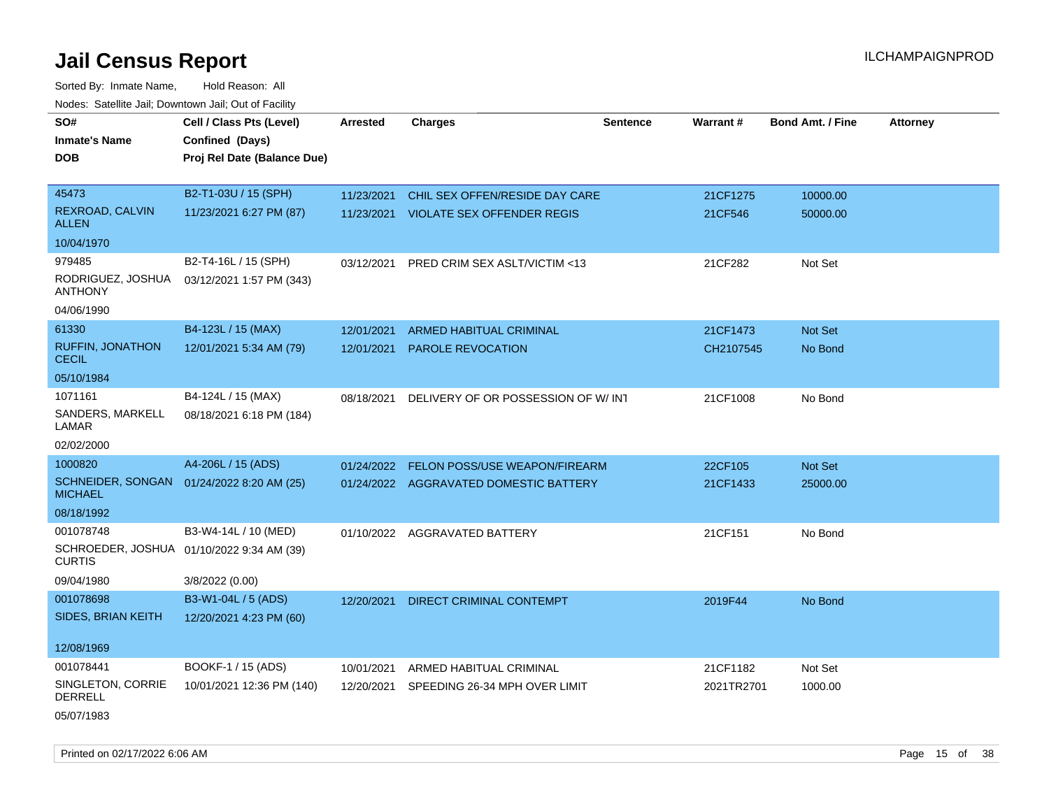Sorted By: Inmate Name, Hold Reason: All Nodes: Satellite Jail; Downtown Jail; Out of Facility

| SO#                                     | Cell / Class Pts (Level)                  | <b>Arrested</b> | <b>Charges</b>                         | <b>Sentence</b> | Warrant#   | <b>Bond Amt. / Fine</b> | <b>Attorney</b> |
|-----------------------------------------|-------------------------------------------|-----------------|----------------------------------------|-----------------|------------|-------------------------|-----------------|
| <b>Inmate's Name</b>                    | Confined (Days)                           |                 |                                        |                 |            |                         |                 |
| <b>DOB</b>                              | Proj Rel Date (Balance Due)               |                 |                                        |                 |            |                         |                 |
|                                         |                                           |                 |                                        |                 |            |                         |                 |
| 45473                                   | B2-T1-03U / 15 (SPH)                      | 11/23/2021      | CHIL SEX OFFEN/RESIDE DAY CARE         |                 | 21CF1275   | 10000.00                |                 |
| <b>REXROAD, CALVIN</b><br><b>ALLEN</b>  | 11/23/2021 6:27 PM (87)                   |                 | 11/23/2021 VIOLATE SEX OFFENDER REGIS  |                 | 21CF546    | 50000.00                |                 |
| 10/04/1970                              |                                           |                 |                                        |                 |            |                         |                 |
| 979485                                  | B2-T4-16L / 15 (SPH)                      | 03/12/2021      | PRED CRIM SEX ASLT/VICTIM <13          |                 | 21CF282    | Not Set                 |                 |
| RODRIGUEZ, JOSHUA<br><b>ANTHONY</b>     | 03/12/2021 1:57 PM (343)                  |                 |                                        |                 |            |                         |                 |
| 04/06/1990                              |                                           |                 |                                        |                 |            |                         |                 |
| 61330                                   | B4-123L / 15 (MAX)                        | 12/01/2021      | ARMED HABITUAL CRIMINAL                |                 | 21CF1473   | Not Set                 |                 |
| <b>RUFFIN, JONATHON</b><br><b>CECIL</b> | 12/01/2021 5:34 AM (79)                   | 12/01/2021      | PAROLE REVOCATION                      |                 | CH2107545  | No Bond                 |                 |
| 05/10/1984                              |                                           |                 |                                        |                 |            |                         |                 |
| 1071161                                 | B4-124L / 15 (MAX)                        | 08/18/2021      | DELIVERY OF OR POSSESSION OF W/INT     |                 | 21CF1008   | No Bond                 |                 |
| SANDERS, MARKELL<br>LAMAR               | 08/18/2021 6:18 PM (184)                  |                 |                                        |                 |            |                         |                 |
| 02/02/2000                              |                                           |                 |                                        |                 |            |                         |                 |
| 1000820                                 | A4-206L / 15 (ADS)                        | 01/24/2022      | FELON POSS/USE WEAPON/FIREARM          |                 | 22CF105    | Not Set                 |                 |
| <b>MICHAEL</b>                          | SCHNEIDER, SONGAN 01/24/2022 8:20 AM (25) |                 | 01/24/2022 AGGRAVATED DOMESTIC BATTERY |                 | 21CF1433   | 25000.00                |                 |
| 08/18/1992                              |                                           |                 |                                        |                 |            |                         |                 |
| 001078748                               | B3-W4-14L / 10 (MED)                      |                 | 01/10/2022 AGGRAVATED BATTERY          |                 | 21CF151    | No Bond                 |                 |
| <b>CURTIS</b>                           | SCHROEDER, JOSHUA 01/10/2022 9:34 AM (39) |                 |                                        |                 |            |                         |                 |
| 09/04/1980                              | 3/8/2022 (0.00)                           |                 |                                        |                 |            |                         |                 |
| 001078698                               | B3-W1-04L / 5 (ADS)                       | 12/20/2021      | <b>DIRECT CRIMINAL CONTEMPT</b>        |                 | 2019F44    | No Bond                 |                 |
| <b>SIDES, BRIAN KEITH</b>               | 12/20/2021 4:23 PM (60)                   |                 |                                        |                 |            |                         |                 |
| 12/08/1969                              |                                           |                 |                                        |                 |            |                         |                 |
| 001078441                               | BOOKF-1 / 15 (ADS)                        | 10/01/2021      | ARMED HABITUAL CRIMINAL                |                 | 21CF1182   | Not Set                 |                 |
| SINGLETON, CORRIE<br><b>DERRELL</b>     | 10/01/2021 12:36 PM (140)                 | 12/20/2021      | SPEEDING 26-34 MPH OVER LIMIT          |                 | 2021TR2701 | 1000.00                 |                 |
| 05/07/1983                              |                                           |                 |                                        |                 |            |                         |                 |

Printed on 02/17/2022 6:06 AM Page 15 of 38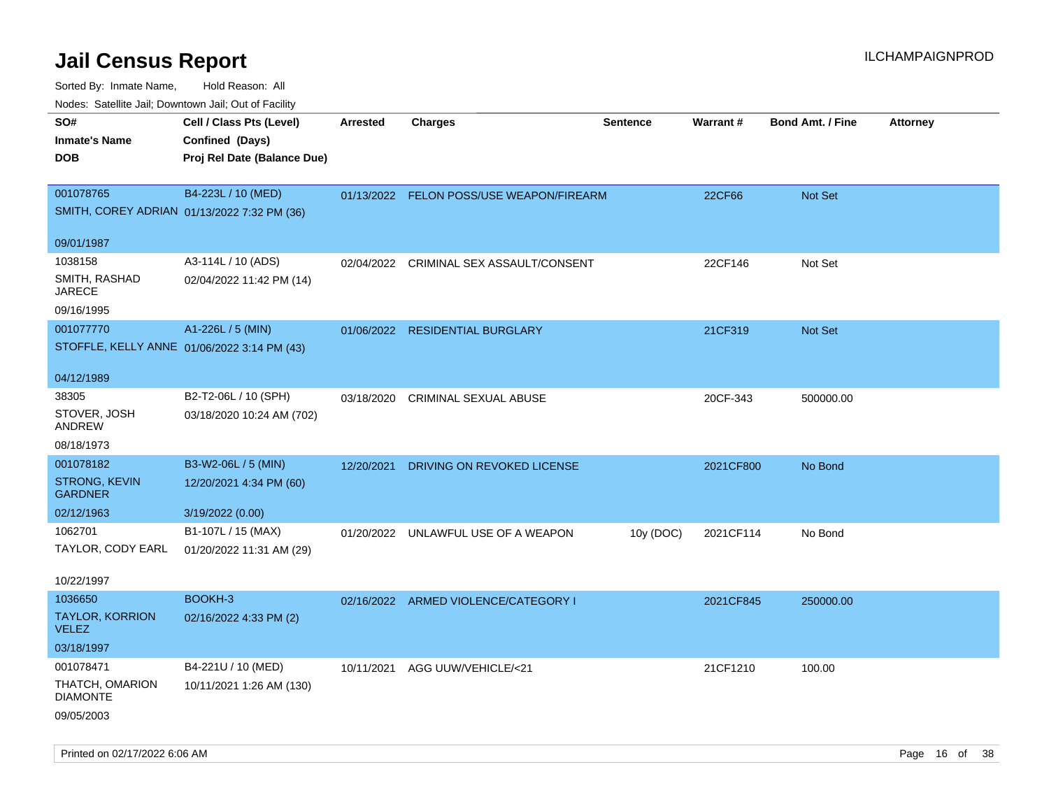| Nudes. Satellite Jali, Downtown Jali, Out of Facility |                             |                 |                                          |                 |                 |                         |                 |
|-------------------------------------------------------|-----------------------------|-----------------|------------------------------------------|-----------------|-----------------|-------------------------|-----------------|
| SO#                                                   | Cell / Class Pts (Level)    | <b>Arrested</b> | <b>Charges</b>                           | <b>Sentence</b> | <b>Warrant#</b> | <b>Bond Amt. / Fine</b> | <b>Attorney</b> |
| <b>Inmate's Name</b>                                  | Confined (Days)             |                 |                                          |                 |                 |                         |                 |
| <b>DOB</b>                                            | Proj Rel Date (Balance Due) |                 |                                          |                 |                 |                         |                 |
|                                                       |                             |                 |                                          |                 |                 |                         |                 |
| 001078765                                             | B4-223L / 10 (MED)          |                 | 01/13/2022 FELON POSS/USE WEAPON/FIREARM |                 | 22CF66          | Not Set                 |                 |
| SMITH, COREY ADRIAN 01/13/2022 7:32 PM (36)           |                             |                 |                                          |                 |                 |                         |                 |
|                                                       |                             |                 |                                          |                 |                 |                         |                 |
| 09/01/1987                                            |                             |                 |                                          |                 |                 |                         |                 |
| 1038158                                               | A3-114L / 10 (ADS)          |                 | 02/04/2022 CRIMINAL SEX ASSAULT/CONSENT  |                 | 22CF146         | Not Set                 |                 |
| SMITH, RASHAD<br>JARECE                               | 02/04/2022 11:42 PM (14)    |                 |                                          |                 |                 |                         |                 |
| 09/16/1995                                            |                             |                 |                                          |                 |                 |                         |                 |
| 001077770                                             | A1-226L / 5 (MIN)           |                 | 01/06/2022 RESIDENTIAL BURGLARY          |                 | 21CF319         | <b>Not Set</b>          |                 |
| STOFFLE, KELLY ANNE 01/06/2022 3:14 PM (43)           |                             |                 |                                          |                 |                 |                         |                 |
|                                                       |                             |                 |                                          |                 |                 |                         |                 |
| 04/12/1989                                            |                             |                 |                                          |                 |                 |                         |                 |
| 38305                                                 | B2-T2-06L / 10 (SPH)        | 03/18/2020      | <b>CRIMINAL SEXUAL ABUSE</b>             |                 | 20CF-343        | 500000.00               |                 |
| STOVER, JOSH<br>ANDREW                                | 03/18/2020 10:24 AM (702)   |                 |                                          |                 |                 |                         |                 |
| 08/18/1973                                            |                             |                 |                                          |                 |                 |                         |                 |
| 001078182                                             | B3-W2-06L / 5 (MIN)         | 12/20/2021      | DRIVING ON REVOKED LICENSE               |                 | 2021CF800       | No Bond                 |                 |
| <b>STRONG, KEVIN</b><br><b>GARDNER</b>                | 12/20/2021 4:34 PM (60)     |                 |                                          |                 |                 |                         |                 |
| 02/12/1963                                            | 3/19/2022 (0.00)            |                 |                                          |                 |                 |                         |                 |
| 1062701                                               | B1-107L / 15 (MAX)          |                 | 01/20/2022 UNLAWFUL USE OF A WEAPON      | 10y (DOC)       | 2021CF114       | No Bond                 |                 |
| TAYLOR, CODY EARL                                     | 01/20/2022 11:31 AM (29)    |                 |                                          |                 |                 |                         |                 |
|                                                       |                             |                 |                                          |                 |                 |                         |                 |
| 10/22/1997                                            |                             |                 |                                          |                 |                 |                         |                 |
| 1036650                                               | BOOKH-3                     |                 | 02/16/2022 ARMED VIOLENCE/CATEGORY I     |                 | 2021CF845       | 250000.00               |                 |
| <b>TAYLOR, KORRION</b><br><b>VELEZ</b>                | 02/16/2022 4:33 PM (2)      |                 |                                          |                 |                 |                         |                 |
| 03/18/1997                                            |                             |                 |                                          |                 |                 |                         |                 |
| 001078471                                             | B4-221U / 10 (MED)          | 10/11/2021      | AGG UUW/VEHICLE/<21                      |                 | 21CF1210        | 100.00                  |                 |
| THATCH, OMARION                                       | 10/11/2021 1:26 AM (130)    |                 |                                          |                 |                 |                         |                 |
| <b>DIAMONTE</b>                                       |                             |                 |                                          |                 |                 |                         |                 |
| 09/05/2003                                            |                             |                 |                                          |                 |                 |                         |                 |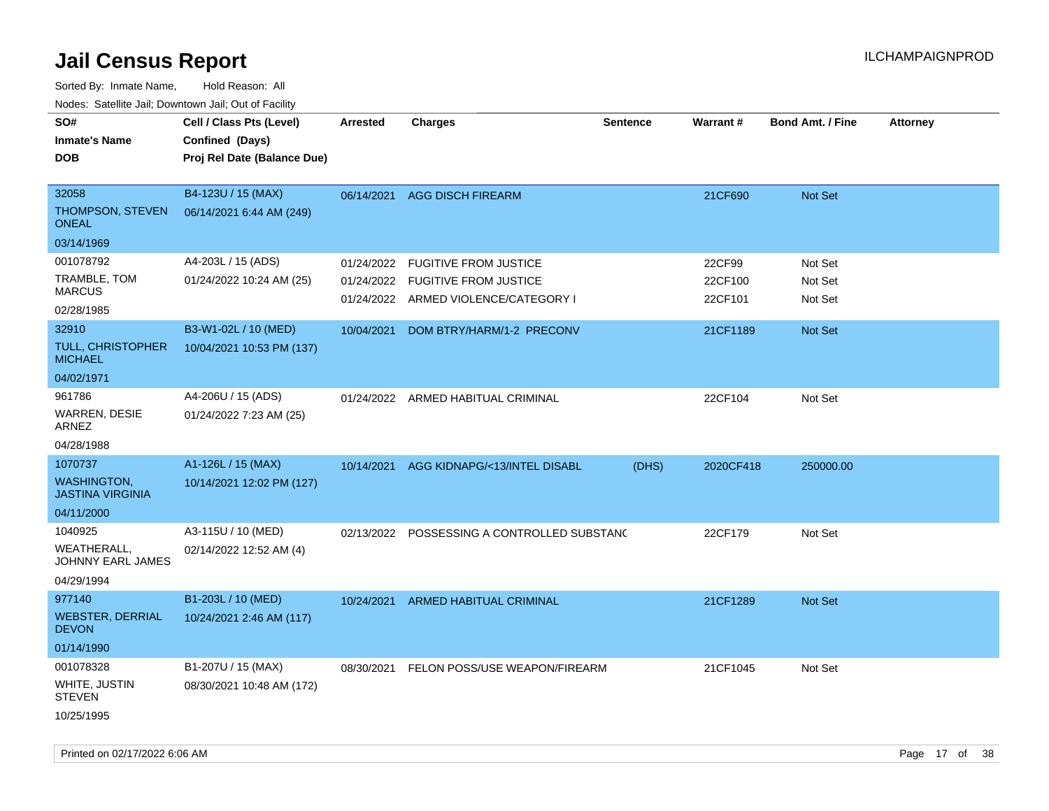| ivous. Saleling Jali, Downlown Jali, Out of Facility |                             |            |                                      |                 |                 |                         |                 |
|------------------------------------------------------|-----------------------------|------------|--------------------------------------|-----------------|-----------------|-------------------------|-----------------|
| SO#                                                  | Cell / Class Pts (Level)    | Arrested   | <b>Charges</b>                       | <b>Sentence</b> | <b>Warrant#</b> | <b>Bond Amt. / Fine</b> | <b>Attorney</b> |
| <b>Inmate's Name</b>                                 | Confined (Days)             |            |                                      |                 |                 |                         |                 |
| <b>DOB</b>                                           | Proj Rel Date (Balance Due) |            |                                      |                 |                 |                         |                 |
|                                                      |                             |            |                                      |                 |                 |                         |                 |
| 32058                                                | B4-123U / 15 (MAX)          | 06/14/2021 | <b>AGG DISCH FIREARM</b>             |                 | 21CF690         | Not Set                 |                 |
| THOMPSON, STEVEN<br><b>ONEAL</b>                     | 06/14/2021 6:44 AM (249)    |            |                                      |                 |                 |                         |                 |
| 03/14/1969                                           |                             |            |                                      |                 |                 |                         |                 |
| 001078792                                            | A4-203L / 15 (ADS)          | 01/24/2022 | <b>FUGITIVE FROM JUSTICE</b>         |                 | 22CF99          | Not Set                 |                 |
| TRAMBLE, TOM                                         | 01/24/2022 10:24 AM (25)    | 01/24/2022 | <b>FUGITIVE FROM JUSTICE</b>         |                 | 22CF100         | Not Set                 |                 |
| <b>MARCUS</b>                                        |                             |            | 01/24/2022 ARMED VIOLENCE/CATEGORY I |                 | 22CF101         | Not Set                 |                 |
| 02/28/1985                                           |                             |            |                                      |                 |                 |                         |                 |
| 32910                                                | B3-W1-02L / 10 (MED)        | 10/04/2021 | DOM BTRY/HARM/1-2 PRECONV            |                 | 21CF1189        | Not Set                 |                 |
| <b>TULL, CHRISTOPHER</b><br><b>MICHAEL</b>           | 10/04/2021 10:53 PM (137)   |            |                                      |                 |                 |                         |                 |
| 04/02/1971                                           |                             |            |                                      |                 |                 |                         |                 |
| 961786                                               | A4-206U / 15 (ADS)          |            | 01/24/2022 ARMED HABITUAL CRIMINAL   |                 | 22CF104         | Not Set                 |                 |
| <b>WARREN, DESIE</b><br>ARNEZ                        | 01/24/2022 7:23 AM (25)     |            |                                      |                 |                 |                         |                 |
| 04/28/1988                                           |                             |            |                                      |                 |                 |                         |                 |
| 1070737                                              | A1-126L / 15 (MAX)          | 10/14/2021 | AGG KIDNAPG/<13/INTEL DISABL         | (DHS)           | 2020CF418       | 250000.00               |                 |
| <b>WASHINGTON,</b><br><b>JASTINA VIRGINIA</b>        | 10/14/2021 12:02 PM (127)   |            |                                      |                 |                 |                         |                 |
| 04/11/2000                                           |                             |            |                                      |                 |                 |                         |                 |
| 1040925                                              | A3-115U / 10 (MED)          | 02/13/2022 | POSSESSING A CONTROLLED SUBSTAND     |                 | 22CF179         | Not Set                 |                 |
| WEATHERALL,<br><b>JOHNNY EARL JAMES</b>              | 02/14/2022 12:52 AM (4)     |            |                                      |                 |                 |                         |                 |
| 04/29/1994                                           |                             |            |                                      |                 |                 |                         |                 |
| 977140                                               | B1-203L / 10 (MED)          | 10/24/2021 | <b>ARMED HABITUAL CRIMINAL</b>       |                 | 21CF1289        | <b>Not Set</b>          |                 |
| <b>WEBSTER, DERRIAL</b><br><b>DEVON</b>              | 10/24/2021 2:46 AM (117)    |            |                                      |                 |                 |                         |                 |
| 01/14/1990                                           |                             |            |                                      |                 |                 |                         |                 |
| 001078328                                            | B1-207U / 15 (MAX)          | 08/30/2021 | FELON POSS/USE WEAPON/FIREARM        |                 | 21CF1045        | Not Set                 |                 |
| WHITE, JUSTIN<br><b>STEVEN</b>                       | 08/30/2021 10:48 AM (172)   |            |                                      |                 |                 |                         |                 |
| 10/25/1995                                           |                             |            |                                      |                 |                 |                         |                 |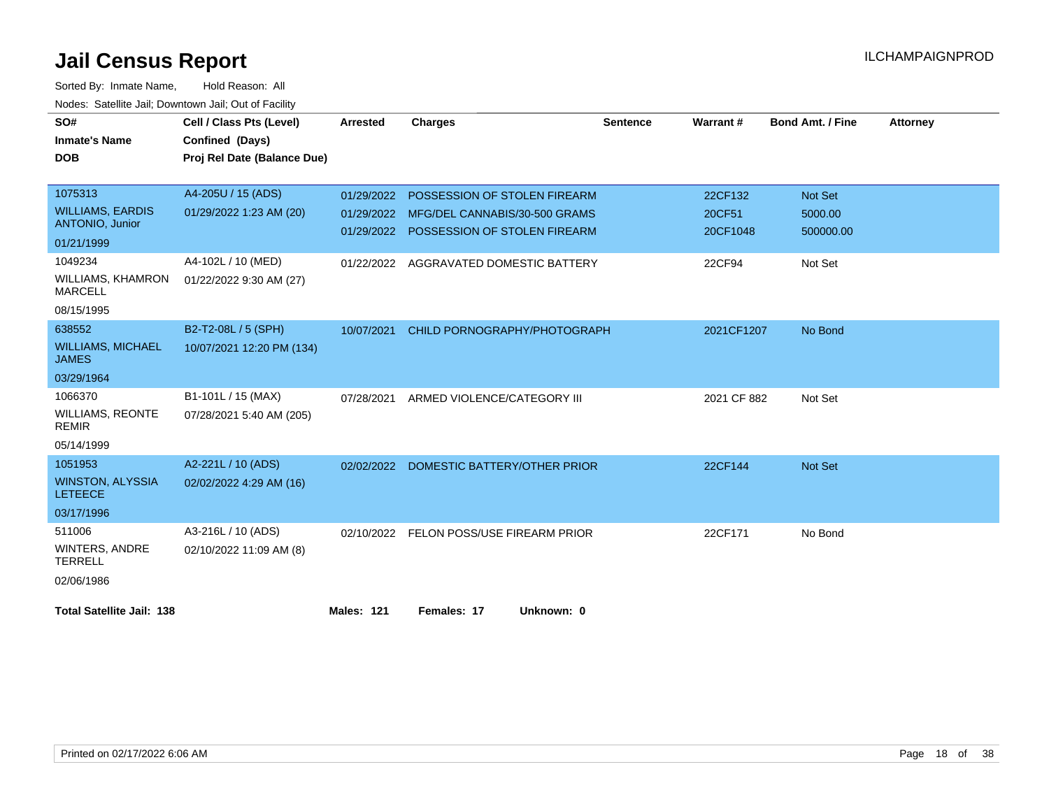| SO#                                        | Cell / Class Pts (Level)    | <b>Arrested</b> | <b>Charges</b>                | <b>Sentence</b> | <b>Warrant#</b> | <b>Bond Amt. / Fine</b> | <b>Attorney</b> |
|--------------------------------------------|-----------------------------|-----------------|-------------------------------|-----------------|-----------------|-------------------------|-----------------|
| <b>Inmate's Name</b>                       | Confined (Days)             |                 |                               |                 |                 |                         |                 |
| <b>DOB</b>                                 | Proj Rel Date (Balance Due) |                 |                               |                 |                 |                         |                 |
|                                            |                             |                 |                               |                 |                 |                         |                 |
| 1075313                                    | A4-205U / 15 (ADS)          | 01/29/2022      | POSSESSION OF STOLEN FIREARM  |                 | 22CF132         | <b>Not Set</b>          |                 |
| <b>WILLIAMS, EARDIS</b>                    | 01/29/2022 1:23 AM (20)     | 01/29/2022      | MFG/DEL CANNABIS/30-500 GRAMS |                 | 20CF51          | 5000.00                 |                 |
| <b>ANTONIO, Junior</b>                     |                             | 01/29/2022      | POSSESSION OF STOLEN FIREARM  |                 | 20CF1048        | 500000.00               |                 |
| 01/21/1999                                 |                             |                 |                               |                 |                 |                         |                 |
| 1049234                                    | A4-102L / 10 (MED)          | 01/22/2022      | AGGRAVATED DOMESTIC BATTERY   |                 | 22CF94          | Not Set                 |                 |
| <b>WILLIAMS, KHAMRON</b><br><b>MARCELL</b> | 01/22/2022 9:30 AM (27)     |                 |                               |                 |                 |                         |                 |
| 08/15/1995                                 |                             |                 |                               |                 |                 |                         |                 |
| 638552                                     | B2-T2-08L / 5 (SPH)         | 10/07/2021      | CHILD PORNOGRAPHY/PHOTOGRAPH  |                 | 2021CF1207      | No Bond                 |                 |
| <b>WILLIAMS, MICHAEL</b><br><b>JAMES</b>   | 10/07/2021 12:20 PM (134)   |                 |                               |                 |                 |                         |                 |
| 03/29/1964                                 |                             |                 |                               |                 |                 |                         |                 |
| 1066370                                    | B1-101L / 15 (MAX)          | 07/28/2021      | ARMED VIOLENCE/CATEGORY III   |                 | 2021 CF 882     | Not Set                 |                 |
| <b>WILLIAMS, REONTE</b><br><b>REMIR</b>    | 07/28/2021 5:40 AM (205)    |                 |                               |                 |                 |                         |                 |
| 05/14/1999                                 |                             |                 |                               |                 |                 |                         |                 |
| 1051953                                    | A2-221L / 10 (ADS)          | 02/02/2022      | DOMESTIC BATTERY/OTHER PRIOR  |                 | 22CF144         | <b>Not Set</b>          |                 |
| <b>WINSTON, ALYSSIA</b><br><b>LETEECE</b>  | 02/02/2022 4:29 AM (16)     |                 |                               |                 |                 |                         |                 |
| 03/17/1996                                 |                             |                 |                               |                 |                 |                         |                 |
| 511006                                     | A3-216L / 10 (ADS)          | 02/10/2022      | FELON POSS/USE FIREARM PRIOR  |                 | 22CF171         | No Bond                 |                 |
| WINTERS, ANDRE<br><b>TERRELL</b>           | 02/10/2022 11:09 AM (8)     |                 |                               |                 |                 |                         |                 |
| 02/06/1986                                 |                             |                 |                               |                 |                 |                         |                 |
| <b>Total Satellite Jail: 138</b>           |                             | Males: 121      | Females: 17<br>Unknown: 0     |                 |                 |                         |                 |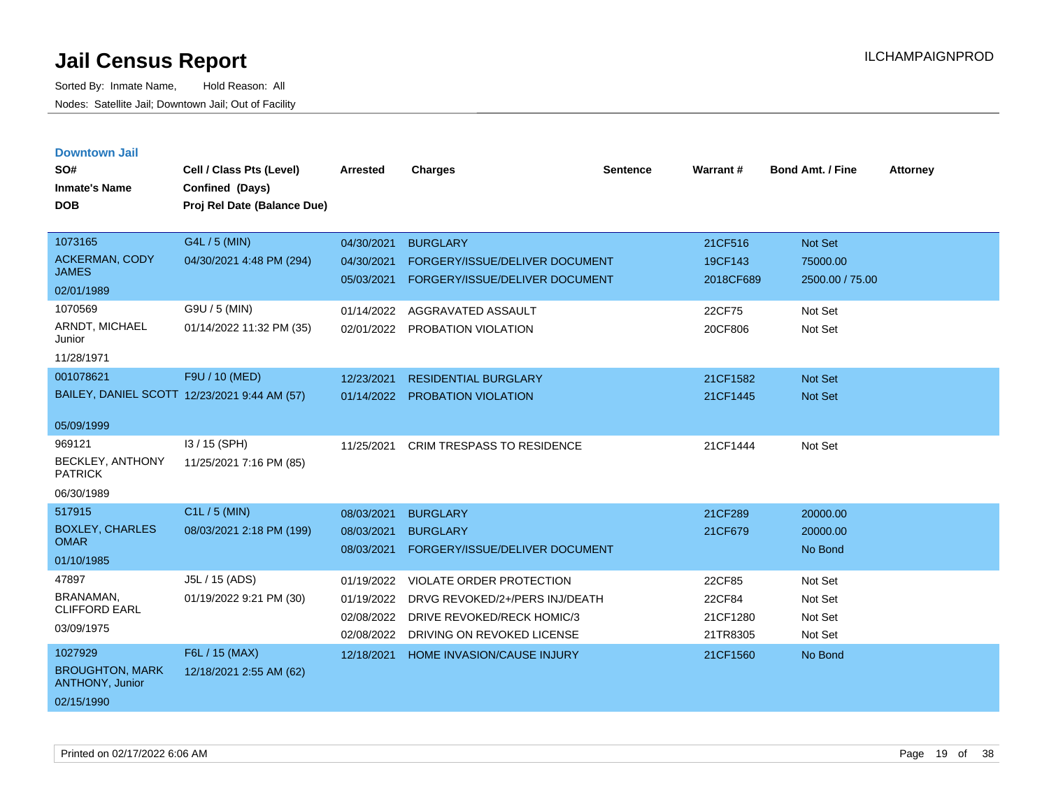| <b>Downtown Jail</b>                             |                                              |                 |                                   |                 |           |                         |                 |
|--------------------------------------------------|----------------------------------------------|-----------------|-----------------------------------|-----------------|-----------|-------------------------|-----------------|
| SO#                                              | Cell / Class Pts (Level)                     | <b>Arrested</b> | <b>Charges</b>                    | <b>Sentence</b> | Warrant#  | <b>Bond Amt. / Fine</b> | <b>Attorney</b> |
| <b>Inmate's Name</b>                             | Confined (Days)                              |                 |                                   |                 |           |                         |                 |
| <b>DOB</b>                                       | Proj Rel Date (Balance Due)                  |                 |                                   |                 |           |                         |                 |
|                                                  |                                              |                 |                                   |                 |           |                         |                 |
| 1073165                                          | G4L / 5 (MIN)                                | 04/30/2021      | <b>BURGLARY</b>                   |                 | 21CF516   | <b>Not Set</b>          |                 |
| <b>ACKERMAN, CODY</b>                            | 04/30/2021 4:48 PM (294)                     | 04/30/2021      | FORGERY/ISSUE/DELIVER DOCUMENT    |                 | 19CF143   | 75000.00                |                 |
| <b>JAMES</b>                                     |                                              | 05/03/2021      | FORGERY/ISSUE/DELIVER DOCUMENT    |                 | 2018CF689 | 2500.00 / 75.00         |                 |
| 02/01/1989                                       |                                              |                 |                                   |                 |           |                         |                 |
| 1070569                                          | G9U / 5 (MIN)                                | 01/14/2022      | AGGRAVATED ASSAULT                |                 | 22CF75    | Not Set                 |                 |
| ARNDT, MICHAEL<br>Junior                         | 01/14/2022 11:32 PM (35)                     | 02/01/2022      | PROBATION VIOLATION               |                 | 20CF806   | Not Set                 |                 |
| 11/28/1971                                       |                                              |                 |                                   |                 |           |                         |                 |
| 001078621                                        | F9U / 10 (MED)                               | 12/23/2021      | <b>RESIDENTIAL BURGLARY</b>       |                 | 21CF1582  | <b>Not Set</b>          |                 |
|                                                  | BAILEY, DANIEL SCOTT 12/23/2021 9:44 AM (57) | 01/14/2022      | <b>PROBATION VIOLATION</b>        |                 | 21CF1445  | <b>Not Set</b>          |                 |
|                                                  |                                              |                 |                                   |                 |           |                         |                 |
| 05/09/1999                                       |                                              |                 |                                   |                 |           |                         |                 |
| 969121                                           | I3 / 15 (SPH)                                | 11/25/2021      | <b>CRIM TRESPASS TO RESIDENCE</b> |                 | 21CF1444  | Not Set                 |                 |
| BECKLEY, ANTHONY<br><b>PATRICK</b>               | 11/25/2021 7:16 PM (85)                      |                 |                                   |                 |           |                         |                 |
| 06/30/1989                                       |                                              |                 |                                   |                 |           |                         |                 |
| 517915                                           | C1L / 5 (MIN)                                | 08/03/2021      | <b>BURGLARY</b>                   |                 | 21CF289   | 20000.00                |                 |
| <b>BOXLEY, CHARLES</b>                           | 08/03/2021 2:18 PM (199)                     | 08/03/2021      | <b>BURGLARY</b>                   |                 | 21CF679   | 20000.00                |                 |
| <b>OMAR</b>                                      |                                              | 08/03/2021      | FORGERY/ISSUE/DELIVER DOCUMENT    |                 |           | No Bond                 |                 |
| 01/10/1985                                       |                                              |                 |                                   |                 |           |                         |                 |
| 47897                                            | J5L / 15 (ADS)                               | 01/19/2022      | <b>VIOLATE ORDER PROTECTION</b>   |                 | 22CF85    | Not Set                 |                 |
| BRANAMAN,                                        | 01/19/2022 9:21 PM (30)                      | 01/19/2022      | DRVG REVOKED/2+/PERS INJ/DEATH    |                 | 22CF84    | Not Set                 |                 |
| <b>CLIFFORD EARL</b>                             |                                              | 02/08/2022      | DRIVE REVOKED/RECK HOMIC/3        |                 | 21CF1280  | Not Set                 |                 |
| 03/09/1975                                       |                                              | 02/08/2022      | DRIVING ON REVOKED LICENSE        |                 | 21TR8305  | Not Set                 |                 |
| 1027929                                          | F6L / 15 (MAX)                               | 12/18/2021      | HOME INVASION/CAUSE INJURY        |                 | 21CF1560  | No Bond                 |                 |
| <b>BROUGHTON, MARK</b><br><b>ANTHONY, Junior</b> | 12/18/2021 2:55 AM (62)                      |                 |                                   |                 |           |                         |                 |
| 02/15/1990                                       |                                              |                 |                                   |                 |           |                         |                 |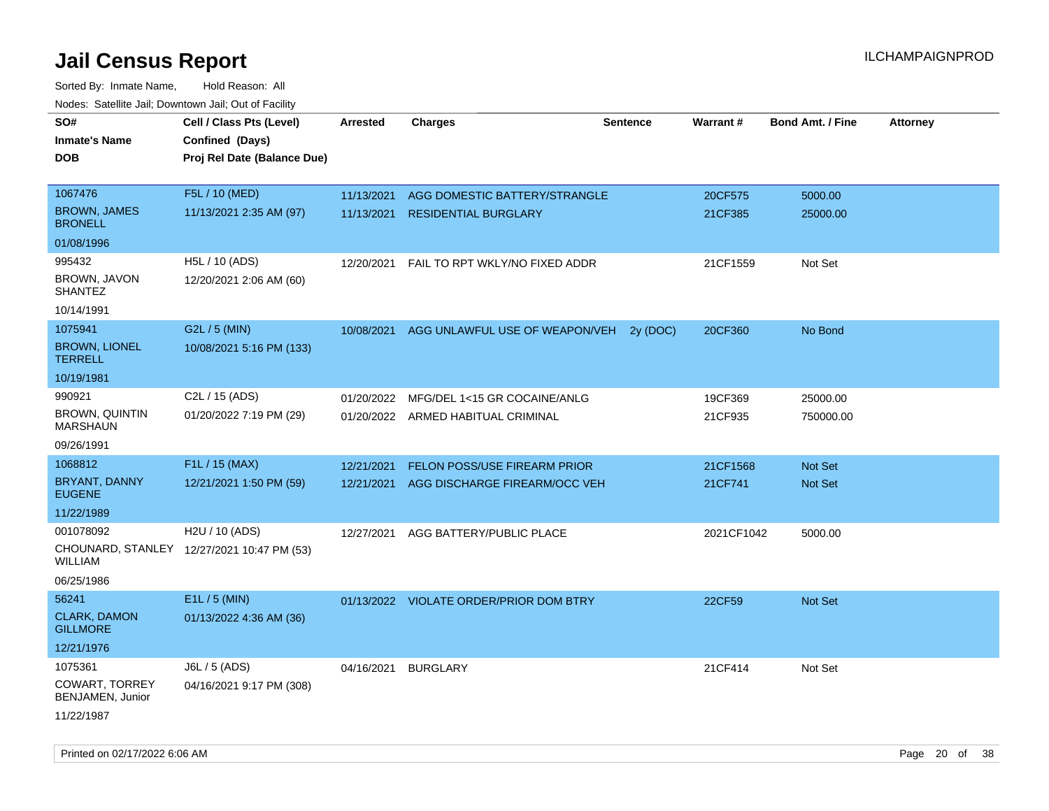| roaco. Catolino cali, Downtown cali, Out of Facility |                                            |                 |                                         |                 |            |                         |                 |
|------------------------------------------------------|--------------------------------------------|-----------------|-----------------------------------------|-----------------|------------|-------------------------|-----------------|
| SO#                                                  | Cell / Class Pts (Level)                   | <b>Arrested</b> | <b>Charges</b>                          | <b>Sentence</b> | Warrant#   | <b>Bond Amt. / Fine</b> | <b>Attorney</b> |
| <b>Inmate's Name</b>                                 | Confined (Days)                            |                 |                                         |                 |            |                         |                 |
| DOB                                                  | Proj Rel Date (Balance Due)                |                 |                                         |                 |            |                         |                 |
|                                                      |                                            |                 |                                         |                 |            |                         |                 |
| 1067476                                              | F5L / 10 (MED)                             | 11/13/2021      | AGG DOMESTIC BATTERY/STRANGLE           |                 | 20CF575    | 5000.00                 |                 |
| <b>BROWN, JAMES</b><br><b>BRONELL</b>                | 11/13/2021 2:35 AM (97)                    | 11/13/2021      | <b>RESIDENTIAL BURGLARY</b>             |                 | 21CF385    | 25000.00                |                 |
| 01/08/1996                                           |                                            |                 |                                         |                 |            |                         |                 |
| 995432                                               | H5L / 10 (ADS)                             | 12/20/2021      | FAIL TO RPT WKLY/NO FIXED ADDR          |                 | 21CF1559   | Not Set                 |                 |
| BROWN, JAVON<br><b>SHANTEZ</b>                       | 12/20/2021 2:06 AM (60)                    |                 |                                         |                 |            |                         |                 |
| 10/14/1991                                           |                                            |                 |                                         |                 |            |                         |                 |
| 1075941                                              | G2L / 5 (MIN)                              | 10/08/2021      | AGG UNLAWFUL USE OF WEAPON/VEH          | 2y (DOC)        | 20CF360    | No Bond                 |                 |
| <b>BROWN, LIONEL</b><br><b>TERRELL</b>               | 10/08/2021 5:16 PM (133)                   |                 |                                         |                 |            |                         |                 |
| 10/19/1981                                           |                                            |                 |                                         |                 |            |                         |                 |
| 990921                                               | C2L / 15 (ADS)                             | 01/20/2022      | MFG/DEL 1<15 GR COCAINE/ANLG            |                 | 19CF369    | 25000.00                |                 |
| <b>BROWN, QUINTIN</b><br><b>MARSHAUN</b>             | 01/20/2022 7:19 PM (29)                    |                 | 01/20/2022 ARMED HABITUAL CRIMINAL      |                 | 21CF935    | 750000.00               |                 |
| 09/26/1991                                           |                                            |                 |                                         |                 |            |                         |                 |
| 1068812                                              | F1L / 15 (MAX)                             | 12/21/2021      | <b>FELON POSS/USE FIREARM PRIOR</b>     |                 | 21CF1568   | Not Set                 |                 |
| BRYANT, DANNY<br><b>EUGENE</b>                       | 12/21/2021 1:50 PM (59)                    | 12/21/2021      | AGG DISCHARGE FIREARM/OCC VEH           |                 | 21CF741    | <b>Not Set</b>          |                 |
| 11/22/1989                                           |                                            |                 |                                         |                 |            |                         |                 |
| 001078092                                            | H2U / 10 (ADS)                             | 12/27/2021      | AGG BATTERY/PUBLIC PLACE                |                 | 2021CF1042 | 5000.00                 |                 |
| WILLIAM                                              | CHOUNARD, STANLEY 12/27/2021 10:47 PM (53) |                 |                                         |                 |            |                         |                 |
| 06/25/1986                                           |                                            |                 |                                         |                 |            |                         |                 |
| 56241                                                | E1L / 5 (MIN)                              |                 | 01/13/2022 VIOLATE ORDER/PRIOR DOM BTRY |                 | 22CF59     | <b>Not Set</b>          |                 |
| <b>CLARK, DAMON</b><br><b>GILLMORE</b>               | 01/13/2022 4:36 AM (36)                    |                 |                                         |                 |            |                         |                 |
| 12/21/1976                                           |                                            |                 |                                         |                 |            |                         |                 |
| 1075361                                              | J6L / 5 (ADS)                              | 04/16/2021      | <b>BURGLARY</b>                         |                 | 21CF414    | Not Set                 |                 |
| COWART, TORREY<br>BENJAMEN, Junior                   | 04/16/2021 9:17 PM (308)                   |                 |                                         |                 |            |                         |                 |
| 11/22/1987                                           |                                            |                 |                                         |                 |            |                         |                 |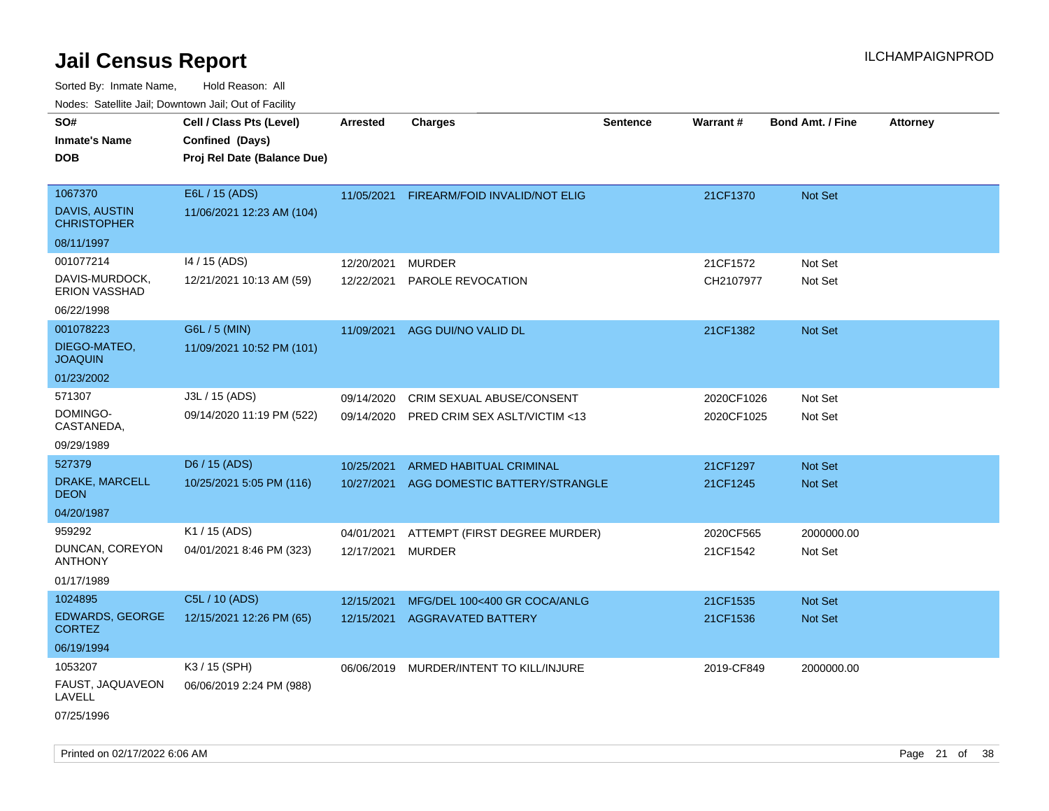| ivouss. Satellite Jali, Downtown Jali, Out of Facility            |                                                                            |                          |                                                                 |                 |                          |                           |                 |
|-------------------------------------------------------------------|----------------------------------------------------------------------------|--------------------------|-----------------------------------------------------------------|-----------------|--------------------------|---------------------------|-----------------|
| SO#<br>Inmate's Name<br><b>DOB</b>                                | Cell / Class Pts (Level)<br>Confined (Days)<br>Proj Rel Date (Balance Due) | <b>Arrested</b>          | <b>Charges</b>                                                  | <b>Sentence</b> | Warrant#                 | <b>Bond Amt. / Fine</b>   | <b>Attorney</b> |
| 1067370<br>DAVIS, AUSTIN<br><b>CHRISTOPHER</b><br>08/11/1997      | E6L / 15 (ADS)<br>11/06/2021 12:23 AM (104)                                | 11/05/2021               | FIREARM/FOID INVALID/NOT ELIG                                   |                 | 21CF1370                 | Not Set                   |                 |
| 001077214<br>DAVIS-MURDOCK,<br><b>ERION VASSHAD</b><br>06/22/1998 | 14 / 15 (ADS)<br>12/21/2021 10:13 AM (59)                                  | 12/20/2021<br>12/22/2021 | <b>MURDER</b><br>PAROLE REVOCATION                              |                 | 21CF1572<br>CH2107977    | Not Set<br>Not Set        |                 |
| 001078223<br>DIEGO-MATEO,<br>JOAQUIN<br>01/23/2002                | G6L / 5 (MIN)<br>11/09/2021 10:52 PM (101)                                 | 11/09/2021               | AGG DUI/NO VALID DL                                             |                 | 21CF1382                 | <b>Not Set</b>            |                 |
| 571307<br>DOMINGO-<br>CASTANEDA,<br>09/29/1989                    | J3L / 15 (ADS)<br>09/14/2020 11:19 PM (522)                                | 09/14/2020<br>09/14/2020 | CRIM SEXUAL ABUSE/CONSENT<br>PRED CRIM SEX ASLT/VICTIM <13      |                 | 2020CF1026<br>2020CF1025 | Not Set<br>Not Set        |                 |
| 527379<br>DRAKE, MARCELL<br>DEON<br>04/20/1987                    | D6 / 15 (ADS)<br>10/25/2021 5:05 PM (116)                                  | 10/25/2021<br>10/27/2021 | <b>ARMED HABITUAL CRIMINAL</b><br>AGG DOMESTIC BATTERY/STRANGLE |                 | 21CF1297<br>21CF1245     | <b>Not Set</b><br>Not Set |                 |
| 959292<br>DUNCAN, COREYON<br>ANTHONY<br>01/17/1989                | K1 / 15 (ADS)<br>04/01/2021 8:46 PM (323)                                  | 04/01/2021<br>12/17/2021 | ATTEMPT (FIRST DEGREE MURDER)<br><b>MURDER</b>                  |                 | 2020CF565<br>21CF1542    | 2000000.00<br>Not Set     |                 |
| 1024895<br><b>EDWARDS, GEORGE</b><br>CORTEZ<br>06/19/1994         | C5L / 10 (ADS)<br>12/15/2021 12:26 PM (65)                                 | 12/15/2021<br>12/15/2021 | MFG/DEL 100<400 GR COCA/ANLG<br><b>AGGRAVATED BATTERY</b>       |                 | 21CF1535<br>21CF1536     | <b>Not Set</b><br>Not Set |                 |
| 1053207<br>FAUST, JAQUAVEON<br>LAVELL<br>07/25/1996               | K3 / 15 (SPH)<br>06/06/2019 2:24 PM (988)                                  |                          | 06/06/2019 MURDER/INTENT TO KILL/INJURE                         |                 | 2019-CF849               | 2000000.00                |                 |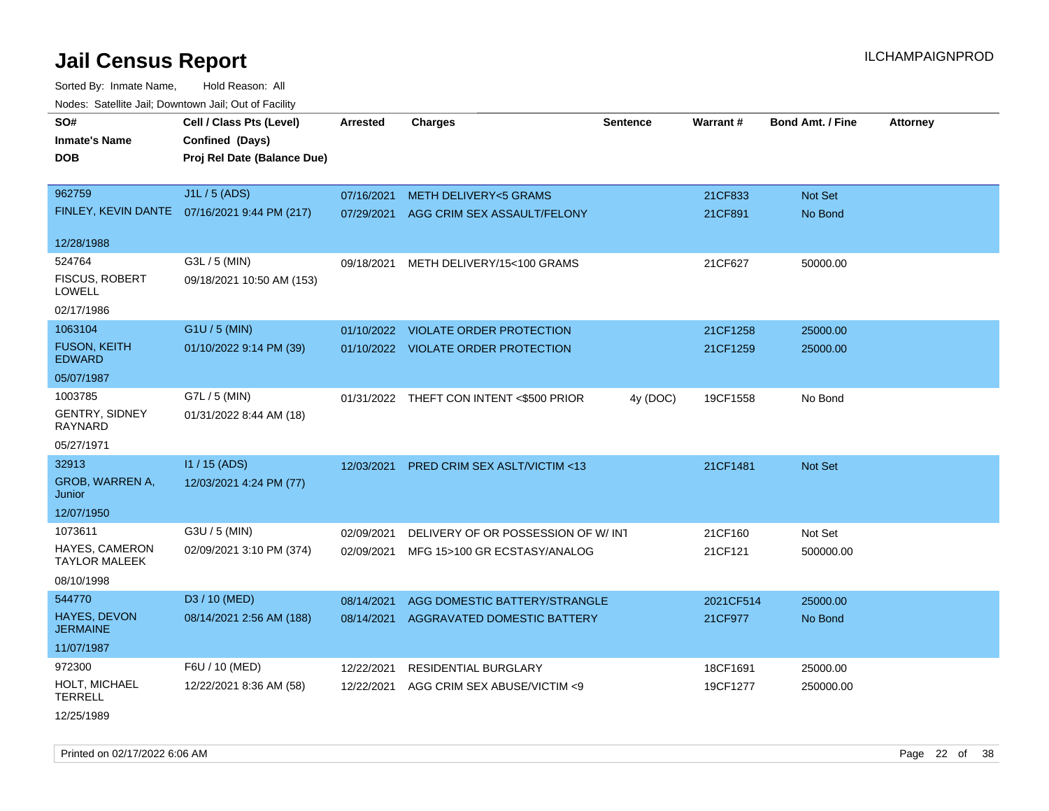Sorted By: Inmate Name, Hold Reason: All Nodes: Satellite Jail; Downtown Jail; Out of Facility

| rouce. Calcillic Jali, Downtown Jali, Out of Facility |                                              |                 |                                          |                 |           |                         |                 |
|-------------------------------------------------------|----------------------------------------------|-----------------|------------------------------------------|-----------------|-----------|-------------------------|-----------------|
| SO#<br><b>Inmate's Name</b>                           | Cell / Class Pts (Level)<br>Confined (Days)  | <b>Arrested</b> | <b>Charges</b>                           | <b>Sentence</b> | Warrant#  | <b>Bond Amt. / Fine</b> | <b>Attorney</b> |
| <b>DOB</b>                                            | Proj Rel Date (Balance Due)                  |                 |                                          |                 |           |                         |                 |
| 962759                                                | J1L / 5 (ADS)                                | 07/16/2021      | <b>METH DELIVERY&lt;5 GRAMS</b>          |                 | 21CF833   | Not Set                 |                 |
|                                                       | FINLEY, KEVIN DANTE 07/16/2021 9:44 PM (217) | 07/29/2021      | AGG CRIM SEX ASSAULT/FELONY              |                 | 21CF891   | No Bond                 |                 |
| 12/28/1988                                            |                                              |                 |                                          |                 |           |                         |                 |
| 524764                                                | G3L / 5 (MIN)                                | 09/18/2021      | METH DELIVERY/15<100 GRAMS               |                 | 21CF627   | 50000.00                |                 |
| <b>FISCUS, ROBERT</b><br><b>LOWELL</b>                | 09/18/2021 10:50 AM (153)                    |                 |                                          |                 |           |                         |                 |
| 02/17/1986                                            |                                              |                 |                                          |                 |           |                         |                 |
| 1063104                                               | G1U / 5 (MIN)                                |                 | 01/10/2022 VIOLATE ORDER PROTECTION      |                 | 21CF1258  | 25000.00                |                 |
| <b>FUSON, KEITH</b><br><b>EDWARD</b>                  | 01/10/2022 9:14 PM (39)                      |                 | 01/10/2022 VIOLATE ORDER PROTECTION      |                 | 21CF1259  | 25000.00                |                 |
| 05/07/1987                                            |                                              |                 |                                          |                 |           |                         |                 |
| 1003785                                               | G7L / 5 (MIN)                                |                 | 01/31/2022 THEFT CON INTENT <\$500 PRIOR | 4y (DOC)        | 19CF1558  | No Bond                 |                 |
| <b>GENTRY, SIDNEY</b><br>RAYNARD                      | 01/31/2022 8:44 AM (18)                      |                 |                                          |                 |           |                         |                 |
| 05/27/1971                                            |                                              |                 |                                          |                 |           |                         |                 |
| 32913                                                 | I1 / 15 (ADS)                                | 12/03/2021      | PRED CRIM SEX ASLT/VICTIM <13            |                 | 21CF1481  | <b>Not Set</b>          |                 |
| GROB, WARREN A,<br>Junior                             | 12/03/2021 4:24 PM (77)                      |                 |                                          |                 |           |                         |                 |
| 12/07/1950                                            |                                              |                 |                                          |                 |           |                         |                 |
| 1073611                                               | G3U / 5 (MIN)                                | 02/09/2021      | DELIVERY OF OR POSSESSION OF W/INT       |                 | 21CF160   | Not Set                 |                 |
| <b>HAYES, CAMERON</b><br><b>TAYLOR MALEEK</b>         | 02/09/2021 3:10 PM (374)                     | 02/09/2021      | MFG 15>100 GR ECSTASY/ANALOG             |                 | 21CF121   | 500000.00               |                 |
| 08/10/1998                                            |                                              |                 |                                          |                 |           |                         |                 |
| 544770                                                | D3 / 10 (MED)                                | 08/14/2021      | AGG DOMESTIC BATTERY/STRANGLE            |                 | 2021CF514 | 25000.00                |                 |
| <b>HAYES, DEVON</b><br><b>JERMAINE</b>                | 08/14/2021 2:56 AM (188)                     | 08/14/2021      | <b>AGGRAVATED DOMESTIC BATTERY</b>       |                 | 21CF977   | No Bond                 |                 |
| 11/07/1987                                            |                                              |                 |                                          |                 |           |                         |                 |
| 972300                                                | F6U / 10 (MED)                               | 12/22/2021      | <b>RESIDENTIAL BURGLARY</b>              |                 | 18CF1691  | 25000.00                |                 |
| HOLT, MICHAEL<br><b>TERRELL</b>                       | 12/22/2021 8:36 AM (58)                      | 12/22/2021      | AGG CRIM SEX ABUSE/VICTIM <9             |                 | 19CF1277  | 250000.00               |                 |
|                                                       |                                              |                 |                                          |                 |           |                         |                 |

12/25/1989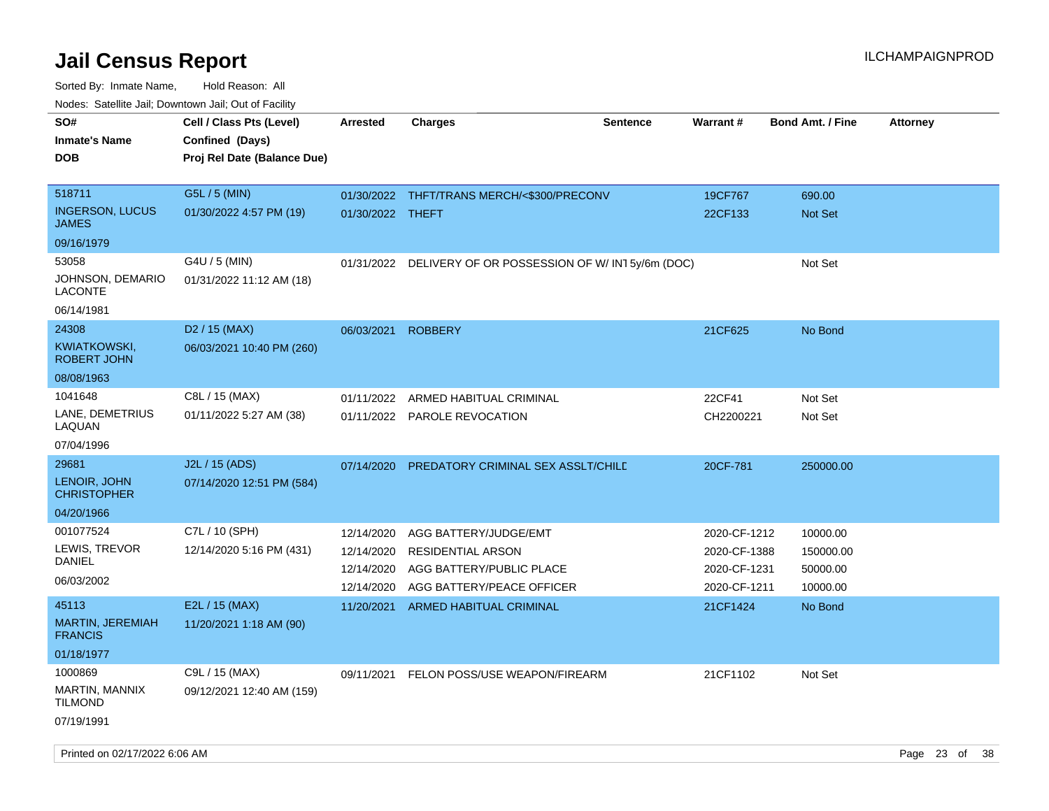| roaco. Catolino cali, Downtown cali, Out of Facility |                             |                  |                                                |                 |              |                         |                 |
|------------------------------------------------------|-----------------------------|------------------|------------------------------------------------|-----------------|--------------|-------------------------|-----------------|
| SO#                                                  | Cell / Class Pts (Level)    | <b>Arrested</b>  | <b>Charges</b>                                 | <b>Sentence</b> | Warrant#     | <b>Bond Amt. / Fine</b> | <b>Attorney</b> |
| <b>Inmate's Name</b>                                 | Confined (Days)             |                  |                                                |                 |              |                         |                 |
| <b>DOB</b>                                           | Proj Rel Date (Balance Due) |                  |                                                |                 |              |                         |                 |
|                                                      |                             |                  |                                                |                 |              |                         |                 |
| 518711                                               | G5L / 5 (MIN)               |                  | 01/30/2022 THFT/TRANS MERCH/<\$300/PRECONV     |                 | 19CF767      | 690.00                  |                 |
| <b>INGERSON, LUCUS</b><br><b>JAMES</b>               | 01/30/2022 4:57 PM (19)     | 01/30/2022 THEFT |                                                |                 | 22CF133      | Not Set                 |                 |
| 09/16/1979                                           |                             |                  |                                                |                 |              |                         |                 |
| 53058                                                | G4U / 5 (MIN)               | 01/31/2022       | DELIVERY OF OR POSSESSION OF W/ IN15y/6m (DOC) |                 |              | Not Set                 |                 |
| JOHNSON, DEMARIO<br><b>LACONTE</b>                   | 01/31/2022 11:12 AM (18)    |                  |                                                |                 |              |                         |                 |
| 06/14/1981                                           |                             |                  |                                                |                 |              |                         |                 |
| 24308                                                | D <sub>2</sub> / 15 (MAX)   | 06/03/2021       | <b>ROBBERY</b>                                 |                 | 21CF625      | No Bond                 |                 |
| <b>KWIATKOWSKI,</b><br><b>ROBERT JOHN</b>            | 06/03/2021 10:40 PM (260)   |                  |                                                |                 |              |                         |                 |
| 08/08/1963                                           |                             |                  |                                                |                 |              |                         |                 |
| 1041648                                              | C8L / 15 (MAX)              | 01/11/2022       | ARMED HABITUAL CRIMINAL                        |                 | 22CF41       | Not Set                 |                 |
| LANE, DEMETRIUS<br>LAQUAN                            | 01/11/2022 5:27 AM (38)     |                  | 01/11/2022 PAROLE REVOCATION                   |                 | CH2200221    | Not Set                 |                 |
| 07/04/1996                                           |                             |                  |                                                |                 |              |                         |                 |
| 29681                                                | J2L / 15 (ADS)              | 07/14/2020       | PREDATORY CRIMINAL SEX ASSLT/CHILD             |                 | 20CF-781     | 250000.00               |                 |
| LENOIR, JOHN<br><b>CHRISTOPHER</b>                   | 07/14/2020 12:51 PM (584)   |                  |                                                |                 |              |                         |                 |
| 04/20/1966                                           |                             |                  |                                                |                 |              |                         |                 |
| 001077524                                            | C7L / 10 (SPH)              | 12/14/2020       | AGG BATTERY/JUDGE/EMT                          |                 | 2020-CF-1212 | 10000.00                |                 |
| LEWIS, TREVOR                                        | 12/14/2020 5:16 PM (431)    | 12/14/2020       | <b>RESIDENTIAL ARSON</b>                       |                 | 2020-CF-1388 | 150000.00               |                 |
| <b>DANIEL</b>                                        |                             | 12/14/2020       | AGG BATTERY/PUBLIC PLACE                       |                 | 2020-CF-1231 | 50000.00                |                 |
| 06/03/2002                                           |                             | 12/14/2020       | AGG BATTERY/PEACE OFFICER                      |                 | 2020-CF-1211 | 10000.00                |                 |
| 45113                                                | E2L / 15 (MAX)              | 11/20/2021       | ARMED HABITUAL CRIMINAL                        |                 | 21CF1424     | No Bond                 |                 |
| MARTIN, JEREMIAH<br><b>FRANCIS</b>                   | 11/20/2021 1:18 AM (90)     |                  |                                                |                 |              |                         |                 |
| 01/18/1977                                           |                             |                  |                                                |                 |              |                         |                 |
| 1000869                                              | C9L / 15 (MAX)              | 09/11/2021       | FELON POSS/USE WEAPON/FIREARM                  |                 | 21CF1102     | Not Set                 |                 |
| MARTIN, MANNIX<br><b>TILMOND</b>                     | 09/12/2021 12:40 AM (159)   |                  |                                                |                 |              |                         |                 |
| 07/19/1991                                           |                             |                  |                                                |                 |              |                         |                 |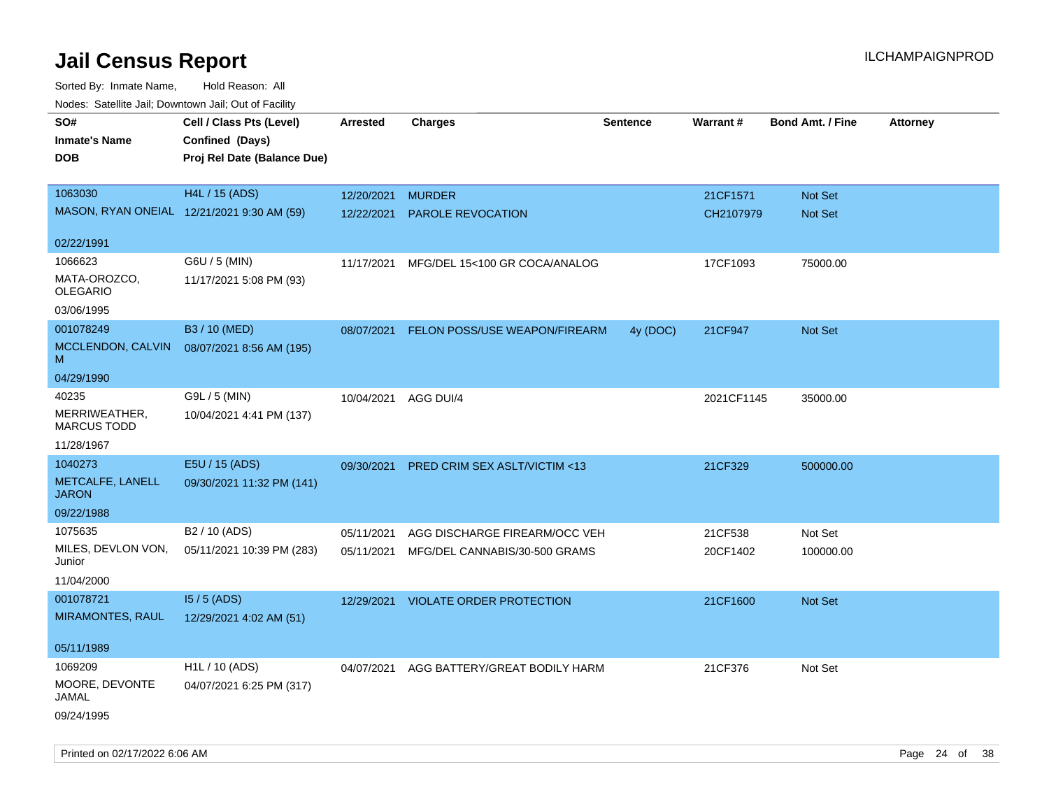| ivuutos. Saltiilit Jali, Duwilluwii Jali, Oul of Facility |                             |            |                                      |          |            |                         |                 |
|-----------------------------------------------------------|-----------------------------|------------|--------------------------------------|----------|------------|-------------------------|-----------------|
| SO#                                                       | Cell / Class Pts (Level)    | Arrested   | <b>Charges</b>                       | Sentence | Warrant#   | <b>Bond Amt. / Fine</b> | <b>Attorney</b> |
| <b>Inmate's Name</b>                                      | Confined (Days)             |            |                                      |          |            |                         |                 |
| DOB                                                       | Proj Rel Date (Balance Due) |            |                                      |          |            |                         |                 |
|                                                           |                             |            |                                      |          |            |                         |                 |
| 1063030                                                   | H4L / 15 (ADS)              | 12/20/2021 | <b>MURDER</b>                        |          | 21CF1571   | Not Set                 |                 |
| MASON, RYAN ONEIAL 12/21/2021 9:30 AM (59)                |                             | 12/22/2021 | PAROLE REVOCATION                    |          | CH2107979  | Not Set                 |                 |
|                                                           |                             |            |                                      |          |            |                         |                 |
| 02/22/1991                                                |                             |            |                                      |          |            |                         |                 |
| 1066623                                                   | G6U / 5 (MIN)               | 11/17/2021 | MFG/DEL 15<100 GR COCA/ANALOG        |          | 17CF1093   | 75000.00                |                 |
| MATA-OROZCO,<br><b>OLEGARIO</b>                           | 11/17/2021 5:08 PM (93)     |            |                                      |          |            |                         |                 |
| 03/06/1995                                                |                             |            |                                      |          |            |                         |                 |
| 001078249                                                 | B3 / 10 (MED)               | 08/07/2021 | <b>FELON POSS/USE WEAPON/FIREARM</b> | 4y (DOC) | 21CF947    | <b>Not Set</b>          |                 |
| MCCLENDON, CALVIN<br>M                                    | 08/07/2021 8:56 AM (195)    |            |                                      |          |            |                         |                 |
| 04/29/1990                                                |                             |            |                                      |          |            |                         |                 |
| 40235                                                     | G9L / 5 (MIN)               | 10/04/2021 | AGG DUI/4                            |          | 2021CF1145 | 35000.00                |                 |
| MERRIWEATHER,<br><b>MARCUS TODD</b>                       | 10/04/2021 4:41 PM (137)    |            |                                      |          |            |                         |                 |
| 11/28/1967                                                |                             |            |                                      |          |            |                         |                 |
| 1040273                                                   | E5U / 15 (ADS)              | 09/30/2021 | PRED CRIM SEX ASLT/VICTIM <13        |          | 21CF329    | 500000.00               |                 |
| METCALFE, LANELL<br><b>JARON</b>                          | 09/30/2021 11:32 PM (141)   |            |                                      |          |            |                         |                 |
| 09/22/1988                                                |                             |            |                                      |          |            |                         |                 |
| 1075635                                                   | B <sub>2</sub> / 10 (ADS)   | 05/11/2021 | AGG DISCHARGE FIREARM/OCC VEH        |          | 21CF538    | Not Set                 |                 |
| MILES, DEVLON VON,<br>Junior                              | 05/11/2021 10:39 PM (283)   | 05/11/2021 | MFG/DEL CANNABIS/30-500 GRAMS        |          | 20CF1402   | 100000.00               |                 |
| 11/04/2000                                                |                             |            |                                      |          |            |                         |                 |
| 001078721                                                 | $15/5$ (ADS)                | 12/29/2021 | <b>VIOLATE ORDER PROTECTION</b>      |          | 21CF1600   | Not Set                 |                 |
| <b>MIRAMONTES, RAUL</b>                                   | 12/29/2021 4:02 AM (51)     |            |                                      |          |            |                         |                 |
|                                                           |                             |            |                                      |          |            |                         |                 |
| 05/11/1989                                                |                             |            |                                      |          |            |                         |                 |
| 1069209                                                   | H1L / 10 (ADS)              | 04/07/2021 | AGG BATTERY/GREAT BODILY HARM        |          | 21CF376    | Not Set                 |                 |
| MOORE, DEVONTE<br>JAMAL                                   | 04/07/2021 6:25 PM (317)    |            |                                      |          |            |                         |                 |
| 09/24/1995                                                |                             |            |                                      |          |            |                         |                 |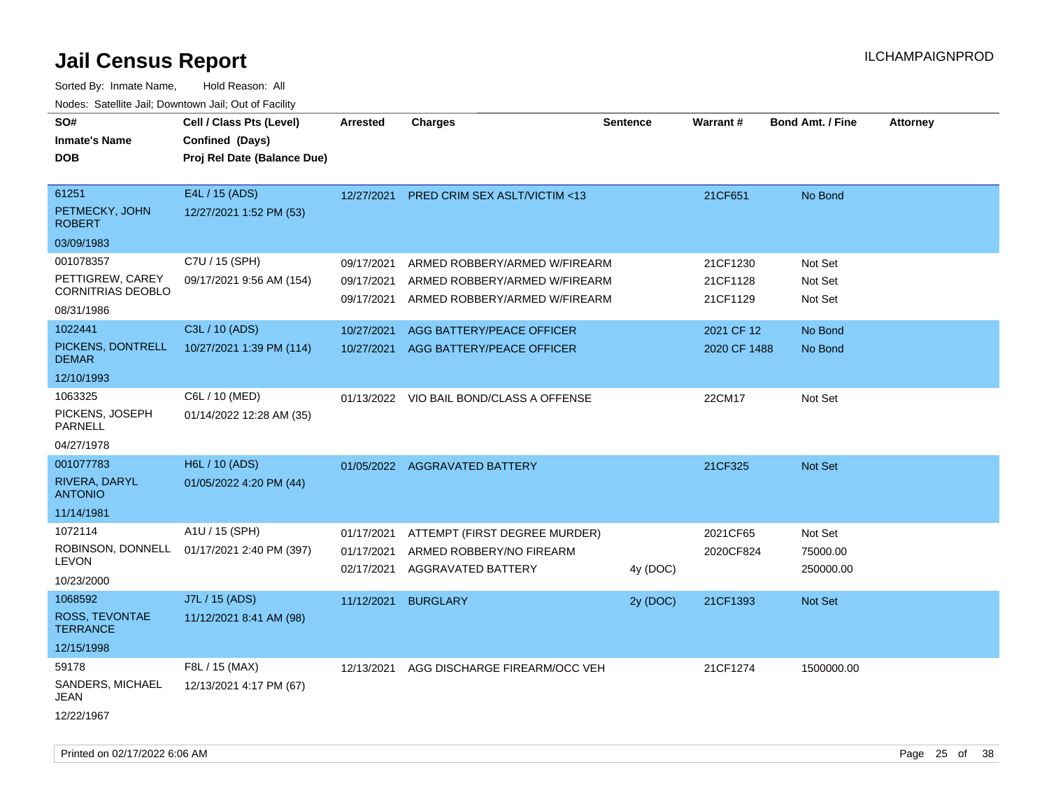| SO#<br><b>Inmate's Name</b>           | Cell / Class Pts (Level)<br>Confined (Days) | <b>Arrested</b>          | <b>Charges</b>                                        | <b>Sentence</b> | Warrant#     | <b>Bond Amt. / Fine</b> | <b>Attorney</b> |
|---------------------------------------|---------------------------------------------|--------------------------|-------------------------------------------------------|-----------------|--------------|-------------------------|-----------------|
| <b>DOB</b>                            | Proj Rel Date (Balance Due)                 |                          |                                                       |                 |              |                         |                 |
|                                       |                                             |                          |                                                       |                 |              |                         |                 |
| 61251                                 | E4L / 15 (ADS)                              | 12/27/2021               | PRED CRIM SEX ASLT/VICTIM <13                         |                 | 21CF651      | No Bond                 |                 |
| PETMECKY, JOHN<br><b>ROBERT</b>       | 12/27/2021 1:52 PM (53)                     |                          |                                                       |                 |              |                         |                 |
| 03/09/1983                            |                                             |                          |                                                       |                 |              |                         |                 |
| 001078357                             | C7U / 15 (SPH)                              | 09/17/2021               | ARMED ROBBERY/ARMED W/FIREARM                         |                 | 21CF1230     | Not Set                 |                 |
| PETTIGREW, CAREY<br>CORNITRIAS DEOBLO | 09/17/2021 9:56 AM (154)                    | 09/17/2021               | ARMED ROBBERY/ARMED W/FIREARM                         |                 | 21CF1128     | Not Set                 |                 |
| 08/31/1986                            |                                             | 09/17/2021               | ARMED ROBBERY/ARMED W/FIREARM                         |                 | 21CF1129     | Not Set                 |                 |
| 1022441                               | C3L / 10 (ADS)                              | 10/27/2021               | AGG BATTERY/PEACE OFFICER                             |                 | 2021 CF 12   | No Bond                 |                 |
| PICKENS, DONTRELL<br><b>DEMAR</b>     | 10/27/2021 1:39 PM (114)                    | 10/27/2021               | AGG BATTERY/PEACE OFFICER                             |                 | 2020 CF 1488 | No Bond                 |                 |
| 12/10/1993                            |                                             |                          |                                                       |                 |              |                         |                 |
| 1063325                               | C6L / 10 (MED)                              |                          | 01/13/2022 VIO BAIL BOND/CLASS A OFFENSE              |                 | 22CM17       | Not Set                 |                 |
| PICKENS, JOSEPH<br>PARNELL            | 01/14/2022 12:28 AM (35)                    |                          |                                                       |                 |              |                         |                 |
| 04/27/1978                            |                                             |                          |                                                       |                 |              |                         |                 |
| 001077783                             | H6L / 10 (ADS)                              |                          | 01/05/2022 AGGRAVATED BATTERY                         |                 | 21CF325      | Not Set                 |                 |
| RIVERA, DARYL<br><b>ANTONIO</b>       | 01/05/2022 4:20 PM (44)                     |                          |                                                       |                 |              |                         |                 |
| 11/14/1981                            |                                             |                          |                                                       |                 |              |                         |                 |
| 1072114                               | A1U / 15 (SPH)                              | 01/17/2021               | ATTEMPT (FIRST DEGREE MURDER)                         |                 | 2021CF65     | Not Set                 |                 |
| ROBINSON, DONNELL<br>LEVON            | 01/17/2021 2:40 PM (397)                    | 01/17/2021<br>02/17/2021 | ARMED ROBBERY/NO FIREARM<br><b>AGGRAVATED BATTERY</b> |                 | 2020CF824    | 75000.00<br>250000.00   |                 |
| 10/23/2000                            |                                             |                          |                                                       | 4y (DOC)        |              |                         |                 |
| 1068592                               | J7L / 15 (ADS)                              | 11/12/2021               | <b>BURGLARY</b>                                       | 2y (DOC)        | 21CF1393     | Not Set                 |                 |
| ROSS, TEVONTAE<br><b>TERRANCE</b>     | 11/12/2021 8:41 AM (98)                     |                          |                                                       |                 |              |                         |                 |
| 12/15/1998                            |                                             |                          |                                                       |                 |              |                         |                 |
| 59178                                 | F8L / 15 (MAX)                              | 12/13/2021               | AGG DISCHARGE FIREARM/OCC VEH                         |                 | 21CF1274     | 1500000.00              |                 |
| SANDERS, MICHAEL<br>JEAN              | 12/13/2021 4:17 PM (67)                     |                          |                                                       |                 |              |                         |                 |
| 12/22/1967                            |                                             |                          |                                                       |                 |              |                         |                 |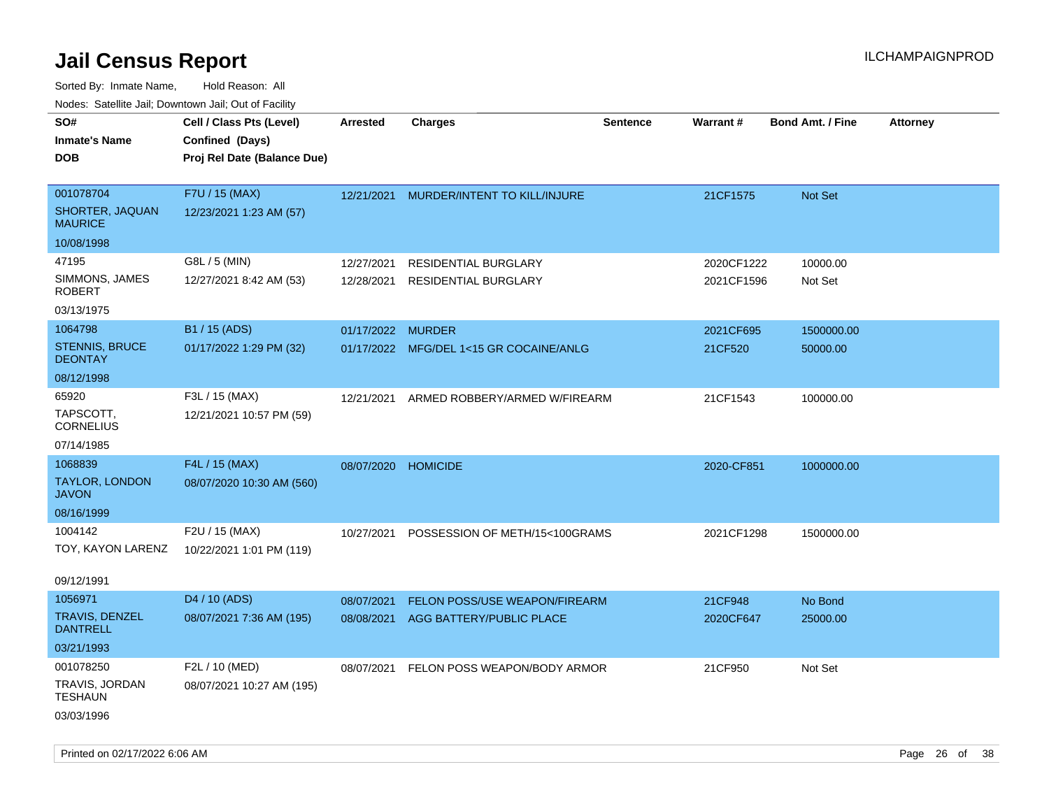Sorted By: Inmate Name, Hold Reason: All Nodes: Satellite Jail; Downtown Jail; Out of Facility

| Todoo. Catolino can, Bowritown can, Oat or I domt<br>SO#<br><b>Inmate's Name</b><br><b>DOB</b> | Cell / Class Pts (Level)<br>Confined (Days)<br>Proj Rel Date (Balance Due) | <b>Arrested</b>          | <b>Charges</b>                                                   | <b>Sentence</b> | Warrant#                 | <b>Bond Amt. / Fine</b> | <b>Attorney</b> |
|------------------------------------------------------------------------------------------------|----------------------------------------------------------------------------|--------------------------|------------------------------------------------------------------|-----------------|--------------------------|-------------------------|-----------------|
| 001078704<br>SHORTER, JAQUAN<br><b>MAURICE</b>                                                 | F7U / 15 (MAX)<br>12/23/2021 1:23 AM (57)                                  | 12/21/2021               | MURDER/INTENT TO KILL/INJURE                                     |                 | 21CF1575                 | Not Set                 |                 |
| 10/08/1998                                                                                     |                                                                            |                          |                                                                  |                 |                          |                         |                 |
| 47195<br>SIMMONS, JAMES<br><b>ROBERT</b>                                                       | G8L / 5 (MIN)<br>12/27/2021 8:42 AM (53)                                   | 12/27/2021<br>12/28/2021 | <b>RESIDENTIAL BURGLARY</b><br><b>RESIDENTIAL BURGLARY</b>       |                 | 2020CF1222<br>2021CF1596 | 10000.00<br>Not Set     |                 |
| 03/13/1975                                                                                     |                                                                            |                          |                                                                  |                 |                          |                         |                 |
| 1064798<br><b>STENNIS, BRUCE</b><br><b>DEONTAY</b>                                             | B1 / 15 (ADS)<br>01/17/2022 1:29 PM (32)                                   | 01/17/2022 MURDER        | 01/17/2022 MFG/DEL 1<15 GR COCAINE/ANLG                          |                 | 2021CF695<br>21CF520     | 1500000.00<br>50000.00  |                 |
| 08/12/1998                                                                                     |                                                                            |                          |                                                                  |                 |                          |                         |                 |
| 65920<br>TAPSCOTT,<br><b>CORNELIUS</b>                                                         | F3L / 15 (MAX)<br>12/21/2021 10:57 PM (59)                                 | 12/21/2021               | ARMED ROBBERY/ARMED W/FIREARM                                    |                 | 21CF1543                 | 100000.00               |                 |
| 07/14/1985                                                                                     |                                                                            |                          |                                                                  |                 |                          |                         |                 |
| 1068839<br><b>TAYLOR, LONDON</b><br><b>JAVON</b><br>08/16/1999                                 | F4L / 15 (MAX)<br>08/07/2020 10:30 AM (560)                                | 08/07/2020 HOMICIDE      |                                                                  |                 | 2020-CF851               | 1000000.00              |                 |
| 1004142                                                                                        | F2U / 15 (MAX)                                                             |                          |                                                                  |                 |                          |                         |                 |
| TOY, KAYON LARENZ                                                                              | 10/22/2021 1:01 PM (119)                                                   | 10/27/2021               | POSSESSION OF METH/15<100GRAMS                                   |                 | 2021CF1298               | 1500000.00              |                 |
| 09/12/1991                                                                                     |                                                                            |                          |                                                                  |                 |                          |                         |                 |
| 1056971<br><b>TRAVIS, DENZEL</b><br><b>DANTRELL</b><br>03/21/1993                              | D4 / 10 (ADS)<br>08/07/2021 7:36 AM (195)                                  | 08/07/2021<br>08/08/2021 | <b>FELON POSS/USE WEAPON/FIREARM</b><br>AGG BATTERY/PUBLIC PLACE |                 | 21CF948<br>2020CF647     | No Bond<br>25000.00     |                 |
| 001078250<br>TRAVIS, JORDAN<br><b>TESHAUN</b><br>03/03/1996                                    | F2L / 10 (MED)<br>08/07/2021 10:27 AM (195)                                | 08/07/2021               | FELON POSS WEAPON/BODY ARMOR                                     |                 | 21CF950                  | Not Set                 |                 |

Printed on 02/17/2022 6:06 AM Page 26 of 38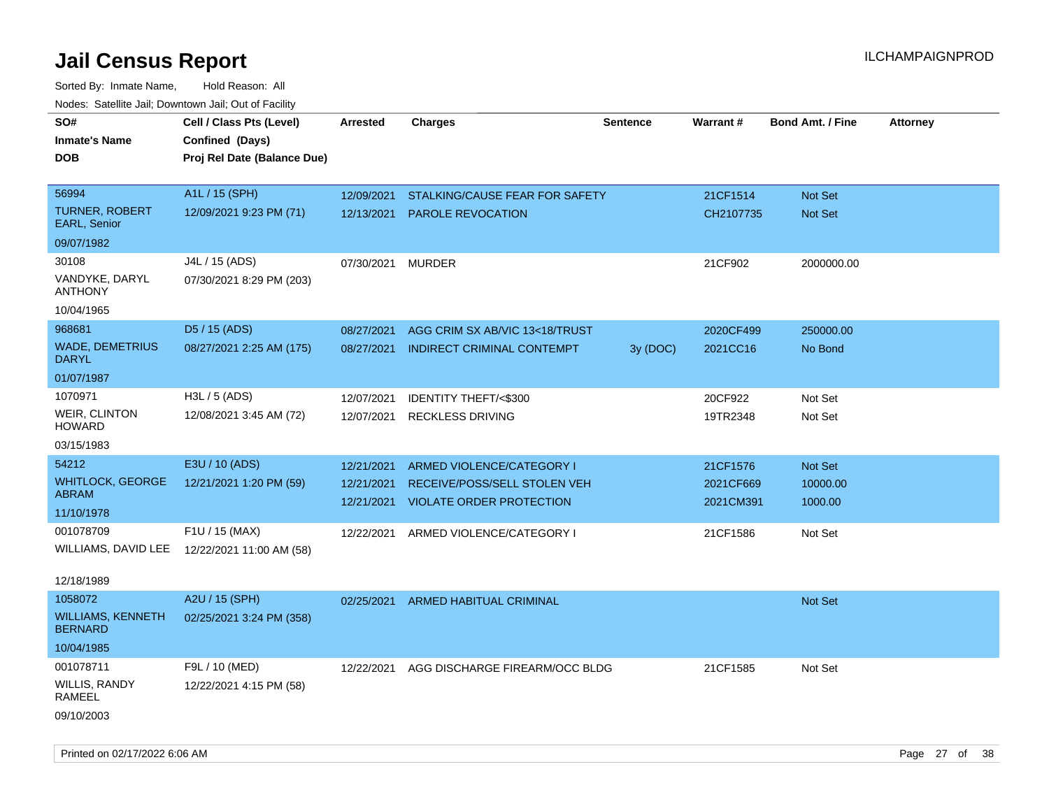| roaco. Calcinio dan, Downtown dan, Cal or Fability |                                                                            |                 |                                 |                 |                 |                         |                 |
|----------------------------------------------------|----------------------------------------------------------------------------|-----------------|---------------------------------|-----------------|-----------------|-------------------------|-----------------|
| SO#<br>Inmate's Name<br><b>DOB</b>                 | Cell / Class Pts (Level)<br>Confined (Days)<br>Proj Rel Date (Balance Due) | <b>Arrested</b> | <b>Charges</b>                  | <b>Sentence</b> | <b>Warrant#</b> | <b>Bond Amt. / Fine</b> | <b>Attorney</b> |
| 56994                                              | A1L / 15 (SPH)                                                             | 12/09/2021      | STALKING/CAUSE FEAR FOR SAFETY  |                 | 21CF1514        | <b>Not Set</b>          |                 |
| <b>TURNER, ROBERT</b><br>EARL, Senior              | 12/09/2021 9:23 PM (71)                                                    | 12/13/2021      | <b>PAROLE REVOCATION</b>        |                 | CH2107735       | Not Set                 |                 |
| 09/07/1982                                         |                                                                            |                 |                                 |                 |                 |                         |                 |
| 30108                                              | J4L / 15 (ADS)                                                             | 07/30/2021      | <b>MURDER</b>                   |                 | 21CF902         | 2000000.00              |                 |
| VANDYKE, DARYL<br>ANTHONY                          | 07/30/2021 8:29 PM (203)                                                   |                 |                                 |                 |                 |                         |                 |
| 10/04/1965                                         |                                                                            |                 |                                 |                 |                 |                         |                 |
| 968681                                             | D5 / 15 (ADS)                                                              | 08/27/2021      | AGG CRIM SX AB/VIC 13<18/TRUST  |                 | 2020CF499       | 250000.00               |                 |
| WADE, DEMETRIUS<br>DARYL                           | 08/27/2021 2:25 AM (175)                                                   | 08/27/2021      | INDIRECT CRIMINAL CONTEMPT      | 3y(DOC)         | 2021CC16        | No Bond                 |                 |
| 01/07/1987                                         |                                                                            |                 |                                 |                 |                 |                         |                 |
| 1070971                                            | H3L / 5 (ADS)                                                              | 12/07/2021      | IDENTITY THEFT/<\$300           |                 | 20CF922         | Not Set                 |                 |
| WEIR, CLINTON<br>HOWARD                            | 12/08/2021 3:45 AM (72)                                                    | 12/07/2021      | <b>RECKLESS DRIVING</b>         |                 | 19TR2348        | Not Set                 |                 |
| 03/15/1983                                         |                                                                            |                 |                                 |                 |                 |                         |                 |
| 54212                                              | E3U / 10 (ADS)                                                             | 12/21/2021      | ARMED VIOLENCE/CATEGORY I       |                 | 21CF1576        | Not Set                 |                 |
| WHITLOCK, GEORGE                                   | 12/21/2021 1:20 PM (59)                                                    | 12/21/2021      | RECEIVE/POSS/SELL STOLEN VEH    |                 | 2021CF669       | 10000.00                |                 |
| ABRAM<br>11/10/1978                                |                                                                            | 12/21/2021      | <b>VIOLATE ORDER PROTECTION</b> |                 | 2021CM391       | 1000.00                 |                 |
| 001078709                                          | F1U / 15 (MAX)                                                             | 12/22/2021      | ARMED VIOLENCE/CATEGORY I       |                 | 21CF1586        | Not Set                 |                 |
| WILLIAMS, DAVID LEE                                | 12/22/2021 11:00 AM (58)                                                   |                 |                                 |                 |                 |                         |                 |
| 12/18/1989                                         |                                                                            |                 |                                 |                 |                 |                         |                 |
| 1058072                                            | A2U / 15 (SPH)                                                             | 02/25/2021      | ARMED HABITUAL CRIMINAL         |                 |                 | <b>Not Set</b>          |                 |
| WILLIAMS, KENNETH<br>BERNARD                       | 02/25/2021 3:24 PM (358)                                                   |                 |                                 |                 |                 |                         |                 |
| 10/04/1985                                         |                                                                            |                 |                                 |                 |                 |                         |                 |
| 001078711                                          | F9L / 10 (MED)                                                             | 12/22/2021      | AGG DISCHARGE FIREARM/OCC BLDG  |                 | 21CF1585        | Not Set                 |                 |
| WILLIS, RANDY<br>RAMEEL                            | 12/22/2021 4:15 PM (58)                                                    |                 |                                 |                 |                 |                         |                 |
| 09/10/2003                                         |                                                                            |                 |                                 |                 |                 |                         |                 |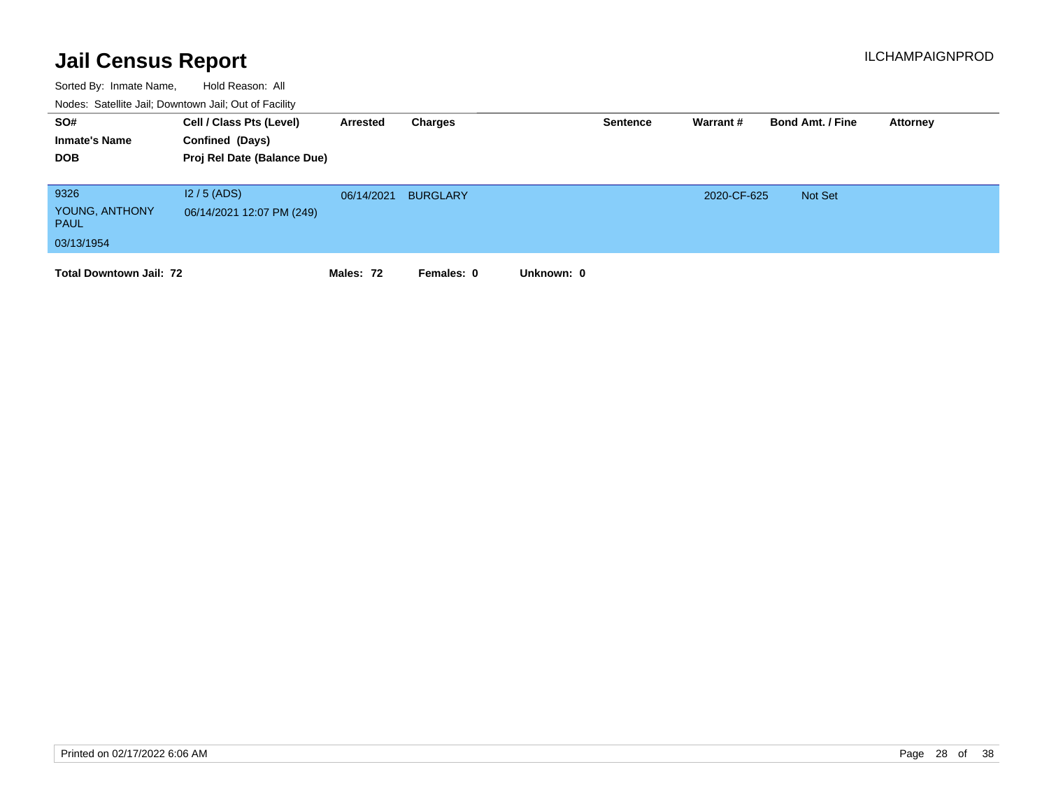| SO#<br><b>Inmate's Name</b><br><b>DOB</b>           | Cell / Class Pts (Level)<br>Confined (Days)<br>Proj Rel Date (Balance Due) | Arrested   | Charges         |            | <b>Sentence</b> | Warrant#    | <b>Bond Amt. / Fine</b> | Attorney |
|-----------------------------------------------------|----------------------------------------------------------------------------|------------|-----------------|------------|-----------------|-------------|-------------------------|----------|
| 9326<br>YOUNG, ANTHONY<br><b>PAUL</b><br>03/13/1954 | $12/5$ (ADS)<br>06/14/2021 12:07 PM (249)                                  | 06/14/2021 | <b>BURGLARY</b> |            |                 | 2020-CF-625 | Not Set                 |          |
| <b>Total Downtown Jail: 72</b>                      |                                                                            | Males: 72  | Females: 0      | Unknown: 0 |                 |             |                         |          |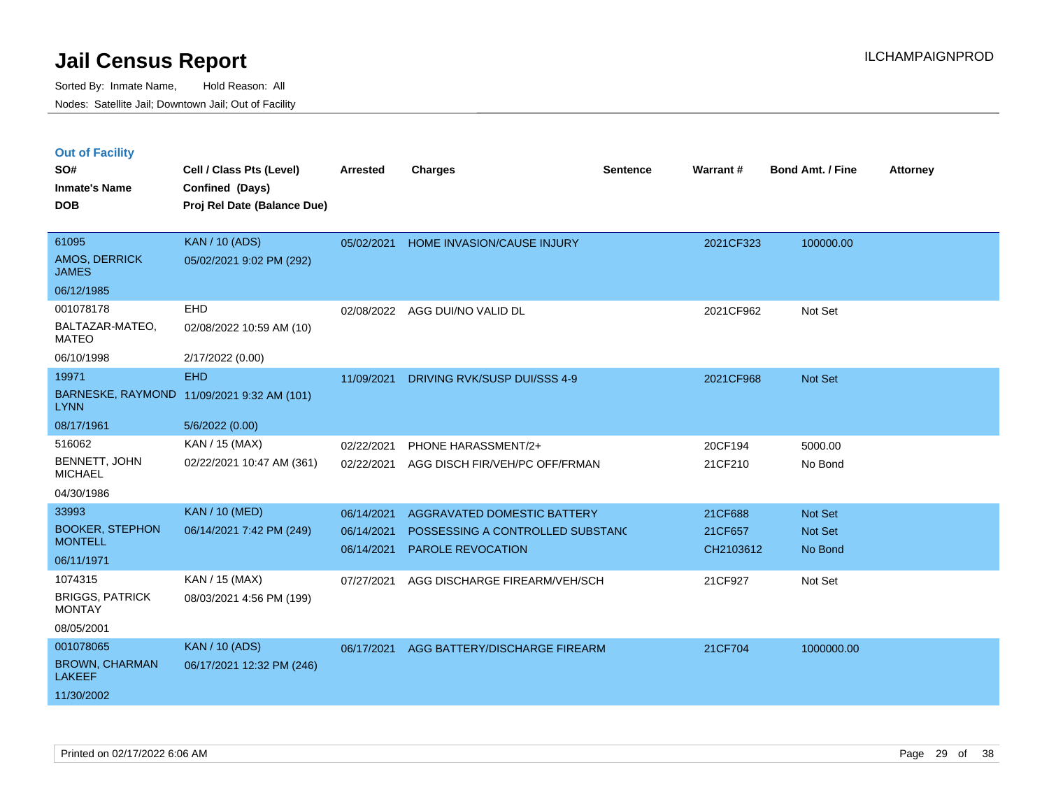|  | <b>Out of Facility</b> |  |
|--|------------------------|--|
|  |                        |  |

| SO#                                      | Cell / Class Pts (Level)                       | <b>Arrested</b> | <b>Charges</b>                   | <b>Sentence</b> | Warrant#  | <b>Bond Amt. / Fine</b> | <b>Attorney</b> |
|------------------------------------------|------------------------------------------------|-----------------|----------------------------------|-----------------|-----------|-------------------------|-----------------|
| <b>Inmate's Name</b><br><b>DOB</b>       | Confined (Days)<br>Proj Rel Date (Balance Due) |                 |                                  |                 |           |                         |                 |
|                                          |                                                |                 |                                  |                 |           |                         |                 |
| 61095                                    | <b>KAN / 10 (ADS)</b>                          | 05/02/2021      | HOME INVASION/CAUSE INJURY       |                 | 2021CF323 | 100000.00               |                 |
| AMOS, DERRICK<br><b>JAMES</b>            | 05/02/2021 9:02 PM (292)                       |                 |                                  |                 |           |                         |                 |
| 06/12/1985                               |                                                |                 |                                  |                 |           |                         |                 |
| 001078178                                | <b>EHD</b>                                     |                 | 02/08/2022 AGG DUI/NO VALID DL   |                 | 2021CF962 | Not Set                 |                 |
| BALTAZAR-MATEO,<br><b>MATEO</b>          | 02/08/2022 10:59 AM (10)                       |                 |                                  |                 |           |                         |                 |
| 06/10/1998                               | 2/17/2022 (0.00)                               |                 |                                  |                 |           |                         |                 |
| 19971                                    | <b>EHD</b>                                     | 11/09/2021      | DRIVING RVK/SUSP DUI/SSS 4-9     |                 | 2021CF968 | Not Set                 |                 |
| <b>LYNN</b>                              | BARNESKE, RAYMOND 11/09/2021 9:32 AM (101)     |                 |                                  |                 |           |                         |                 |
| 08/17/1961                               | 5/6/2022 (0.00)                                |                 |                                  |                 |           |                         |                 |
| 516062                                   | KAN / 15 (MAX)                                 | 02/22/2021      | PHONE HARASSMENT/2+              |                 | 20CF194   | 5000.00                 |                 |
| BENNETT, JOHN<br><b>MICHAEL</b>          | 02/22/2021 10:47 AM (361)                      | 02/22/2021      | AGG DISCH FIR/VEH/PC OFF/FRMAN   |                 | 21CF210   | No Bond                 |                 |
| 04/30/1986                               |                                                |                 |                                  |                 |           |                         |                 |
| 33993                                    | <b>KAN / 10 (MED)</b>                          | 06/14/2021      | AGGRAVATED DOMESTIC BATTERY      |                 | 21CF688   | <b>Not Set</b>          |                 |
| <b>BOOKER, STEPHON</b><br><b>MONTELL</b> | 06/14/2021 7:42 PM (249)                       | 06/14/2021      | POSSESSING A CONTROLLED SUBSTAND |                 | 21CF657   | <b>Not Set</b>          |                 |
| 06/11/1971                               |                                                | 06/14/2021      | <b>PAROLE REVOCATION</b>         |                 | CH2103612 | No Bond                 |                 |
| 1074315                                  | KAN / 15 (MAX)                                 |                 |                                  |                 |           |                         |                 |
| <b>BRIGGS, PATRICK</b>                   | 08/03/2021 4:56 PM (199)                       | 07/27/2021      | AGG DISCHARGE FIREARM/VEH/SCH    |                 | 21CF927   | Not Set                 |                 |
| <b>MONTAY</b>                            |                                                |                 |                                  |                 |           |                         |                 |
| 08/05/2001                               |                                                |                 |                                  |                 |           |                         |                 |
| 001078065                                | <b>KAN / 10 (ADS)</b>                          | 06/17/2021      | AGG BATTERY/DISCHARGE FIREARM    |                 | 21CF704   | 1000000.00              |                 |
| <b>BROWN, CHARMAN</b><br><b>LAKEEF</b>   | 06/17/2021 12:32 PM (246)                      |                 |                                  |                 |           |                         |                 |
| 11/30/2002                               |                                                |                 |                                  |                 |           |                         |                 |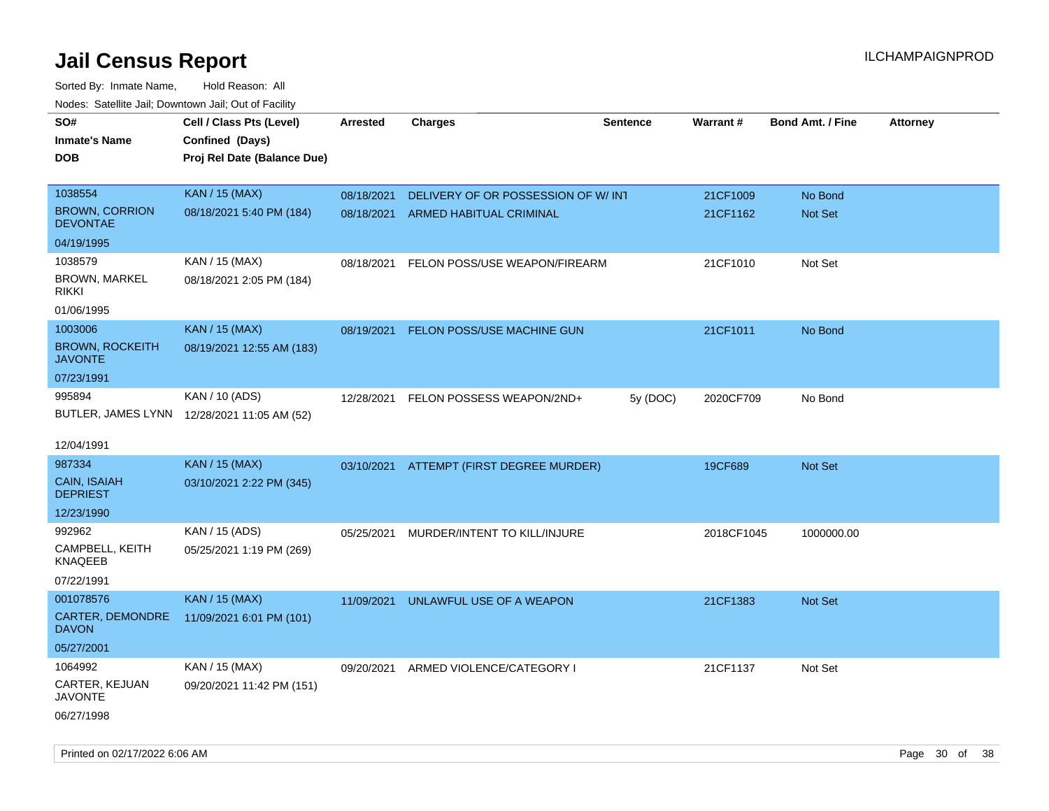| roaco. Catolino dall, Downtown dall, Out of Fability |                                             |            |                                          |                 |            |                         |                 |
|------------------------------------------------------|---------------------------------------------|------------|------------------------------------------|-----------------|------------|-------------------------|-----------------|
| SO#                                                  | Cell / Class Pts (Level)                    | Arrested   | <b>Charges</b>                           | <b>Sentence</b> | Warrant#   | <b>Bond Amt. / Fine</b> | <b>Attorney</b> |
| <b>Inmate's Name</b>                                 | Confined (Days)                             |            |                                          |                 |            |                         |                 |
| <b>DOB</b>                                           | Proj Rel Date (Balance Due)                 |            |                                          |                 |            |                         |                 |
|                                                      |                                             |            |                                          |                 |            |                         |                 |
| 1038554                                              | <b>KAN / 15 (MAX)</b>                       | 08/18/2021 | DELIVERY OF OR POSSESSION OF W/INT       |                 | 21CF1009   | No Bond                 |                 |
| <b>BROWN, CORRION</b><br><b>DEVONTAE</b>             | 08/18/2021 5:40 PM (184)                    |            | 08/18/2021 ARMED HABITUAL CRIMINAL       |                 | 21CF1162   | <b>Not Set</b>          |                 |
| 04/19/1995                                           |                                             |            |                                          |                 |            |                         |                 |
| 1038579                                              | KAN / 15 (MAX)                              | 08/18/2021 | FELON POSS/USE WEAPON/FIREARM            |                 | 21CF1010   | Not Set                 |                 |
| BROWN, MARKEL<br><b>RIKKI</b>                        | 08/18/2021 2:05 PM (184)                    |            |                                          |                 |            |                         |                 |
| 01/06/1995                                           |                                             |            |                                          |                 |            |                         |                 |
| 1003006                                              | <b>KAN / 15 (MAX)</b>                       | 08/19/2021 | FELON POSS/USE MACHINE GUN               |                 | 21CF1011   | No Bond                 |                 |
| <b>BROWN, ROCKEITH</b><br><b>JAVONTE</b>             | 08/19/2021 12:55 AM (183)                   |            |                                          |                 |            |                         |                 |
| 07/23/1991                                           |                                             |            |                                          |                 |            |                         |                 |
| 995894                                               | KAN / 10 (ADS)                              |            | 12/28/2021 FELON POSSESS WEAPON/2ND+     | 5y (DOC)        | 2020CF709  | No Bond                 |                 |
|                                                      | BUTLER, JAMES LYNN 12/28/2021 11:05 AM (52) |            |                                          |                 |            |                         |                 |
|                                                      |                                             |            |                                          |                 |            |                         |                 |
| 12/04/1991                                           |                                             |            |                                          |                 |            |                         |                 |
| 987334                                               | <b>KAN / 15 (MAX)</b>                       |            | 03/10/2021 ATTEMPT (FIRST DEGREE MURDER) |                 | 19CF689    | <b>Not Set</b>          |                 |
| <b>CAIN, ISAIAH</b><br><b>DEPRIEST</b>               | 03/10/2021 2:22 PM (345)                    |            |                                          |                 |            |                         |                 |
| 12/23/1990                                           |                                             |            |                                          |                 |            |                         |                 |
| 992962                                               | KAN / 15 (ADS)                              | 05/25/2021 | MURDER/INTENT TO KILL/INJURE             |                 | 2018CF1045 | 1000000.00              |                 |
| CAMPBELL, KEITH<br><b>KNAQEEB</b>                    | 05/25/2021 1:19 PM (269)                    |            |                                          |                 |            |                         |                 |
| 07/22/1991                                           |                                             |            |                                          |                 |            |                         |                 |
| 001078576                                            | <b>KAN / 15 (MAX)</b>                       | 11/09/2021 | UNLAWFUL USE OF A WEAPON                 |                 | 21CF1383   | Not Set                 |                 |
| <b>CARTER, DEMONDRE</b><br><b>DAVON</b>              | 11/09/2021 6:01 PM (101)                    |            |                                          |                 |            |                         |                 |
| 05/27/2001                                           |                                             |            |                                          |                 |            |                         |                 |
| 1064992                                              | KAN / 15 (MAX)                              | 09/20/2021 | ARMED VIOLENCE/CATEGORY I                |                 | 21CF1137   | Not Set                 |                 |
| CARTER, KEJUAN<br><b>JAVONTE</b>                     | 09/20/2021 11:42 PM (151)                   |            |                                          |                 |            |                         |                 |
| 06/27/1998                                           |                                             |            |                                          |                 |            |                         |                 |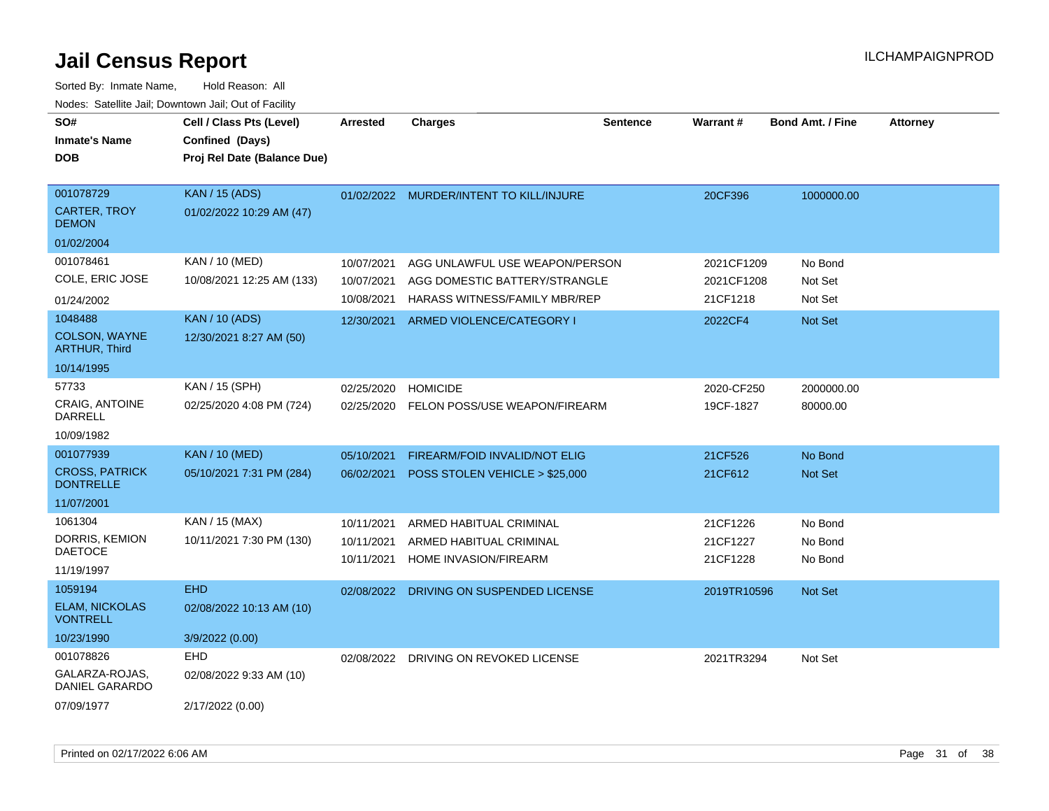| SO#<br><b>Inmate's Name</b><br><b>DOB</b>        | Cell / Class Pts (Level)<br>Confined (Days)<br>Proj Rel Date (Balance Due) | Arrested   | <b>Charges</b>                          | <b>Sentence</b> | <b>Warrant#</b> | <b>Bond Amt. / Fine</b> | <b>Attorney</b> |
|--------------------------------------------------|----------------------------------------------------------------------------|------------|-----------------------------------------|-----------------|-----------------|-------------------------|-----------------|
| 001078729<br><b>CARTER, TROY</b><br><b>DEMON</b> | <b>KAN / 15 (ADS)</b><br>01/02/2022 10:29 AM (47)                          |            | 01/02/2022 MURDER/INTENT TO KILL/INJURE |                 | 20CF396         | 1000000.00              |                 |
| 01/02/2004                                       |                                                                            |            |                                         |                 |                 |                         |                 |
| 001078461                                        | KAN / 10 (MED)                                                             | 10/07/2021 | AGG UNLAWFUL USE WEAPON/PERSON          |                 | 2021CF1209      | No Bond                 |                 |
| COLE, ERIC JOSE                                  | 10/08/2021 12:25 AM (133)                                                  | 10/07/2021 | AGG DOMESTIC BATTERY/STRANGLE           |                 | 2021CF1208      | Not Set                 |                 |
| 01/24/2002                                       |                                                                            | 10/08/2021 | HARASS WITNESS/FAMILY MBR/REP           |                 | 21CF1218        | Not Set                 |                 |
| 1048488                                          | <b>KAN / 10 (ADS)</b>                                                      | 12/30/2021 | ARMED VIOLENCE/CATEGORY I               |                 | 2022CF4         | Not Set                 |                 |
| COLSON, WAYNE<br><b>ARTHUR, Third</b>            | 12/30/2021 8:27 AM (50)                                                    |            |                                         |                 |                 |                         |                 |
| 10/14/1995                                       |                                                                            |            |                                         |                 |                 |                         |                 |
| 57733                                            | KAN / 15 (SPH)                                                             | 02/25/2020 | <b>HOMICIDE</b>                         |                 | 2020-CF250      | 2000000.00              |                 |
| CRAIG, ANTOINE<br>DARRELL                        | 02/25/2020 4:08 PM (724)                                                   | 02/25/2020 | FELON POSS/USE WEAPON/FIREARM           |                 | 19CF-1827       | 80000.00                |                 |
| 10/09/1982                                       |                                                                            |            |                                         |                 |                 |                         |                 |
| 001077939                                        | <b>KAN / 10 (MED)</b>                                                      | 05/10/2021 | FIREARM/FOID INVALID/NOT ELIG           |                 | 21CF526         | No Bond                 |                 |
| <b>CROSS, PATRICK</b><br><b>DONTRELLE</b>        | 05/10/2021 7:31 PM (284)                                                   | 06/02/2021 | POSS STOLEN VEHICLE > \$25,000          |                 | 21CF612         | Not Set                 |                 |
| 11/07/2001                                       |                                                                            |            |                                         |                 |                 |                         |                 |
| 1061304                                          | KAN / 15 (MAX)                                                             | 10/11/2021 | ARMED HABITUAL CRIMINAL                 |                 | 21CF1226        | No Bond                 |                 |
| DORRIS, KEMION                                   | 10/11/2021 7:30 PM (130)                                                   | 10/11/2021 | ARMED HABITUAL CRIMINAL                 |                 | 21CF1227        | No Bond                 |                 |
| <b>DAETOCE</b><br>11/19/1997                     |                                                                            | 10/11/2021 | HOME INVASION/FIREARM                   |                 | 21CF1228        | No Bond                 |                 |
| 1059194                                          | <b>EHD</b>                                                                 | 02/08/2022 | DRIVING ON SUSPENDED LICENSE            |                 | 2019TR10596     | Not Set                 |                 |
| <b>ELAM, NICKOLAS</b><br><b>VONTRELL</b>         | 02/08/2022 10:13 AM (10)                                                   |            |                                         |                 |                 |                         |                 |
| 10/23/1990                                       | 3/9/2022 (0.00)                                                            |            |                                         |                 |                 |                         |                 |
| 001078826                                        | <b>EHD</b>                                                                 | 02/08/2022 | DRIVING ON REVOKED LICENSE              |                 | 2021TR3294      | Not Set                 |                 |
| GALARZA-ROJAS,<br>DANIEL GARARDO                 | 02/08/2022 9:33 AM (10)                                                    |            |                                         |                 |                 |                         |                 |
| 07/09/1977                                       | 2/17/2022 (0.00)                                                           |            |                                         |                 |                 |                         |                 |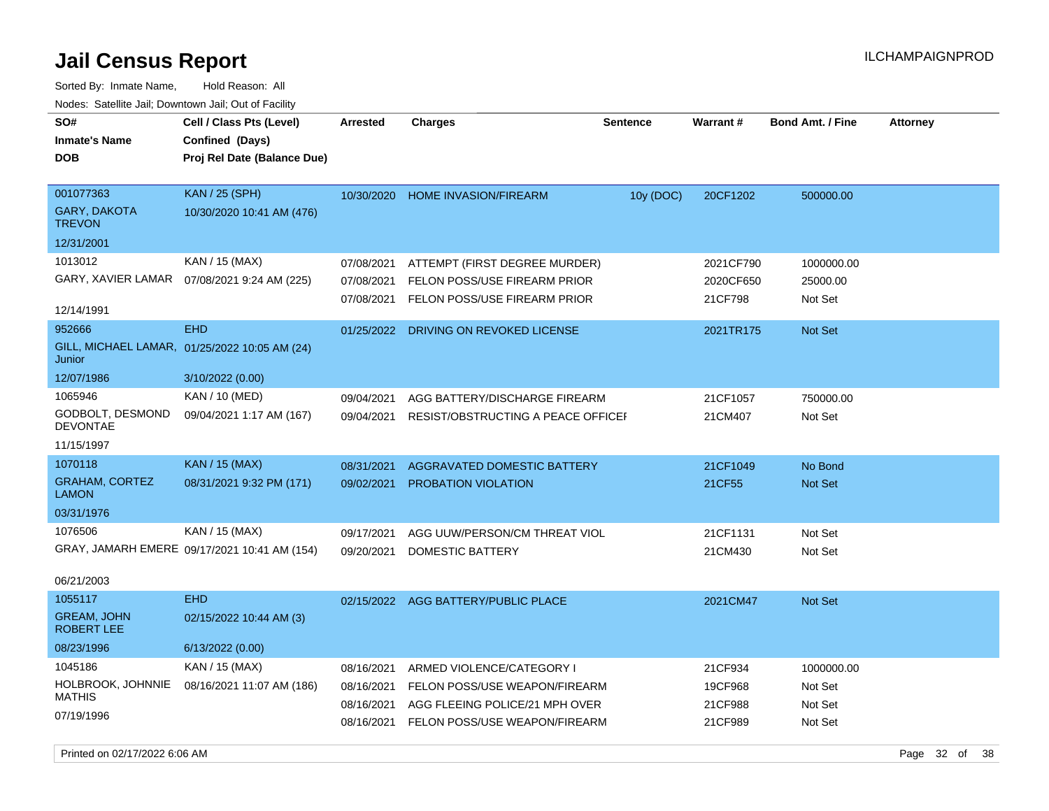| roaco. Oatomto dan, Downtown dan, Oat or Fability                |                                                                                 |                                                      |                                                                                                                               |                 |                                          |                                             |                 |
|------------------------------------------------------------------|---------------------------------------------------------------------------------|------------------------------------------------------|-------------------------------------------------------------------------------------------------------------------------------|-----------------|------------------------------------------|---------------------------------------------|-----------------|
| SO#<br><b>Inmate's Name</b><br><b>DOB</b>                        | Cell / Class Pts (Level)<br>Confined (Days)<br>Proj Rel Date (Balance Due)      | Arrested                                             | <b>Charges</b>                                                                                                                | <b>Sentence</b> | Warrant#                                 | <b>Bond Amt. / Fine</b>                     | <b>Attorney</b> |
| 001077363<br><b>GARY, DAKOTA</b><br><b>TREVON</b><br>12/31/2001  | <b>KAN / 25 (SPH)</b><br>10/30/2020 10:41 AM (476)                              | 10/30/2020                                           | <b>HOME INVASION/FIREARM</b>                                                                                                  | 10y (DOC)       | 20CF1202                                 | 500000.00                                   |                 |
| 1013012<br>12/14/1991                                            | KAN / 15 (MAX)<br>GARY, XAVIER LAMAR  07/08/2021 9:24 AM (225)                  | 07/08/2021<br>07/08/2021<br>07/08/2021               | ATTEMPT (FIRST DEGREE MURDER)<br>FELON POSS/USE FIREARM PRIOR<br>FELON POSS/USE FIREARM PRIOR                                 |                 | 2021CF790<br>2020CF650<br>21CF798        | 1000000.00<br>25000.00<br>Not Set           |                 |
| 952666<br>Junior<br>12/07/1986                                   | <b>EHD</b><br>GILL, MICHAEL LAMAR, 01/25/2022 10:05 AM (24)<br>3/10/2022 (0.00) | 01/25/2022                                           | DRIVING ON REVOKED LICENSE                                                                                                    |                 | 2021TR175                                | Not Set                                     |                 |
| 1065946<br>GODBOLT, DESMOND<br><b>DEVONTAE</b><br>11/15/1997     | KAN / 10 (MED)<br>09/04/2021 1:17 AM (167)                                      | 09/04/2021<br>09/04/2021                             | AGG BATTERY/DISCHARGE FIREARM<br>RESIST/OBSTRUCTING A PEACE OFFICEF                                                           |                 | 21CF1057<br>21CM407                      | 750000.00<br>Not Set                        |                 |
| 1070118<br><b>GRAHAM, CORTEZ</b><br>LAMON<br>03/31/1976          | KAN / 15 (MAX)<br>08/31/2021 9:32 PM (171)                                      | 08/31/2021<br>09/02/2021                             | AGGRAVATED DOMESTIC BATTERY<br>PROBATION VIOLATION                                                                            |                 | 21CF1049<br>21CF55                       | No Bond<br><b>Not Set</b>                   |                 |
| 1076506<br>06/21/2003                                            | KAN / 15 (MAX)<br>GRAY, JAMARH EMERE 09/17/2021 10:41 AM (154)                  | 09/17/2021<br>09/20/2021                             | AGG UUW/PERSON/CM THREAT VIOL<br>DOMESTIC BATTERY                                                                             |                 | 21CF1131<br>21CM430                      | Not Set<br>Not Set                          |                 |
| 1055117<br><b>GREAM, JOHN</b><br><b>ROBERT LEE</b><br>08/23/1996 | <b>EHD</b><br>02/15/2022 10:44 AM (3)<br>6/13/2022(0.00)                        |                                                      | 02/15/2022 AGG BATTERY/PUBLIC PLACE                                                                                           |                 | 2021CM47                                 | Not Set                                     |                 |
| 1045186<br>HOLBROOK, JOHNNIE<br><b>MATHIS</b><br>07/19/1996      | KAN / 15 (MAX)<br>08/16/2021 11:07 AM (186)                                     | 08/16/2021<br>08/16/2021<br>08/16/2021<br>08/16/2021 | ARMED VIOLENCE/CATEGORY I<br>FELON POSS/USE WEAPON/FIREARM<br>AGG FLEEING POLICE/21 MPH OVER<br>FELON POSS/USE WEAPON/FIREARM |                 | 21CF934<br>19CF968<br>21CF988<br>21CF989 | 1000000.00<br>Not Set<br>Not Set<br>Not Set |                 |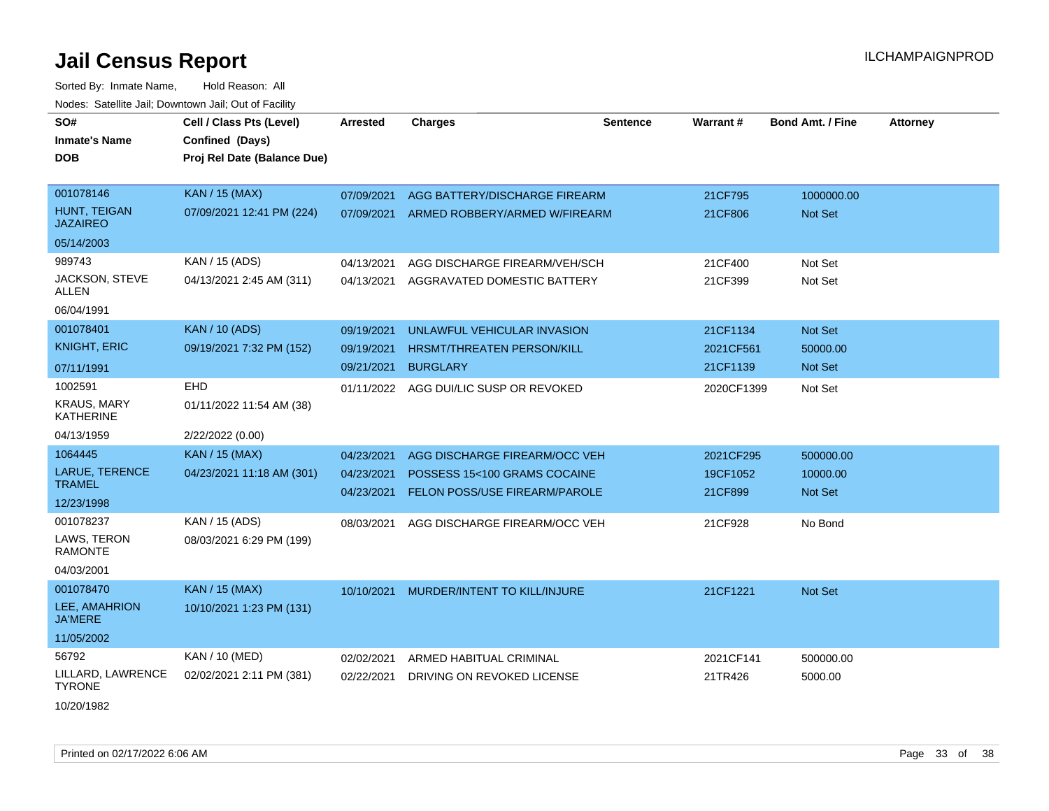| SO#                                    | Cell / Class Pts (Level)    | <b>Arrested</b> | <b>Charges</b>                         | <b>Sentence</b> | <b>Warrant#</b> | <b>Bond Amt. / Fine</b> | <b>Attorney</b> |
|----------------------------------------|-----------------------------|-----------------|----------------------------------------|-----------------|-----------------|-------------------------|-----------------|
| <b>Inmate's Name</b>                   | Confined (Days)             |                 |                                        |                 |                 |                         |                 |
| <b>DOB</b>                             | Proj Rel Date (Balance Due) |                 |                                        |                 |                 |                         |                 |
|                                        |                             |                 |                                        |                 |                 |                         |                 |
| 001078146                              | <b>KAN / 15 (MAX)</b>       | 07/09/2021      | AGG BATTERY/DISCHARGE FIREARM          |                 | 21CF795         | 1000000.00              |                 |
| HUNT, TEIGAN<br><b>JAZAIREO</b>        | 07/09/2021 12:41 PM (224)   | 07/09/2021      | ARMED ROBBERY/ARMED W/FIREARM          |                 | 21CF806         | Not Set                 |                 |
| 05/14/2003                             |                             |                 |                                        |                 |                 |                         |                 |
| 989743                                 | KAN / 15 (ADS)              | 04/13/2021      | AGG DISCHARGE FIREARM/VEH/SCH          |                 | 21CF400         | Not Set                 |                 |
| <b>JACKSON, STEVE</b><br>ALLEN         | 04/13/2021 2:45 AM (311)    | 04/13/2021      | AGGRAVATED DOMESTIC BATTERY            |                 | 21CF399         | Not Set                 |                 |
| 06/04/1991                             |                             |                 |                                        |                 |                 |                         |                 |
| 001078401                              | <b>KAN / 10 (ADS)</b>       | 09/19/2021      | UNLAWFUL VEHICULAR INVASION            |                 | 21CF1134        | Not Set                 |                 |
| <b>KNIGHT, ERIC</b>                    | 09/19/2021 7:32 PM (152)    | 09/19/2021      | <b>HRSMT/THREATEN PERSON/KILL</b>      |                 | 2021CF561       | 50000.00                |                 |
| 07/11/1991                             |                             | 09/21/2021      | <b>BURGLARY</b>                        |                 | 21CF1139        | <b>Not Set</b>          |                 |
| 1002591                                | EHD                         |                 | 01/11/2022 AGG DUI/LIC SUSP OR REVOKED |                 | 2020CF1399      | Not Set                 |                 |
| <b>KRAUS, MARY</b><br><b>KATHERINE</b> | 01/11/2022 11:54 AM (38)    |                 |                                        |                 |                 |                         |                 |
| 04/13/1959                             | 2/22/2022 (0.00)            |                 |                                        |                 |                 |                         |                 |
| 1064445                                | <b>KAN / 15 (MAX)</b>       | 04/23/2021      | AGG DISCHARGE FIREARM/OCC VEH          |                 | 2021CF295       | 500000.00               |                 |
| LARUE, TERENCE                         | 04/23/2021 11:18 AM (301)   | 04/23/2021      | POSSESS 15<100 GRAMS COCAINE           |                 | 19CF1052        | 10000.00                |                 |
| <b>TRAMEL</b>                          |                             | 04/23/2021      | FELON POSS/USE FIREARM/PAROLE          |                 | 21CF899         | Not Set                 |                 |
| 12/23/1998                             |                             |                 |                                        |                 |                 |                         |                 |
| 001078237                              | KAN / 15 (ADS)              | 08/03/2021      | AGG DISCHARGE FIREARM/OCC VEH          |                 | 21CF928         | No Bond                 |                 |
| LAWS, TERON<br><b>RAMONTE</b>          | 08/03/2021 6:29 PM (199)    |                 |                                        |                 |                 |                         |                 |
| 04/03/2001                             |                             |                 |                                        |                 |                 |                         |                 |
| 001078470                              | <b>KAN / 15 (MAX)</b>       | 10/10/2021      | MURDER/INTENT TO KILL/INJURE           |                 | 21CF1221        | Not Set                 |                 |
| LEE, AMAHRION<br><b>JA'MERE</b>        | 10/10/2021 1:23 PM (131)    |                 |                                        |                 |                 |                         |                 |
| 11/05/2002                             |                             |                 |                                        |                 |                 |                         |                 |
| 56792                                  | KAN / 10 (MED)              | 02/02/2021      | ARMED HABITUAL CRIMINAL                |                 | 2021CF141       | 500000.00               |                 |
| LILLARD, LAWRENCE<br><b>TYRONE</b>     | 02/02/2021 2:11 PM (381)    | 02/22/2021      | DRIVING ON REVOKED LICENSE             |                 | 21TR426         | 5000.00                 |                 |
| 10/20/1982                             |                             |                 |                                        |                 |                 |                         |                 |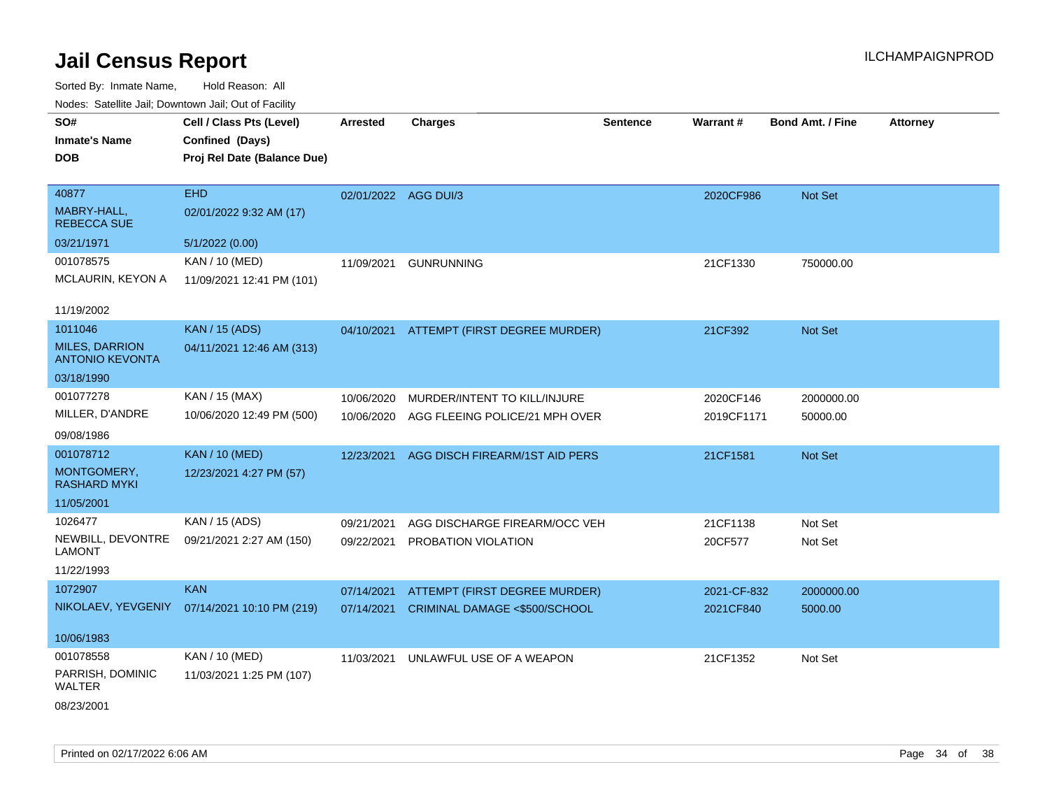| roaco. Catolino cali, Domntonn cali, Out of Facility |                                              |                      |                                          |          |             |                         |                 |
|------------------------------------------------------|----------------------------------------------|----------------------|------------------------------------------|----------|-------------|-------------------------|-----------------|
| SO#                                                  | Cell / Class Pts (Level)                     | <b>Arrested</b>      | <b>Charges</b>                           | Sentence | Warrant#    | <b>Bond Amt. / Fine</b> | <b>Attorney</b> |
| <b>Inmate's Name</b>                                 | Confined (Days)                              |                      |                                          |          |             |                         |                 |
| <b>DOB</b>                                           | Proj Rel Date (Balance Due)                  |                      |                                          |          |             |                         |                 |
|                                                      |                                              |                      |                                          |          |             |                         |                 |
| 40877                                                | <b>EHD</b>                                   | 02/01/2022 AGG DUI/3 |                                          |          | 2020CF986   | Not Set                 |                 |
| MABRY-HALL,<br><b>REBECCA SUE</b>                    | 02/01/2022 9:32 AM (17)                      |                      |                                          |          |             |                         |                 |
| 03/21/1971                                           | 5/1/2022 (0.00)                              |                      |                                          |          |             |                         |                 |
| 001078575                                            | KAN / 10 (MED)                               | 11/09/2021           | <b>GUNRUNNING</b>                        |          | 21CF1330    | 750000.00               |                 |
| MCLAURIN, KEYON A                                    | 11/09/2021 12:41 PM (101)                    |                      |                                          |          |             |                         |                 |
|                                                      |                                              |                      |                                          |          |             |                         |                 |
| 11/19/2002                                           |                                              |                      |                                          |          |             |                         |                 |
| 1011046                                              | <b>KAN / 15 (ADS)</b>                        |                      | 04/10/2021 ATTEMPT (FIRST DEGREE MURDER) |          | 21CF392     | Not Set                 |                 |
| <b>MILES, DARRION</b><br><b>ANTONIO KEVONTA</b>      | 04/11/2021 12:46 AM (313)                    |                      |                                          |          |             |                         |                 |
| 03/18/1990                                           |                                              |                      |                                          |          |             |                         |                 |
| 001077278                                            | KAN / 15 (MAX)                               | 10/06/2020           | MURDER/INTENT TO KILL/INJURE             |          | 2020CF146   | 2000000.00              |                 |
| MILLER, D'ANDRE                                      | 10/06/2020 12:49 PM (500)                    | 10/06/2020           | AGG FLEEING POLICE/21 MPH OVER           |          | 2019CF1171  | 50000.00                |                 |
| 09/08/1986                                           |                                              |                      |                                          |          |             |                         |                 |
| 001078712                                            | <b>KAN / 10 (MED)</b>                        | 12/23/2021           | AGG DISCH FIREARM/1ST AID PERS           |          | 21CF1581    | Not Set                 |                 |
| MONTGOMERY,<br><b>RASHARD MYKI</b>                   | 12/23/2021 4:27 PM (57)                      |                      |                                          |          |             |                         |                 |
| 11/05/2001                                           |                                              |                      |                                          |          |             |                         |                 |
| 1026477                                              | KAN / 15 (ADS)                               | 09/21/2021           | AGG DISCHARGE FIREARM/OCC VEH            |          | 21CF1138    | Not Set                 |                 |
| NEWBILL, DEVONTRE                                    | 09/21/2021 2:27 AM (150)                     | 09/22/2021           | PROBATION VIOLATION                      |          | 20CF577     | Not Set                 |                 |
| <b>LAMONT</b>                                        |                                              |                      |                                          |          |             |                         |                 |
| 11/22/1993                                           |                                              |                      |                                          |          |             |                         |                 |
| 1072907                                              | <b>KAN</b>                                   | 07/14/2021           | <b>ATTEMPT (FIRST DEGREE MURDER)</b>     |          | 2021-CF-832 | 2000000.00              |                 |
|                                                      | NIKOLAEV, YEVGENIY 07/14/2021 10:10 PM (219) | 07/14/2021           | CRIMINAL DAMAGE <\$500/SCHOOL            |          | 2021CF840   | 5000.00                 |                 |
|                                                      |                                              |                      |                                          |          |             |                         |                 |
| 10/06/1983                                           |                                              |                      |                                          |          |             |                         |                 |
| 001078558                                            | KAN / 10 (MED)                               | 11/03/2021           | UNLAWFUL USE OF A WEAPON                 |          | 21CF1352    | Not Set                 |                 |
| PARRISH, DOMINIC<br><b>WALTER</b>                    | 11/03/2021 1:25 PM (107)                     |                      |                                          |          |             |                         |                 |
| 08/23/2001                                           |                                              |                      |                                          |          |             |                         |                 |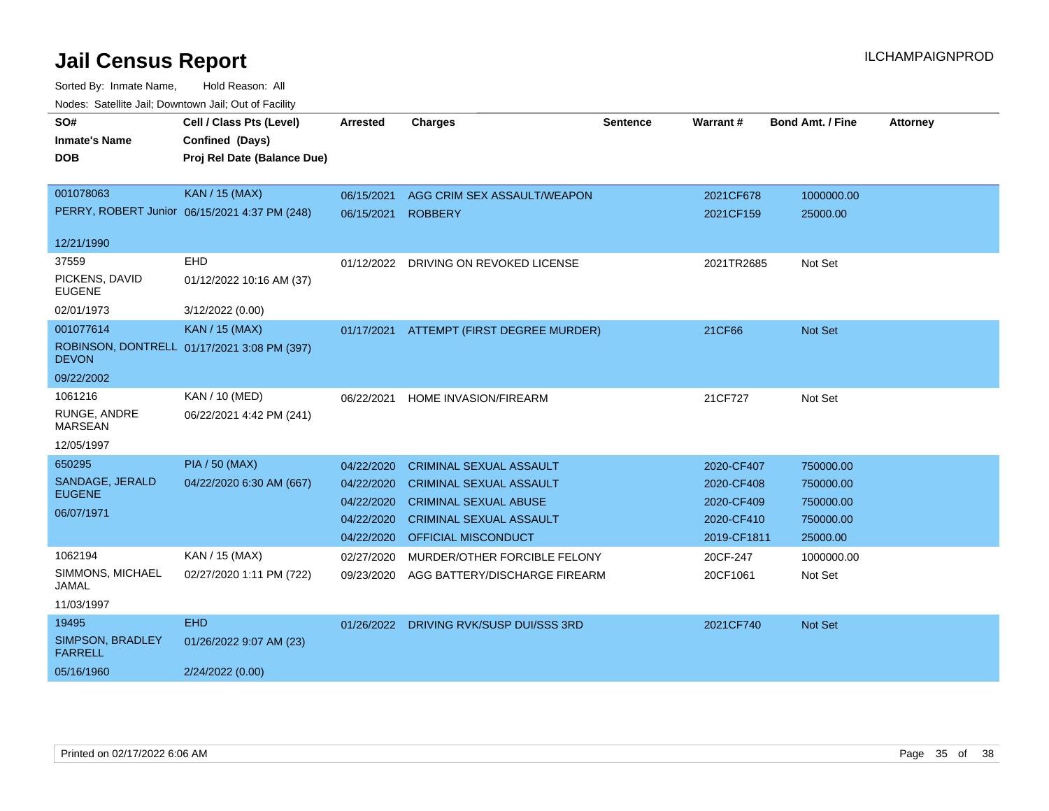| SO#                                | Cell / Class Pts (Level)                      | <b>Arrested</b> | <b>Charges</b>                        | <b>Sentence</b> | Warrant#    | <b>Bond Amt. / Fine</b> | <b>Attorney</b> |
|------------------------------------|-----------------------------------------------|-----------------|---------------------------------------|-----------------|-------------|-------------------------|-----------------|
| <b>Inmate's Name</b>               | Confined (Days)                               |                 |                                       |                 |             |                         |                 |
| <b>DOB</b>                         | Proj Rel Date (Balance Due)                   |                 |                                       |                 |             |                         |                 |
|                                    |                                               |                 |                                       |                 |             |                         |                 |
| 001078063                          | <b>KAN / 15 (MAX)</b>                         | 06/15/2021      | AGG CRIM SEX ASSAULT/WEAPON           |                 | 2021CF678   | 1000000.00              |                 |
|                                    | PERRY, ROBERT Junior 06/15/2021 4:37 PM (248) | 06/15/2021      | <b>ROBBERY</b>                        |                 | 2021CF159   | 25000.00                |                 |
|                                    |                                               |                 |                                       |                 |             |                         |                 |
| 12/21/1990                         |                                               |                 |                                       |                 |             |                         |                 |
| 37559                              | EHD                                           |                 | 01/12/2022 DRIVING ON REVOKED LICENSE |                 | 2021TR2685  | Not Set                 |                 |
| PICKENS, DAVID<br><b>EUGENE</b>    | 01/12/2022 10:16 AM (37)                      |                 |                                       |                 |             |                         |                 |
| 02/01/1973                         | 3/12/2022 (0.00)                              |                 |                                       |                 |             |                         |                 |
| 001077614                          | <b>KAN / 15 (MAX)</b>                         | 01/17/2021      | ATTEMPT (FIRST DEGREE MURDER)         |                 | 21CF66      | Not Set                 |                 |
| <b>DEVON</b>                       | ROBINSON, DONTRELL 01/17/2021 3:08 PM (397)   |                 |                                       |                 |             |                         |                 |
| 09/22/2002                         |                                               |                 |                                       |                 |             |                         |                 |
| 1061216                            | KAN / 10 (MED)                                | 06/22/2021      | <b>HOME INVASION/FIREARM</b>          |                 | 21CF727     | Not Set                 |                 |
| RUNGE, ANDRE<br><b>MARSEAN</b>     | 06/22/2021 4:42 PM (241)                      |                 |                                       |                 |             |                         |                 |
| 12/05/1997                         |                                               |                 |                                       |                 |             |                         |                 |
| 650295                             | <b>PIA / 50 (MAX)</b>                         | 04/22/2020      | <b>CRIMINAL SEXUAL ASSAULT</b>        |                 | 2020-CF407  | 750000.00               |                 |
| SANDAGE, JERALD                    | 04/22/2020 6:30 AM (667)                      | 04/22/2020      | <b>CRIMINAL SEXUAL ASSAULT</b>        |                 | 2020-CF408  | 750000.00               |                 |
| <b>EUGENE</b>                      |                                               | 04/22/2020      | <b>CRIMINAL SEXUAL ABUSE</b>          |                 | 2020-CF409  | 750000.00               |                 |
| 06/07/1971                         |                                               | 04/22/2020      | <b>CRIMINAL SEXUAL ASSAULT</b>        |                 | 2020-CF410  | 750000.00               |                 |
|                                    |                                               | 04/22/2020      | <b>OFFICIAL MISCONDUCT</b>            |                 | 2019-CF1811 | 25000.00                |                 |
| 1062194                            | KAN / 15 (MAX)                                | 02/27/2020      | MURDER/OTHER FORCIBLE FELONY          |                 | 20CF-247    | 1000000.00              |                 |
| SIMMONS, MICHAEL<br>JAMAL          | 02/27/2020 1:11 PM (722)                      | 09/23/2020      | AGG BATTERY/DISCHARGE FIREARM         |                 | 20CF1061    | Not Set                 |                 |
| 11/03/1997                         |                                               |                 |                                       |                 |             |                         |                 |
| 19495                              | <b>EHD</b>                                    | 01/26/2022      | DRIVING RVK/SUSP DUI/SSS 3RD          |                 | 2021CF740   | <b>Not Set</b>          |                 |
| SIMPSON, BRADLEY<br><b>FARRELL</b> | 01/26/2022 9:07 AM (23)                       |                 |                                       |                 |             |                         |                 |
| 05/16/1960                         | 2/24/2022 (0.00)                              |                 |                                       |                 |             |                         |                 |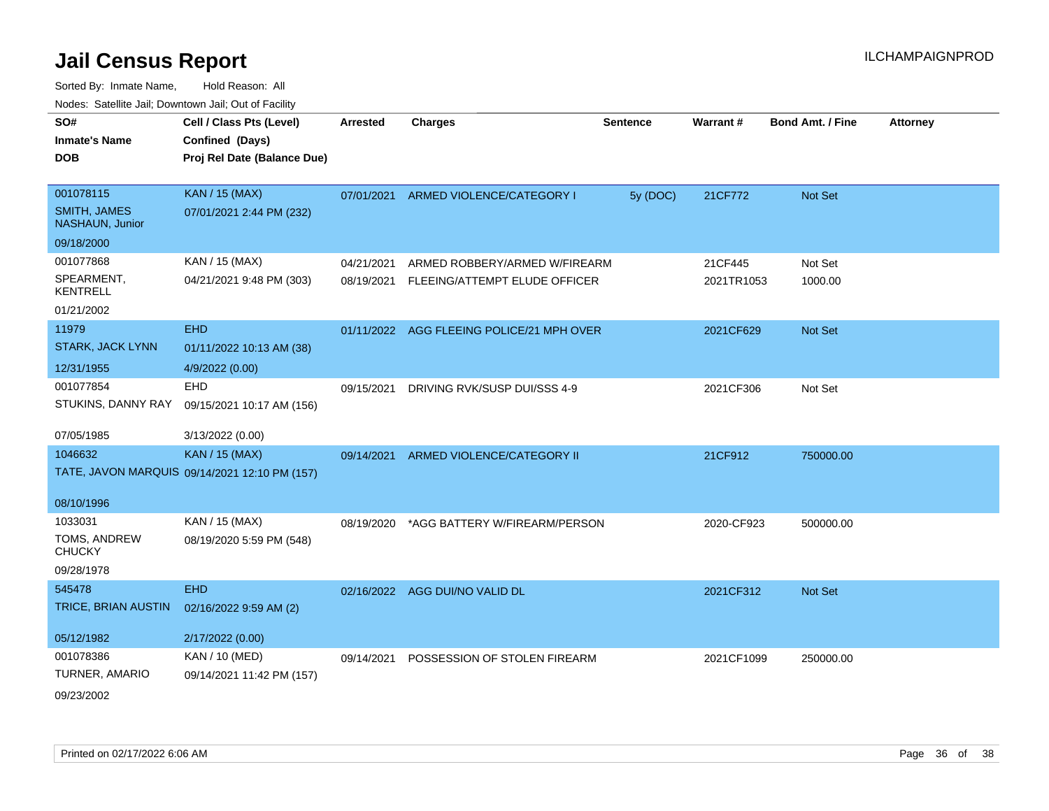| SO#<br><b>Inmate's Name</b>            | Cell / Class Pts (Level)<br>Confined (Days)   | <b>Arrested</b> | <b>Charges</b>                            | <b>Sentence</b> | Warrant#   | Bond Amt. / Fine | <b>Attorney</b> |
|----------------------------------------|-----------------------------------------------|-----------------|-------------------------------------------|-----------------|------------|------------------|-----------------|
| <b>DOB</b>                             | Proj Rel Date (Balance Due)                   |                 |                                           |                 |            |                  |                 |
|                                        |                                               |                 |                                           |                 |            |                  |                 |
| 001078115                              | <b>KAN / 15 (MAX)</b>                         | 07/01/2021      | ARMED VIOLENCE/CATEGORY I                 | 5y (DOC)        | 21CF772    | Not Set          |                 |
| <b>SMITH, JAMES</b><br>NASHAUN, Junior | 07/01/2021 2:44 PM (232)                      |                 |                                           |                 |            |                  |                 |
| 09/18/2000                             |                                               |                 |                                           |                 |            |                  |                 |
| 001077868                              | KAN / 15 (MAX)                                | 04/21/2021      | ARMED ROBBERY/ARMED W/FIREARM             |                 | 21CF445    | Not Set          |                 |
| SPEARMENT,<br><b>KENTRELL</b>          | 04/21/2021 9:48 PM (303)                      | 08/19/2021      | FLEEING/ATTEMPT ELUDE OFFICER             |                 | 2021TR1053 | 1000.00          |                 |
| 01/21/2002                             |                                               |                 |                                           |                 |            |                  |                 |
| 11979                                  | <b>EHD</b>                                    |                 | 01/11/2022 AGG FLEEING POLICE/21 MPH OVER |                 | 2021CF629  | <b>Not Set</b>   |                 |
| <b>STARK, JACK LYNN</b>                | 01/11/2022 10:13 AM (38)                      |                 |                                           |                 |            |                  |                 |
| 12/31/1955                             | 4/9/2022 (0.00)                               |                 |                                           |                 |            |                  |                 |
| 001077854                              | <b>EHD</b>                                    | 09/15/2021      | DRIVING RVK/SUSP DUI/SSS 4-9              |                 | 2021CF306  | Not Set          |                 |
| STUKINS, DANNY RAY                     | 09/15/2021 10:17 AM (156)                     |                 |                                           |                 |            |                  |                 |
| 07/05/1985                             | 3/13/2022 (0.00)                              |                 |                                           |                 |            |                  |                 |
| 1046632                                | <b>KAN / 15 (MAX)</b>                         | 09/14/2021      | ARMED VIOLENCE/CATEGORY II                |                 | 21CF912    | 750000.00        |                 |
|                                        | TATE, JAVON MARQUIS 09/14/2021 12:10 PM (157) |                 |                                           |                 |            |                  |                 |
| 08/10/1996                             |                                               |                 |                                           |                 |            |                  |                 |
| 1033031                                | KAN / 15 (MAX)                                | 08/19/2020      | *AGG BATTERY W/FIREARM/PERSON             |                 | 2020-CF923 | 500000.00        |                 |
| TOMS, ANDREW<br><b>CHUCKY</b>          | 08/19/2020 5:59 PM (548)                      |                 |                                           |                 |            |                  |                 |
| 09/28/1978                             |                                               |                 |                                           |                 |            |                  |                 |
| 545478                                 | <b>EHD</b>                                    |                 | 02/16/2022 AGG DUI/NO VALID DL            |                 | 2021CF312  | <b>Not Set</b>   |                 |
| TRICE, BRIAN AUSTIN                    | 02/16/2022 9:59 AM (2)                        |                 |                                           |                 |            |                  |                 |
| 05/12/1982                             | 2/17/2022 (0.00)                              |                 |                                           |                 |            |                  |                 |
| 001078386                              | KAN / 10 (MED)                                | 09/14/2021      | POSSESSION OF STOLEN FIREARM              |                 | 2021CF1099 | 250000.00        |                 |
| TURNER, AMARIO                         | 09/14/2021 11:42 PM (157)                     |                 |                                           |                 |            |                  |                 |
| 09/23/2002                             |                                               |                 |                                           |                 |            |                  |                 |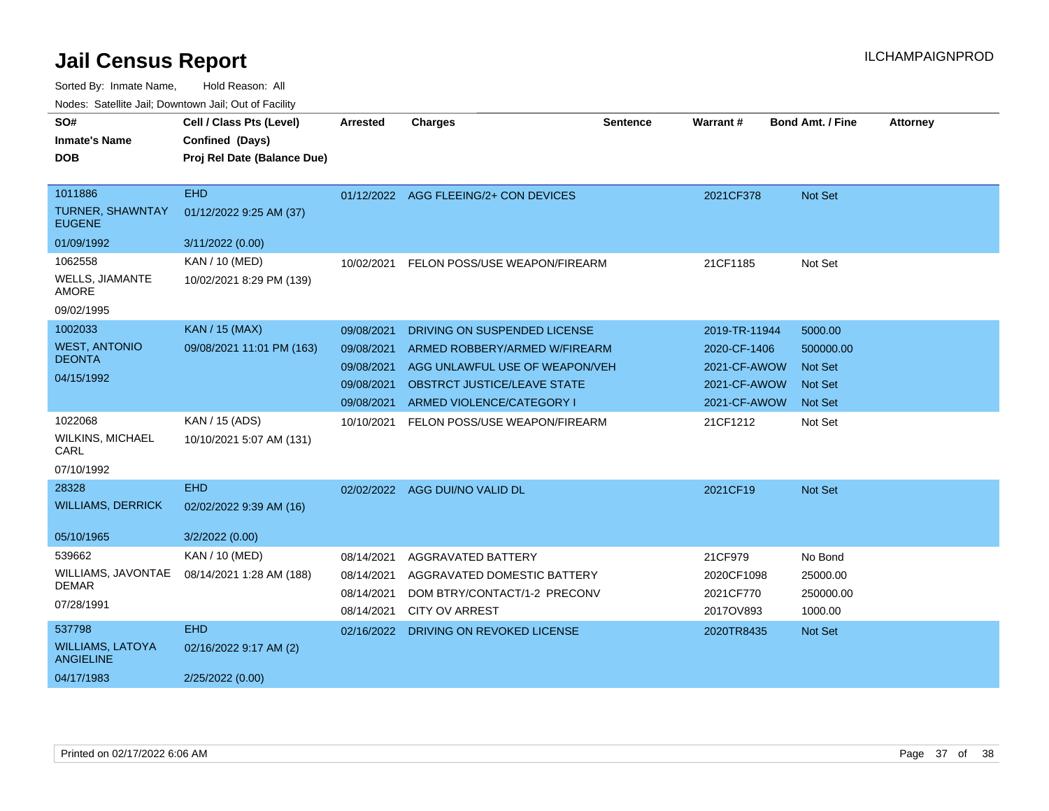| SO#<br><b>Inmate's Name</b><br><b>DOB</b>                           | Cell / Class Pts (Level)<br>Confined (Days)<br>Proj Rel Date (Balance Due) | Arrested                                                           | <b>Charges</b>                                                                                                                                                     | Sentence | Warrant#                                                                      | <b>Bond Amt. / Fine</b>                                             | <b>Attorney</b> |
|---------------------------------------------------------------------|----------------------------------------------------------------------------|--------------------------------------------------------------------|--------------------------------------------------------------------------------------------------------------------------------------------------------------------|----------|-------------------------------------------------------------------------------|---------------------------------------------------------------------|-----------------|
| 1011886<br><b>TURNER, SHAWNTAY</b><br><b>EUGENE</b><br>01/09/1992   | <b>EHD</b><br>01/12/2022 9:25 AM (37)<br>3/11/2022 (0.00)                  |                                                                    | 01/12/2022 AGG FLEEING/2+ CON DEVICES                                                                                                                              |          | 2021CF378                                                                     | Not Set                                                             |                 |
| 1062558<br>WELLS, JIAMANTE<br>AMORE<br>09/02/1995                   | KAN / 10 (MED)<br>10/02/2021 8:29 PM (139)                                 | 10/02/2021                                                         | FELON POSS/USE WEAPON/FIREARM                                                                                                                                      |          | 21CF1185                                                                      | Not Set                                                             |                 |
| 1002033<br><b>WEST, ANTONIO</b><br><b>DEONTA</b><br>04/15/1992      | <b>KAN / 15 (MAX)</b><br>09/08/2021 11:01 PM (163)                         | 09/08/2021<br>09/08/2021<br>09/08/2021<br>09/08/2021<br>09/08/2021 | DRIVING ON SUSPENDED LICENSE<br>ARMED ROBBERY/ARMED W/FIREARM<br>AGG UNLAWFUL USE OF WEAPON/VEH<br><b>OBSTRCT JUSTICE/LEAVE STATE</b><br>ARMED VIOLENCE/CATEGORY I |          | 2019-TR-11944<br>2020-CF-1406<br>2021-CF-AWOW<br>2021-CF-AWOW<br>2021-CF-AWOW | 5000.00<br>500000.00<br><b>Not Set</b><br><b>Not Set</b><br>Not Set |                 |
| 1022068<br>WILKINS, MICHAEL<br>CARL<br>07/10/1992                   | KAN / 15 (ADS)<br>10/10/2021 5:07 AM (131)                                 | 10/10/2021                                                         | FELON POSS/USE WEAPON/FIREARM                                                                                                                                      |          | 21CF1212                                                                      | Not Set                                                             |                 |
| 28328<br><b>WILLIAMS, DERRICK</b><br>05/10/1965                     | <b>EHD</b><br>02/02/2022 9:39 AM (16)<br>3/2/2022 (0.00)                   | 02/02/2022                                                         | AGG DUI/NO VALID DL                                                                                                                                                |          | 2021CF19                                                                      | Not Set                                                             |                 |
| 539662<br>WILLIAMS, JAVONTAE<br><b>DEMAR</b><br>07/28/1991          | KAN / 10 (MED)<br>08/14/2021 1:28 AM (188)                                 | 08/14/2021<br>08/14/2021<br>08/14/2021<br>08/14/2021               | <b>AGGRAVATED BATTERY</b><br>AGGRAVATED DOMESTIC BATTERY<br>DOM BTRY/CONTACT/1-2 PRECONV<br><b>CITY OV ARREST</b>                                                  |          | 21CF979<br>2020CF1098<br>2021CF770<br>2017OV893                               | No Bond<br>25000.00<br>250000.00<br>1000.00                         |                 |
| 537798<br><b>WILLIAMS, LATOYA</b><br><b>ANGIELINE</b><br>04/17/1983 | <b>EHD</b><br>02/16/2022 9:17 AM (2)<br>2/25/2022 (0.00)                   | 02/16/2022                                                         | DRIVING ON REVOKED LICENSE                                                                                                                                         |          | 2020TR8435                                                                    | Not Set                                                             |                 |